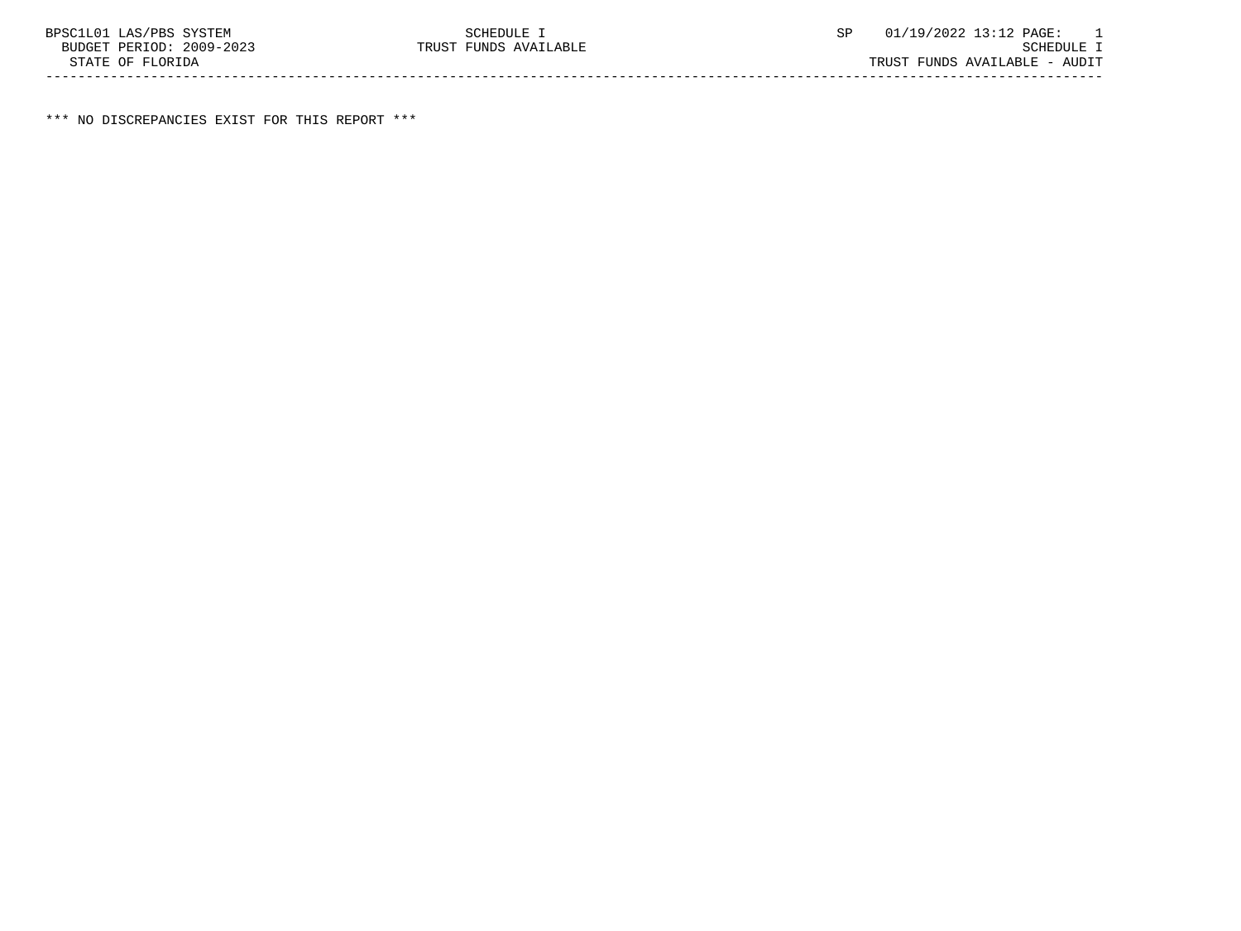\*\*\* NO DISCREPANCIES EXIST FOR THIS REPORT \*\*\*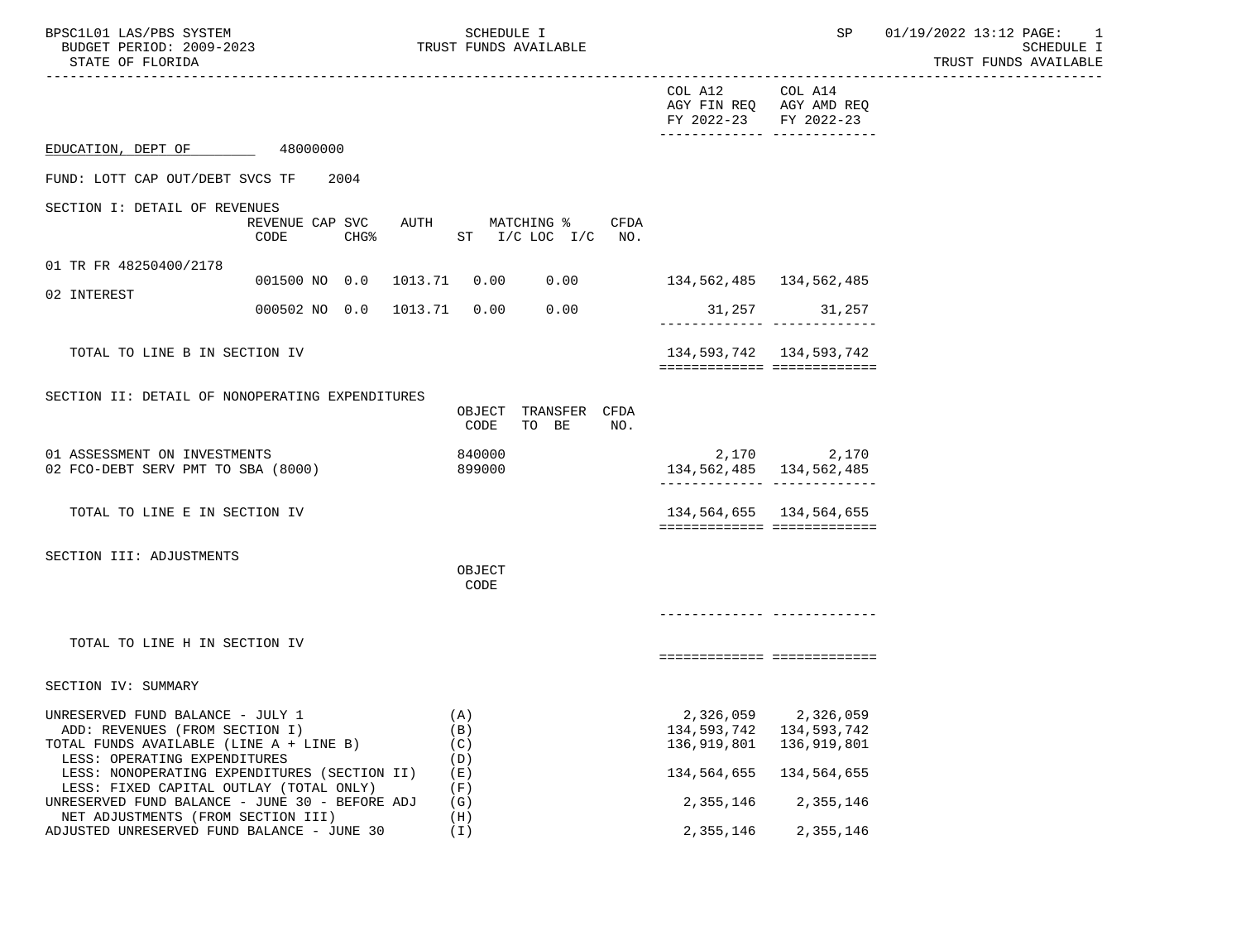| BPSC1L01 LAS/PBS SYSTEM<br>BUDGET PERIOD: 2009-2023<br>STATE OF FLORIDA                                                                       |                                   | SCHEDULE I<br>TRUST FUNDS AVAILABLE           |                                                            | SP                                                                               | 01/19/2022 13:12 PAGE: 1<br>SCHEDULE I<br>TRUST FUNDS AVAILABLE<br>------------------ |
|-----------------------------------------------------------------------------------------------------------------------------------------------|-----------------------------------|-----------------------------------------------|------------------------------------------------------------|----------------------------------------------------------------------------------|---------------------------------------------------------------------------------------|
|                                                                                                                                               |                                   |                                               | COL A12<br>FY 2022-23                                      | COL A14<br>AGY FIN REQ AGY AMD REQ<br>FY 2022-23<br>-------------- ------------- |                                                                                       |
| EDUCATION, DEPT OF 48000000                                                                                                                   |                                   |                                               |                                                            |                                                                                  |                                                                                       |
| FUND: LOTT CAP OUT/DEBT SVCS TF                                                                                                               | 2004                              |                                               |                                                            |                                                                                  |                                                                                       |
| SECTION I: DETAIL OF REVENUES                                                                                                                 | REVENUE CAP SVC<br>CODE<br>$CHG\$ | AUTH MATCHING %<br>CFDA<br>ST I/C LOC I/C NO. |                                                            |                                                                                  |                                                                                       |
| 01 TR FR 48250400/2178                                                                                                                        | 001500 NO 0.0 1013.71             | 0.00<br>0.00                                  | 134,562,485 134,562,485                                    |                                                                                  |                                                                                       |
| 02 INTEREST                                                                                                                                   | 000502 NO 0.0 1013.71 0.00        | 0.00                                          |                                                            | 31,257 31,257<br>-------------- --------------                                   |                                                                                       |
| TOTAL TO LINE B IN SECTION IV                                                                                                                 |                                   |                                               | 134, 593, 742 134, 593, 742<br>=========================== |                                                                                  |                                                                                       |
| SECTION II: DETAIL OF NONOPERATING EXPENDITURES                                                                                               |                                   | OBJECT TRANSFER CFDA<br>CODE<br>TO BE<br>NO.  |                                                            |                                                                                  |                                                                                       |
| 01 ASSESSMENT ON INVESTMENTS<br>02 FCO-DEBT SERV PMT TO SBA (8000)                                                                            |                                   | 840000<br>899000                              | 134,562,485 134,562,485                                    | 2,170 2,170<br>-------------- --------------                                     |                                                                                       |
| TOTAL TO LINE E IN SECTION IV                                                                                                                 |                                   |                                               | 134,564,655 134,564,655<br>===========================     |                                                                                  |                                                                                       |
| SECTION III: ADJUSTMENTS                                                                                                                      |                                   | OBJECT<br>CODE                                |                                                            |                                                                                  |                                                                                       |
| TOTAL TO LINE H IN SECTION IV                                                                                                                 |                                   |                                               | ============================                               |                                                                                  |                                                                                       |
| SECTION IV: SUMMARY                                                                                                                           |                                   |                                               |                                                            |                                                                                  |                                                                                       |
| UNRESERVED FUND BALANCE - JULY 1<br>ADD: REVENUES (FROM SECTION I)<br>TOTAL FUNDS AVAILABLE (LINE A + LINE B)<br>LESS: OPERATING EXPENDITURES |                                   | (A)<br>(B)<br>(C)<br>(D)                      | 2,326,059<br>134,593,742<br>136,919,801                    | 2,326,059<br>134,593,742<br>136,919,801                                          |                                                                                       |
| LESS: NONOPERATING EXPENDITURES (SECTION II)<br>LESS: FIXED CAPITAL OUTLAY (TOTAL ONLY)<br>UNRESERVED FUND BALANCE - JUNE 30 - BEFORE ADJ     |                                   | (E)<br>(F)<br>(G)                             | 134,564,655<br>2,355,146                                   | 134,564,655<br>2,355,146                                                         |                                                                                       |
| NET ADJUSTMENTS (FROM SECTION III)<br>ADJUSTED UNRESERVED FUND BALANCE - JUNE 30                                                              |                                   | (H)<br>$(\bot)$                               | 2,355,146                                                  | 2,355,146                                                                        |                                                                                       |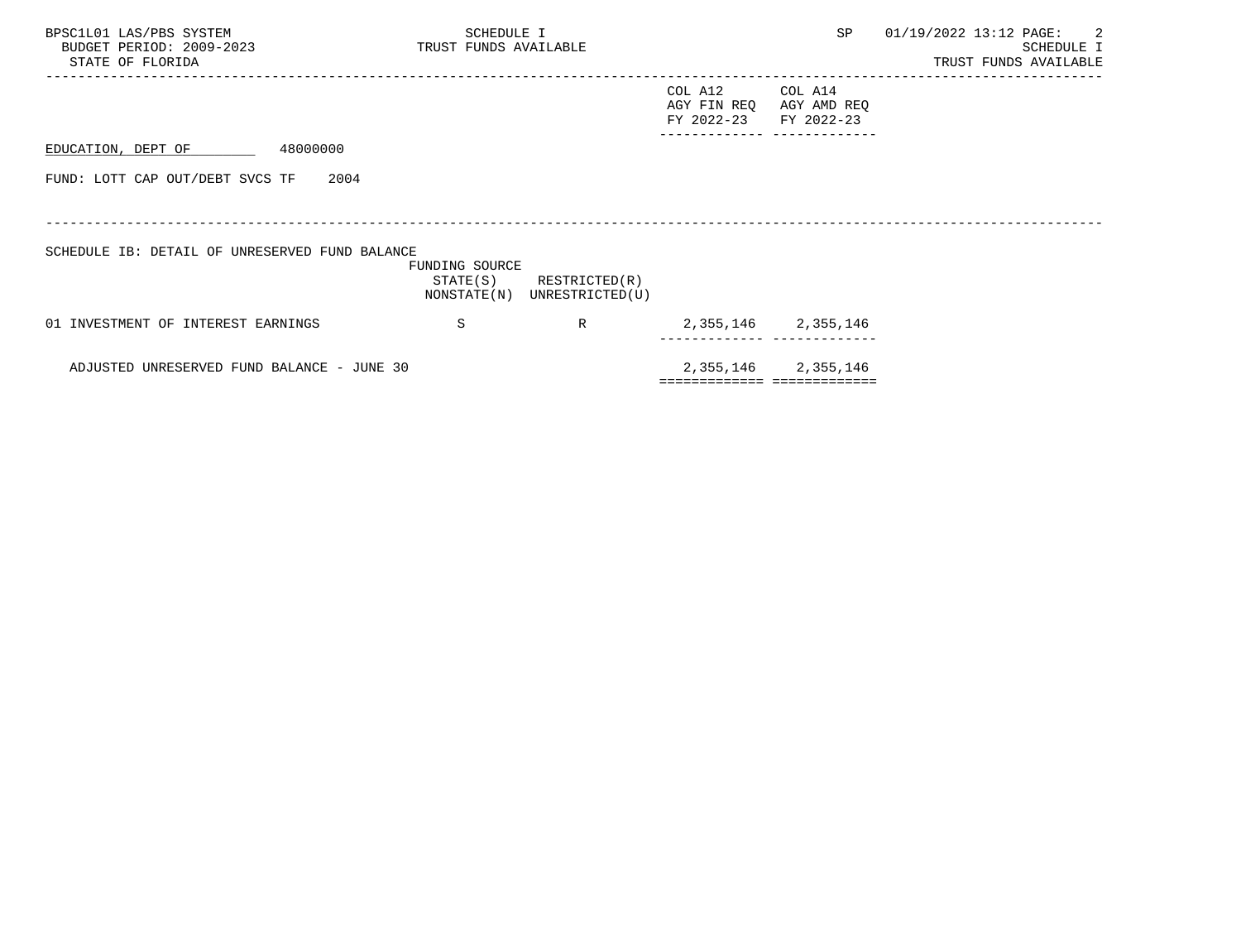| BPSC1L01 LAS/PBS SYSTEM<br>BUDGET PERIOD: 2009-2023 TRUST FUNDS AVAILABLE<br>STATE OF FLORIDA | SCHEDULE I     |                                                            |                                      | SP                                   | $01/19/2022$ 13:12 PAGE: 2 | SCHEDULE I<br>TRUST FUNDS AVAILABLE |  |
|-----------------------------------------------------------------------------------------------|----------------|------------------------------------------------------------|--------------------------------------|--------------------------------------|----------------------------|-------------------------------------|--|
|                                                                                               |                |                                                            | COL A12<br>AGY FIN REQ<br>FY 2022-23 | COL A14<br>AGY AMD REQ<br>FY 2022-23 |                            |                                     |  |
| 48000000<br>EDUCATION, DEPT OF                                                                |                |                                                            |                                      |                                      |                            |                                     |  |
| FUND: LOTT CAP OUT/DEBT SVCS TF<br>2004                                                       |                |                                                            |                                      |                                      |                            |                                     |  |
| SCHEDULE IB: DETAIL OF UNRESERVED FUND BALANCE                                                | FUNDING SOURCE | $STATE(S)$ RESTRICTED $(R)$<br>NONSTATE(N) UNRESTRICTED(U) |                                      |                                      |                            |                                     |  |
| 01 INVESTMENT OF INTEREST EARNINGS                                                            | -S             | R                                                          |                                      | 2, 355, 146 2, 355, 146              |                            |                                     |  |
| ADJUSTED UNRESERVED FUND BALANCE - JUNE 30                                                    |                |                                                            | ============================         | 2, 355, 146 2, 355, 146              |                            |                                     |  |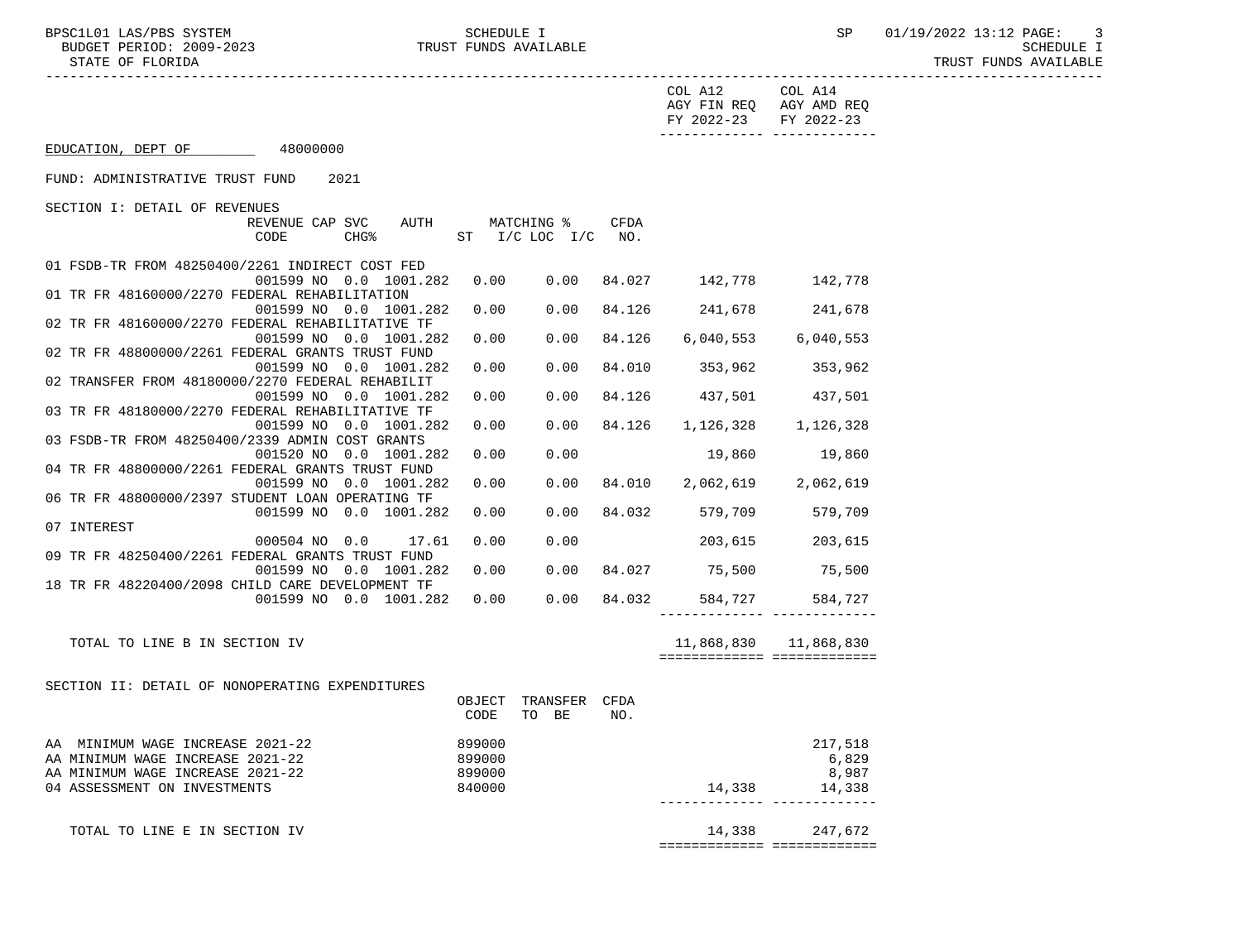BPSC1L01 LAS/PBS SYSTEM SCHEDULE I SCHEDULE I SP 01/19/2022 13:12 PAGE: 3<br>BUDGET PERIOD: 2009–2023 TRUST FUNDS AVAILABLE

TRUST FUNDS AVAILABLE

|                                                                                                                                |                  |                               |      | COL A12<br>AGY FIN REQ AGY AMD REQ<br>FY 2022-23 FY 2022-23<br>------------- ------------- | COL A14               |
|--------------------------------------------------------------------------------------------------------------------------------|------------------|-------------------------------|------|--------------------------------------------------------------------------------------------|-----------------------|
| EDUCATION, DEPT OF 48000000                                                                                                    |                  |                               |      |                                                                                            |                       |
| FUND: ADMINISTRATIVE TRUST FUND<br>2021                                                                                        |                  |                               |      |                                                                                            |                       |
| SECTION I: DETAIL OF REVENUES<br>REVENUE CAP SVC AUTH MATCHING %<br>CODE<br>CHG%                                               |                  | ST I/C LOC I/C NO.            | CFDA |                                                                                            |                       |
| 01 FSDB-TR FROM 48250400/2261 INDIRECT COST FED<br>001599 NO 0.0 1001.282                                                      |                  | 0.00 0.00                     |      | 84.027 142,778 142,778                                                                     |                       |
| 01 TR FR 48160000/2270 FEDERAL REHABILITATION<br>001599 NO 0.0 1001.282                                                        | 0.00             | 0.00                          |      | 84.126 241,678 241,678                                                                     |                       |
| 02 TR FR 48160000/2270 FEDERAL REHABILITATIVE TF                                                                               |                  |                               |      |                                                                                            |                       |
| 001599 NO 0.0 1001.282<br>02 TR FR 48800000/2261 FEDERAL GRANTS TRUST FUND                                                     | 0.00             | 0.00                          |      | 84.126 6,040,553 6,040,553                                                                 |                       |
| 001599 NO 0.0 1001.282                                                                                                         | 0.00             | 0.00                          |      | 84.010 353,962 353,962                                                                     |                       |
| 02 TRANSFER FROM 48180000/2270 FEDERAL REHABILIT<br>001599 NO 0.0 1001.282<br>03 TR FR 48180000/2270 FEDERAL REHABILITATIVE TF | 0.00             | 0.00                          |      | 84.126  437,501  437,501                                                                   |                       |
| 001599 NO 0.0 1001.282                                                                                                         | 0.00             | 0.00                          |      | 84.126 1,126,328 1,126,328                                                                 |                       |
| 03 FSDB-TR FROM 48250400/2339 ADMIN COST GRANTS<br>001520 NO 0.0 1001.282                                                      | 0.00             | 0.00                          |      | 19,860                                                                                     | 19,860                |
| 04 TR FR 48800000/2261 FEDERAL GRANTS TRUST FUND                                                                               |                  |                               |      | 84.010 2,062,619 2,062,619                                                                 |                       |
| 001599 NO 0.0 1001.282<br>06 TR FR 48800000/2397 STUDENT LOAN OPERATING TF                                                     | 0.00             | 0.00                          |      |                                                                                            |                       |
| 001599 NO 0.0 1001.282<br>07 INTEREST                                                                                          | 0.00             | 0.00                          |      | 84.032 579,709 579,709                                                                     |                       |
| 000504 NO 0.0<br>17.61                                                                                                         | 0.00             | 0.00                          |      | 203,615 203,615                                                                            |                       |
| 09 TR FR 48250400/2261 FEDERAL GRANTS TRUST FUND                                                                               |                  |                               |      |                                                                                            |                       |
| 001599 NO 0.0 1001.282<br>18 TR FR 48220400/2098 CHILD CARE DEVELOPMENT TF                                                     | 0.00             | 0.00                          |      | 84.027 75,500                                                                              | 75,500                |
| 001599 NO 0.0 1001.282                                                                                                         | 0.00             | 0.00                          |      | 84.032 584,727 584,727<br>________________________________                                 |                       |
| TOTAL TO LINE B IN SECTION IV                                                                                                  |                  |                               |      | ===========================                                                                | 11,868,830 11,868,830 |
|                                                                                                                                |                  |                               |      |                                                                                            |                       |
| SECTION II: DETAIL OF NONOPERATING EXPENDITURES                                                                                | CODE             | OBJECT TRANSFER CFDA<br>TO BE | NO.  |                                                                                            |                       |
| AA MINIMUM WAGE INCREASE 2021-22                                                                                               | 899000           |                               |      |                                                                                            | 217,518               |
| AA MINIMUM WAGE INCREASE 2021-22                                                                                               | 899000           |                               |      |                                                                                            | 6,829                 |
| AA MINIMUM WAGE INCREASE 2021-22<br>04 ASSESSMENT ON INVESTMENTS                                                               | 899000<br>840000 |                               |      | 14,338                                                                                     | 8,987<br>14,338       |
| TOTAL TO LINE E IN SECTION IV                                                                                                  |                  |                               |      | 14,338                                                                                     | 247,672               |
|                                                                                                                                |                  |                               |      | ===========================                                                                |                       |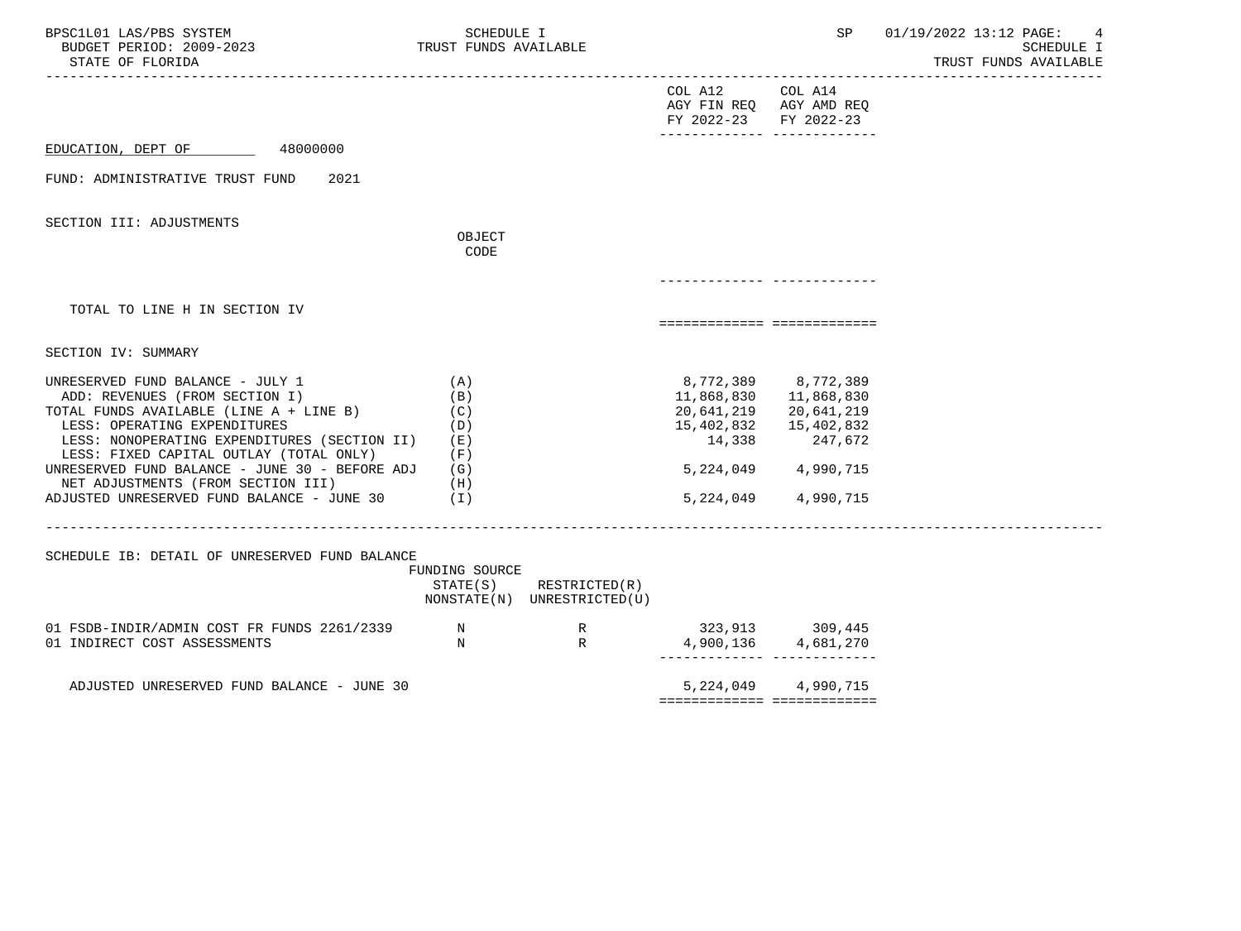| BPSC1L01 LAS/PBS SYSTEM<br>BUDGET PERIOD: 2009-2023<br>STATE OF FLORIDA                                                                                                                                                                                                                                                                                                              | SCHEDULE I<br>TRUST FUNDS AVAILABLE                  |                                              |                                                                                              | SP                                                                                                                          | 01/19/2022 13:12 PAGE:<br>4<br>SCHEDULE I<br>TRUST FUNDS AVAILABLE |
|--------------------------------------------------------------------------------------------------------------------------------------------------------------------------------------------------------------------------------------------------------------------------------------------------------------------------------------------------------------------------------------|------------------------------------------------------|----------------------------------------------|----------------------------------------------------------------------------------------------|-----------------------------------------------------------------------------------------------------------------------------|--------------------------------------------------------------------|
|                                                                                                                                                                                                                                                                                                                                                                                      |                                                      |                                              | COL A12<br>AGY FIN REQ AGY AMD REQ<br>FY 2022-23 FY 2022-23<br>-------------- -------------- | COL A14                                                                                                                     |                                                                    |
| 48000000<br>EDUCATION, DEPT OF                                                                                                                                                                                                                                                                                                                                                       |                                                      |                                              |                                                                                              |                                                                                                                             |                                                                    |
| FUND: ADMINISTRATIVE TRUST FUND<br>2021                                                                                                                                                                                                                                                                                                                                              |                                                      |                                              |                                                                                              |                                                                                                                             |                                                                    |
| SECTION III: ADJUSTMENTS                                                                                                                                                                                                                                                                                                                                                             | OBJECT<br>CODE                                       |                                              |                                                                                              |                                                                                                                             |                                                                    |
|                                                                                                                                                                                                                                                                                                                                                                                      |                                                      |                                              |                                                                                              |                                                                                                                             |                                                                    |
| TOTAL TO LINE H IN SECTION IV                                                                                                                                                                                                                                                                                                                                                        |                                                      |                                              |                                                                                              |                                                                                                                             |                                                                    |
| SECTION IV: SUMMARY                                                                                                                                                                                                                                                                                                                                                                  |                                                      |                                              |                                                                                              |                                                                                                                             |                                                                    |
| UNRESERVED FUND BALANCE - JULY 1<br>ADD: REVENUES (FROM SECTION I)<br>TOTAL FUNDS AVAILABLE (LINE A + LINE B)<br>LESS: OPERATING EXPENDITURES<br>LESS: NONOPERATING EXPENDITURES (SECTION II)<br>LESS: FIXED CAPITAL OUTLAY (TOTAL ONLY)<br>UNRESERVED FUND BALANCE - JUNE 30 - BEFORE ADJ<br>NET ADJUSTMENTS (FROM SECTION III)<br>ADJUSTED UNRESERVED FUND BALANCE - JUNE $30$ (I) | (A)<br>(B)<br>(C)<br>(D)<br>(E)<br>(F)<br>(G)<br>(H) |                                              | 20,641,219<br>15,402,832<br>14,338<br>5,224,049                                              | 8,772,389 8,772,389<br>11,868,830 11,868,830<br>20,641,219<br>15,402,832<br>247,672<br>5, 224, 049 4, 990, 715<br>4,990,715 |                                                                    |
| SCHEDULE IB: DETAIL OF UNRESERVED FUND BALANCE                                                                                                                                                                                                                                                                                                                                       | FUNDING SOURCE<br>STATE(S)                           | RESTRICTED(R)<br>NONSTATE(N) UNRESTRICTED(U) |                                                                                              |                                                                                                                             |                                                                    |
| 01 FSDB-INDIR/ADMIN COST FR FUNDS 2261/2339<br>01 INDIRECT COST ASSESSMENTS                                                                                                                                                                                                                                                                                                          | $\mathbb N$<br>N                                     | R<br>$\mathbb{R}$                            |                                                                                              | 323,913 309,445<br>$4,900,136$ $4,681,270$<br>------------- --------------                                                  |                                                                    |
| ADJUSTED UNRESERVED FUND BALANCE - JUNE 30                                                                                                                                                                                                                                                                                                                                           |                                                      |                                              | ============================                                                                 | 5, 224, 049 4, 990, 715                                                                                                     |                                                                    |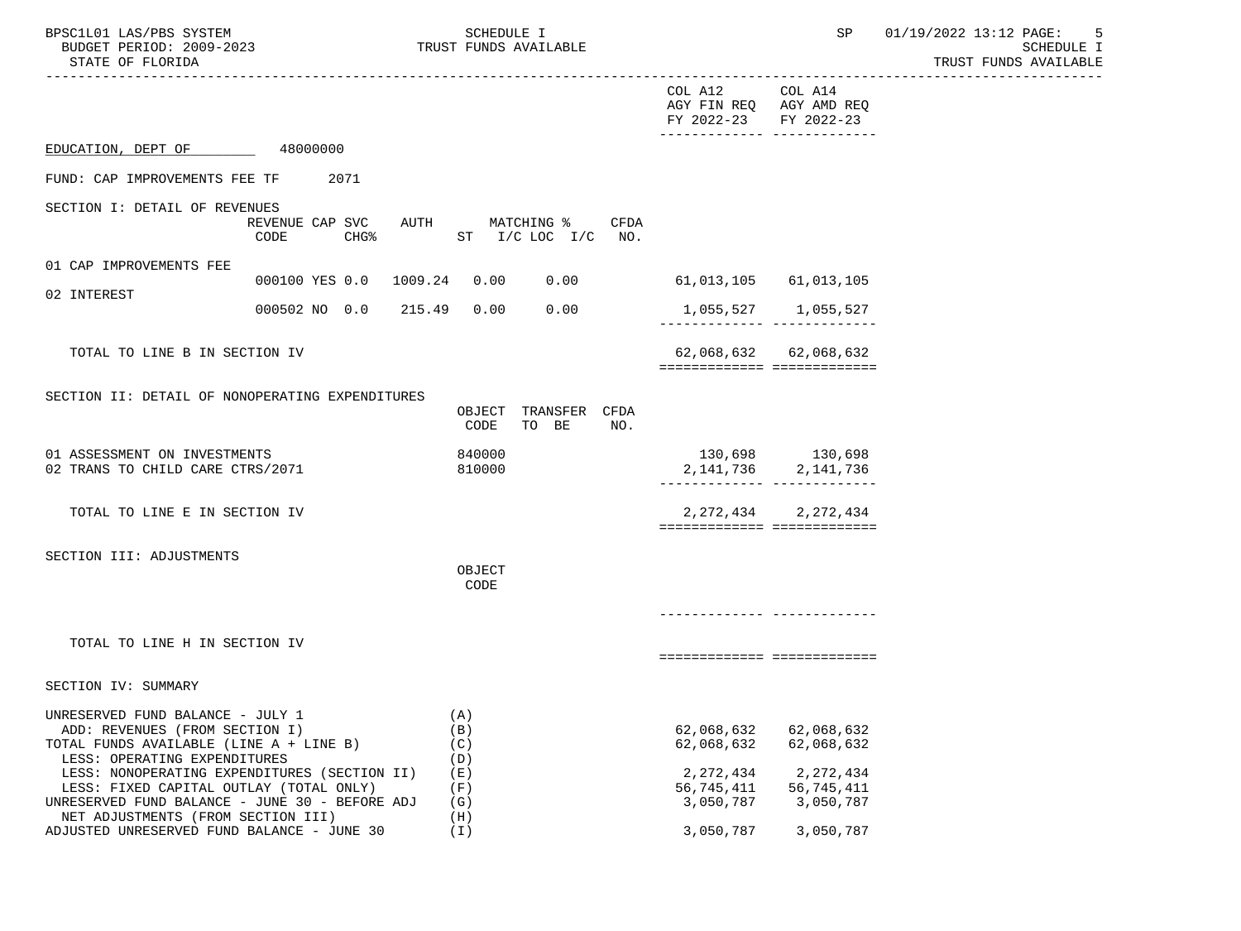| BPSC1L01 LAS/PBS SYSTEM<br>BUDGET PERIOD: 2009-2023<br>STATE OF FLORIDA                                                                                                         |                                             | SCHEDULE I<br>TRUST FUNDS AVAILABLE               |                                                                                   | SP                                         | 01/19/2022 13:12 PAGE:<br>-5<br>SCHEDULE I<br>TRUST FUNDS AVAILABLE |
|---------------------------------------------------------------------------------------------------------------------------------------------------------------------------------|---------------------------------------------|---------------------------------------------------|-----------------------------------------------------------------------------------|--------------------------------------------|---------------------------------------------------------------------|
|                                                                                                                                                                                 |                                             |                                                   | COL A12<br>AGY FIN REQ AGY AMD REQ<br>FY 2022-23<br>-------------- -------------- | COL A14<br>FY 2022-23                      |                                                                     |
| EDUCATION, DEPT OF 48000000                                                                                                                                                     |                                             |                                                   |                                                                                   |                                            |                                                                     |
| FUND: CAP IMPROVEMENTS FEE TF 2071                                                                                                                                              |                                             |                                                   |                                                                                   |                                            |                                                                     |
| SECTION I: DETAIL OF REVENUES                                                                                                                                                   | REVENUE CAP SVC<br>CODE<br>CHG <sup>8</sup> | AUTH MATCHING %<br>CFDA<br>ST $I/C$ LOC $I/C$ NO. |                                                                                   |                                            |                                                                     |
| 01 CAP IMPROVEMENTS FEE                                                                                                                                                         | 000100 YES 0.0 1009.24                      | 0.00<br>0.00                                      |                                                                                   |                                            |                                                                     |
| 02 INTEREST                                                                                                                                                                     | 000502 NO 0.0 215.49 0.00                   | 0.00                                              |                                                                                   | 1,055,527 1,055,527                        |                                                                     |
| TOTAL TO LINE B IN SECTION IV                                                                                                                                                   |                                             |                                                   | ============================                                                      | 62,068,632 62,068,632                      |                                                                     |
| SECTION II: DETAIL OF NONOPERATING EXPENDITURES                                                                                                                                 |                                             | OBJECT TRANSFER CFDA<br>CODE<br>TO BE<br>NO.      |                                                                                   |                                            |                                                                     |
| 01 ASSESSMENT ON INVESTMENTS<br>02 TRANS TO CHILD CARE CTRS/2071                                                                                                                |                                             | 840000<br>810000                                  |                                                                                   | 130,698 130,698<br>$2,141,736$ $2,141,736$ |                                                                     |
| TOTAL TO LINE E IN SECTION IV                                                                                                                                                   |                                             |                                                   | ============================                                                      | 2, 272, 434 2, 272, 434                    |                                                                     |
| SECTION III: ADJUSTMENTS                                                                                                                                                        |                                             | OBJECT<br>CODE                                    |                                                                                   |                                            |                                                                     |
|                                                                                                                                                                                 |                                             |                                                   | _____________________________                                                     |                                            |                                                                     |
| TOTAL TO LINE H IN SECTION IV                                                                                                                                                   |                                             |                                                   | ============================                                                      |                                            |                                                                     |
| SECTION IV: SUMMARY                                                                                                                                                             |                                             |                                                   |                                                                                   |                                            |                                                                     |
| UNRESERVED FUND BALANCE - JULY 1<br>ADD: REVENUES (FROM SECTION I)<br>TOTAL FUNDS AVAILABLE (LINE A + LINE B)<br>LESS: OPERATING EXPENDITURES                                   |                                             | (A)<br>(B)<br>(C)<br>(D)                          | 62,068,632<br>62,068,632                                                          | 62,068,632<br>62,068,632                   |                                                                     |
| LESS: NONOPERATING EXPENDITURES (SECTION II)<br>LESS: FIXED CAPITAL OUTLAY (TOTAL ONLY)<br>UNRESERVED FUND BALANCE - JUNE 30 - BEFORE ADJ<br>NET ADJUSTMENTS (FROM SECTION III) |                                             | (E)<br>(F)<br>(G)<br>(H)                          | 2, 272, 434<br>56,745,411<br>3,050,787                                            | 2, 272, 434<br>56,745,411<br>3,050,787     |                                                                     |
| ADJUSTED UNRESERVED FUND BALANCE - JUNE 30                                                                                                                                      |                                             | (T)                                               | 3,050,787                                                                         | 3,050,787                                  |                                                                     |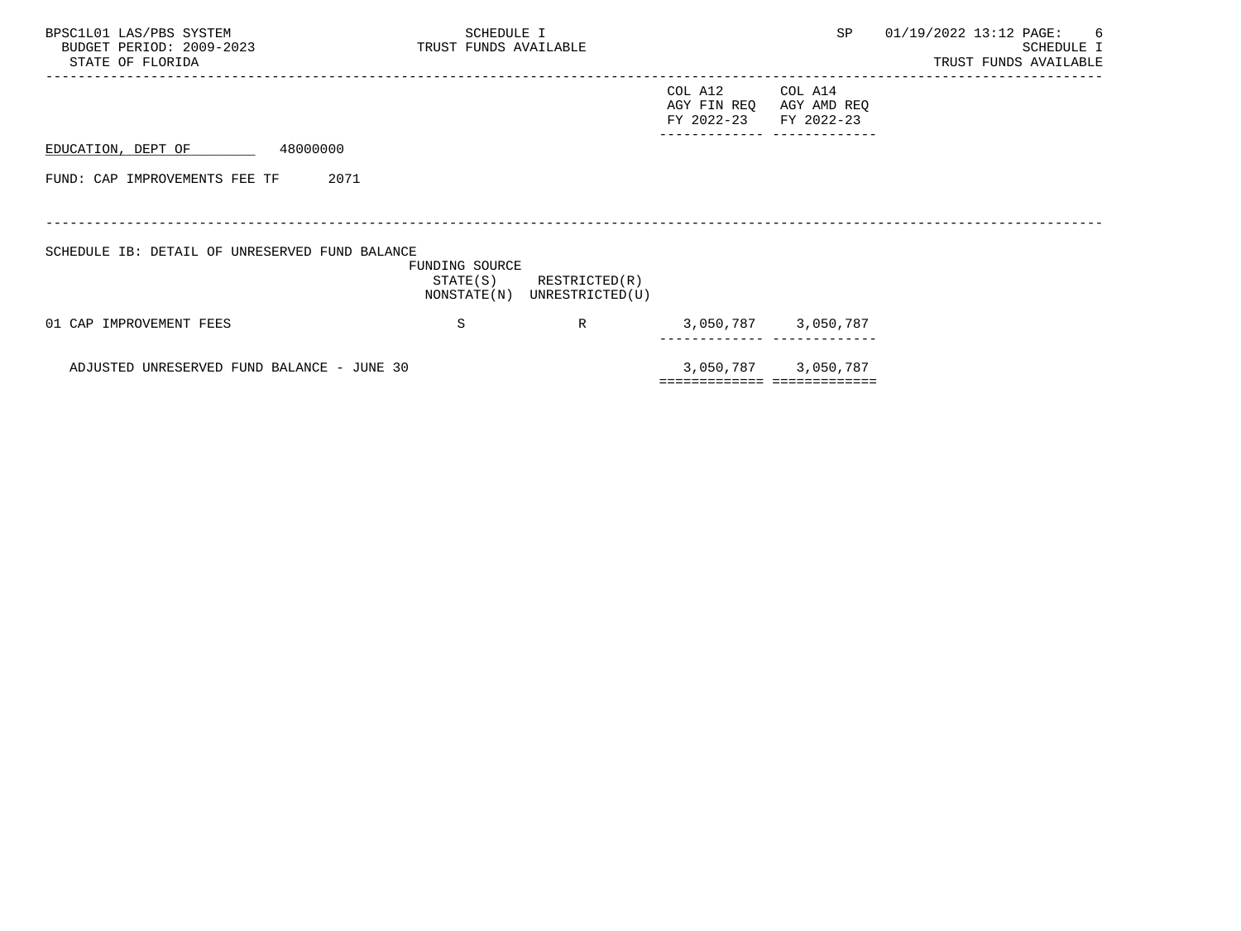| BPSC1L01 LAS/PBS SYSTEM<br>BUDGET PERIOD: 2009-2023<br>TRUST FUNDS AVAILABLE<br>STATE OF FLORIDA | SCHEDULE I                 |                                              |                                      | SP                                   | 01/19/2022 13:12 PAGE: | SCHEDULE I<br>TRUST FUNDS AVAILABLE | 6 |
|--------------------------------------------------------------------------------------------------|----------------------------|----------------------------------------------|--------------------------------------|--------------------------------------|------------------------|-------------------------------------|---|
|                                                                                                  |                            |                                              | COL A12<br>AGY FIN REQ<br>FY 2022-23 | COL A14<br>AGY AMD REQ<br>FY 2022-23 |                        |                                     |   |
| 48000000<br>EDUCATION, DEPT OF                                                                   |                            |                                              |                                      |                                      |                        |                                     |   |
| FUND: CAP IMPROVEMENTS FEE TF<br>2071                                                            |                            |                                              |                                      |                                      |                        |                                     |   |
| SCHEDULE IB: DETAIL OF UNRESERVED FUND BALANCE                                                   | FUNDING SOURCE<br>STATE(S) | RESTRICTED(R)<br>NONSTATE(N) UNRESTRICTED(U) |                                      |                                      |                        |                                     |   |
| 01 CAP IMPROVEMENT FEES                                                                          | S                          | R                                            |                                      | 3,050,787 3,050,787                  |                        |                                     |   |
| ADJUSTED UNRESERVED FUND BALANCE - JUNE 30                                                       |                            |                                              | ===========================          | 3,050,787 3,050,787                  |                        |                                     |   |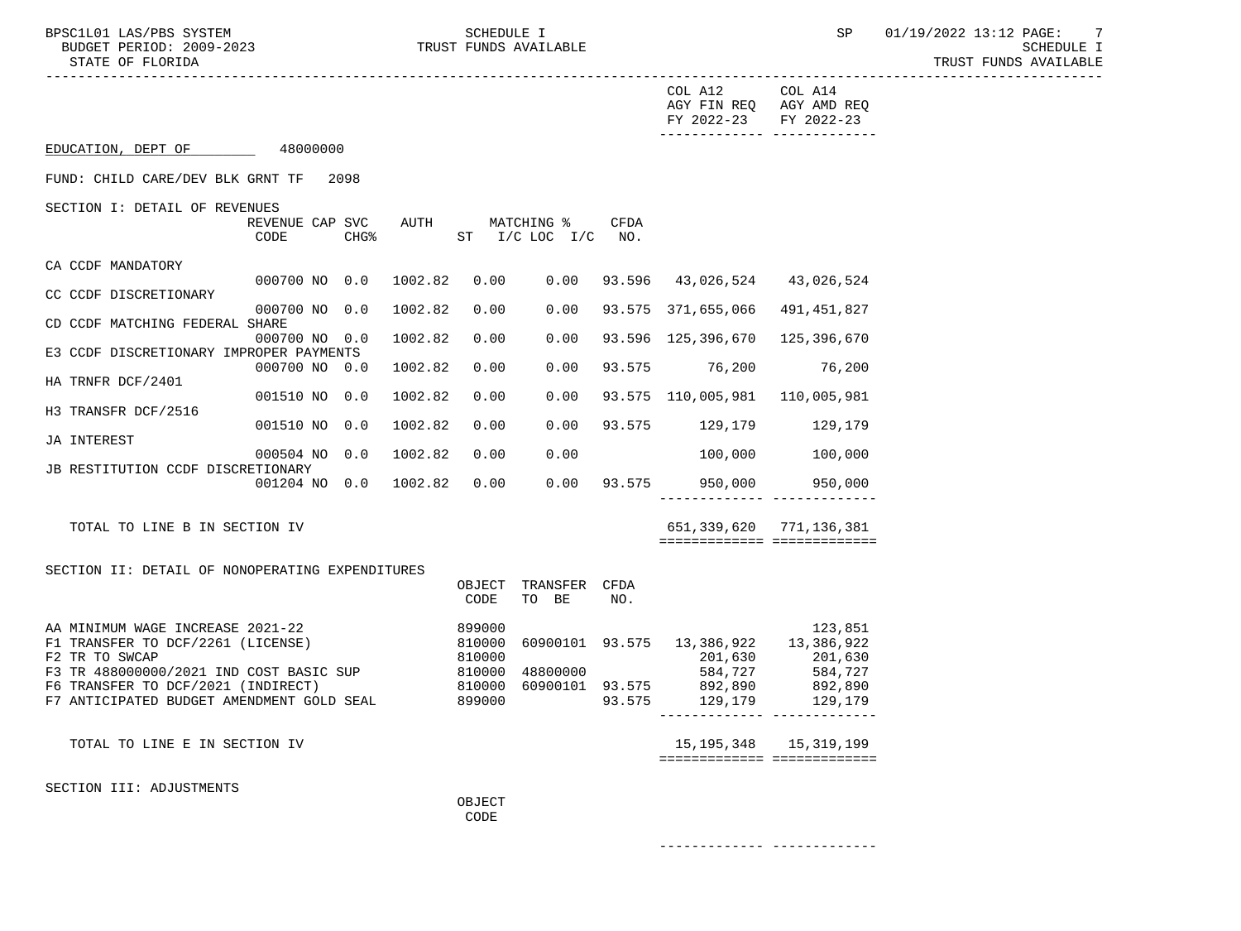------------- -------------

| BPSC1L01 LAS/PBS SYSTEM<br>BUDGET PERIOD: 2009-2023<br>STATE OF FLORIDA                                                    |                         |                  |         | SCHEDULE I       | TRUST FUNDS AVAILABLE            |             |                                                                      | SP                                               | 01/19/2022 13:12 PAGE: 7<br>SCHEDULE I<br>TRUST FUNDS AVAILABLE |
|----------------------------------------------------------------------------------------------------------------------------|-------------------------|------------------|---------|------------------|----------------------------------|-------------|----------------------------------------------------------------------|--------------------------------------------------|-----------------------------------------------------------------|
|                                                                                                                            |                         |                  |         |                  |                                  |             | COL A12<br>FY 2022-23                                                | COL A14<br>AGY FIN REQ AGY AMD REQ<br>FY 2022-23 |                                                                 |
| EDUCATION, DEPT OF 48000000                                                                                                |                         |                  |         |                  |                                  |             |                                                                      |                                                  |                                                                 |
| FUND: CHILD CARE/DEV BLK GRNT TF                                                                                           |                         | 2098             |         |                  |                                  |             |                                                                      |                                                  |                                                                 |
| SECTION I: DETAIL OF REVENUES                                                                                              |                         |                  |         |                  |                                  |             |                                                                      |                                                  |                                                                 |
|                                                                                                                            | REVENUE CAP SVC<br>CODE | CHG <sup>8</sup> | AUTH    |                  | MATCHING %<br>ST I/C LOC I/C NO. | CFDA        |                                                                      |                                                  |                                                                 |
| CA CCDF MANDATORY                                                                                                          | 000700 NO 0.0           |                  | 1002.82 | 0.00             | 0.00                             |             | 93.596 43,026,524                                                    | 43,026,524                                       |                                                                 |
| CC CCDF DISCRETIONARY                                                                                                      |                         |                  |         |                  |                                  |             |                                                                      |                                                  |                                                                 |
| CD CCDF MATCHING FEDERAL SHARE                                                                                             | 000700 NO 0.0           |                  | 1002.82 | 0.00             | 0.00                             |             | 93.575 371,655,066                                                   | 491,451,827                                      |                                                                 |
| E3 CCDF DISCRETIONARY IMPROPER PAYMENTS                                                                                    | 000700 NO 0.0           |                  | 1002.82 | 0.00             | 0.00                             |             | 93.596 125,396,670                                                   | 125,396,670                                      |                                                                 |
|                                                                                                                            | 000700 NO 0.0           |                  | 1002.82 | 0.00             | 0.00                             | 93.575      | 76,200                                                               | 76,200                                           |                                                                 |
| HA TRNFR DCF/2401                                                                                                          | 001510 NO 0.0           |                  | 1002.82 | 0.00             | 0.00                             |             | 93.575 110,005,981                                                   | 110,005,981                                      |                                                                 |
| H3 TRANSFR DCF/2516                                                                                                        | 001510 NO 0.0           |                  | 1002.82 | 0.00             | 0.00                             |             | 93.575 129,179                                                       | 129,179                                          |                                                                 |
| JA INTEREST                                                                                                                | 000504 NO 0.0           |                  | 1002.82 | 0.00             |                                  |             | 100,000                                                              | 100,000                                          |                                                                 |
| JB RESTITUTION CCDF DISCRETIONARY                                                                                          |                         |                  |         |                  | 0.00                             |             |                                                                      |                                                  |                                                                 |
|                                                                                                                            | 001204 NO 0.0 1002.82   |                  |         | 0.00             | 0.00                             |             | 93.575 950,000 950,000                                               | -------------- --------------                    |                                                                 |
| TOTAL TO LINE B IN SECTION IV                                                                                              |                         |                  |         |                  |                                  |             | ===========================                                          | 651, 339, 620 771, 136, 381                      |                                                                 |
| SECTION II: DETAIL OF NONOPERATING EXPENDITURES                                                                            |                         |                  |         |                  |                                  |             |                                                                      |                                                  |                                                                 |
|                                                                                                                            |                         |                  |         | OBJECT<br>CODE   | TRANSFER<br>TO BE                | CFDA<br>NO. |                                                                      |                                                  |                                                                 |
| AA MINIMUM WAGE INCREASE 2021-22<br>F1 TRANSFER TO DCF/2261 (LICENSE)                                                      |                         |                  |         | 899000<br>810000 |                                  |             | 60900101 93.575 13,386,922 13,386,922                                | 123,851                                          |                                                                 |
| F2 TR TO SWCAP                                                                                                             |                         |                  |         | 810000           |                                  |             | 201,630                                                              | 201,630                                          |                                                                 |
| F3 TR 488000000/2021 IND COST BASIC SUP<br>F6 TRANSFER TO DCF/2021 (INDIRECT)<br>F7 ANTICIPATED BUDGET AMENDMENT GOLD SEAL |                         |                  |         | 810000<br>899000 |                                  | 93.575      | 810000 48800000 584,727<br>810000 60900101 93.575 892,890<br>129,179 | 584,727<br>892,890<br>129,179                    |                                                                 |
| TOTAL TO LINE E IN SECTION IV                                                                                              |                         |                  |         |                  |                                  |             | ===========================                                          | 15, 195, 348   15, 319, 199                      |                                                                 |
| SECTION III: ADJUSTMENTS                                                                                                   |                         |                  |         |                  |                                  |             |                                                                      |                                                  |                                                                 |
|                                                                                                                            |                         |                  |         | OBJECT<br>CODE   |                                  |             |                                                                      |                                                  |                                                                 |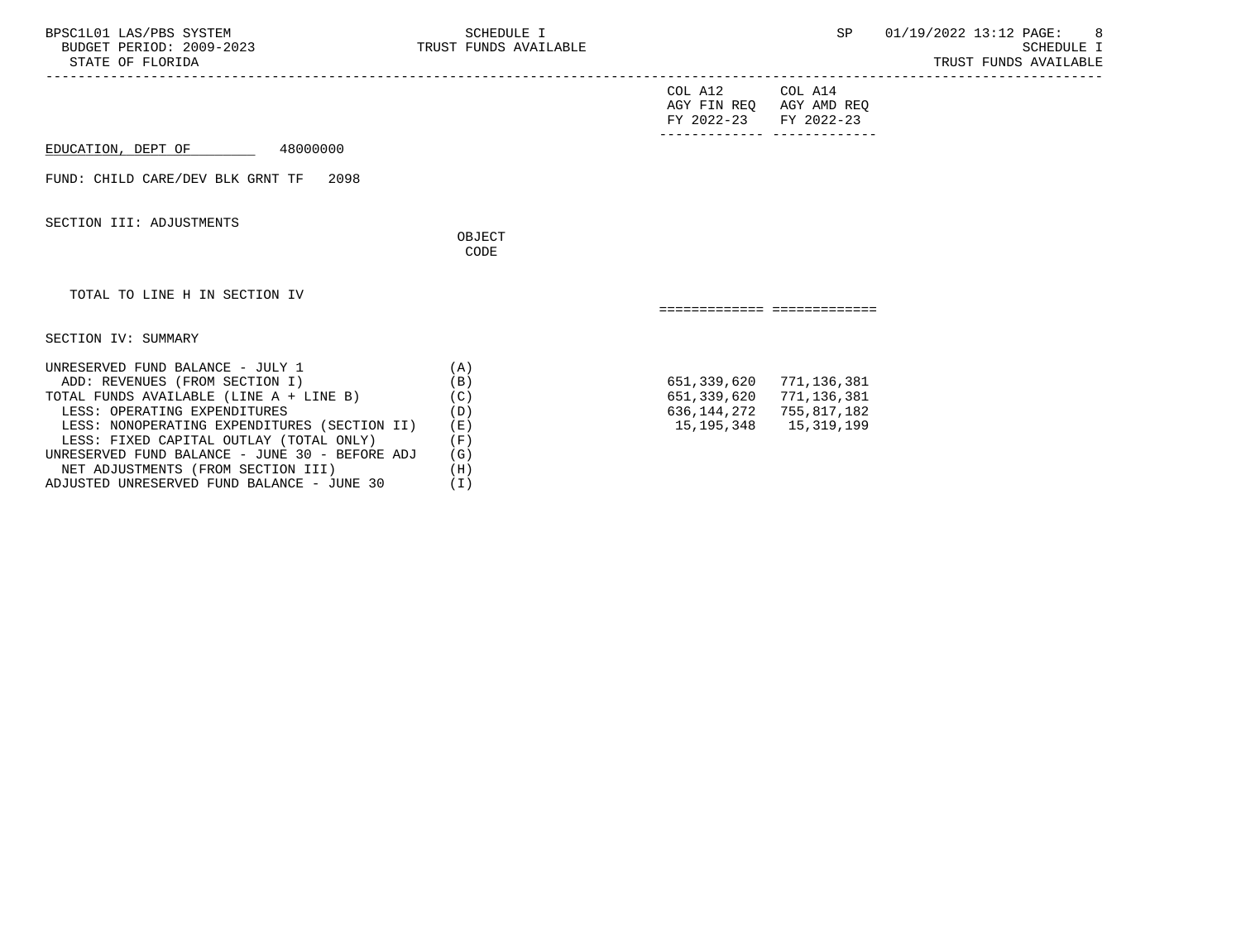| BPSC1L01 LAS/PBS SYSTEM<br>BUDGET PERIOD: 2009-2023 TRUST FUNDS AVAILABLE<br>STATE OF FLORIDA                                                                                                                                                                                                                                    | SCHEDULE I                                             |                                                                                      | SP                         | 01/19/2022 13:12 PAGE: 8<br><b>SCHEDULE I</b><br>TRUST FUNDS AVAILABLE |
|----------------------------------------------------------------------------------------------------------------------------------------------------------------------------------------------------------------------------------------------------------------------------------------------------------------------------------|--------------------------------------------------------|--------------------------------------------------------------------------------------|----------------------------|------------------------------------------------------------------------|
|                                                                                                                                                                                                                                                                                                                                  |                                                        | COL A12 COL A14<br>FY 2022-23 FY 2022-23                                             | AGY FIN REQ AGY AMD REQ    |                                                                        |
| EDUCATION, DEPT OF 48000000                                                                                                                                                                                                                                                                                                      |                                                        |                                                                                      |                            |                                                                        |
| FUND: CHILD CARE/DEV BLK GRNT TF 2098                                                                                                                                                                                                                                                                                            |                                                        |                                                                                      |                            |                                                                        |
| SECTION III: ADJUSTMENTS                                                                                                                                                                                                                                                                                                         | OBJECT<br>CODE                                         |                                                                                      |                            |                                                                        |
| TOTAL TO LINE H IN SECTION IV                                                                                                                                                                                                                                                                                                    |                                                        | ============================                                                         |                            |                                                                        |
| SECTION IV: SUMMARY                                                                                                                                                                                                                                                                                                              |                                                        |                                                                                      |                            |                                                                        |
| UNRESERVED FUND BALANCE - JULY 1<br>ADD: REVENUES (FROM SECTION I)<br>TOTAL FUNDS AVAILABLE (LINE A + LINE B)<br>LESS: OPERATING EXPENDITURES<br>LESS: NONOPERATING EXPENDITURES (SECTION II)<br>LESS: FIXED CAPITAL OUTLAY (TOTAL ONLY)<br>UNRESERVED FUND BALANCE - JUNE 30 - BEFORE ADJ<br>NET ADJUSTMENTS (FROM SECTION III) | (A)<br>(B)<br>(C)<br>(D)<br>( E )<br>(F)<br>(G)<br>(H) | 651,339,620 771,136,381<br>651,339,620<br>636,144,272<br>15, 195, 348   15, 319, 199 | 771,136,381<br>755,817,182 |                                                                        |

ADJUSTED UNRESERVED FUND BALANCE - JUNE 30 (I)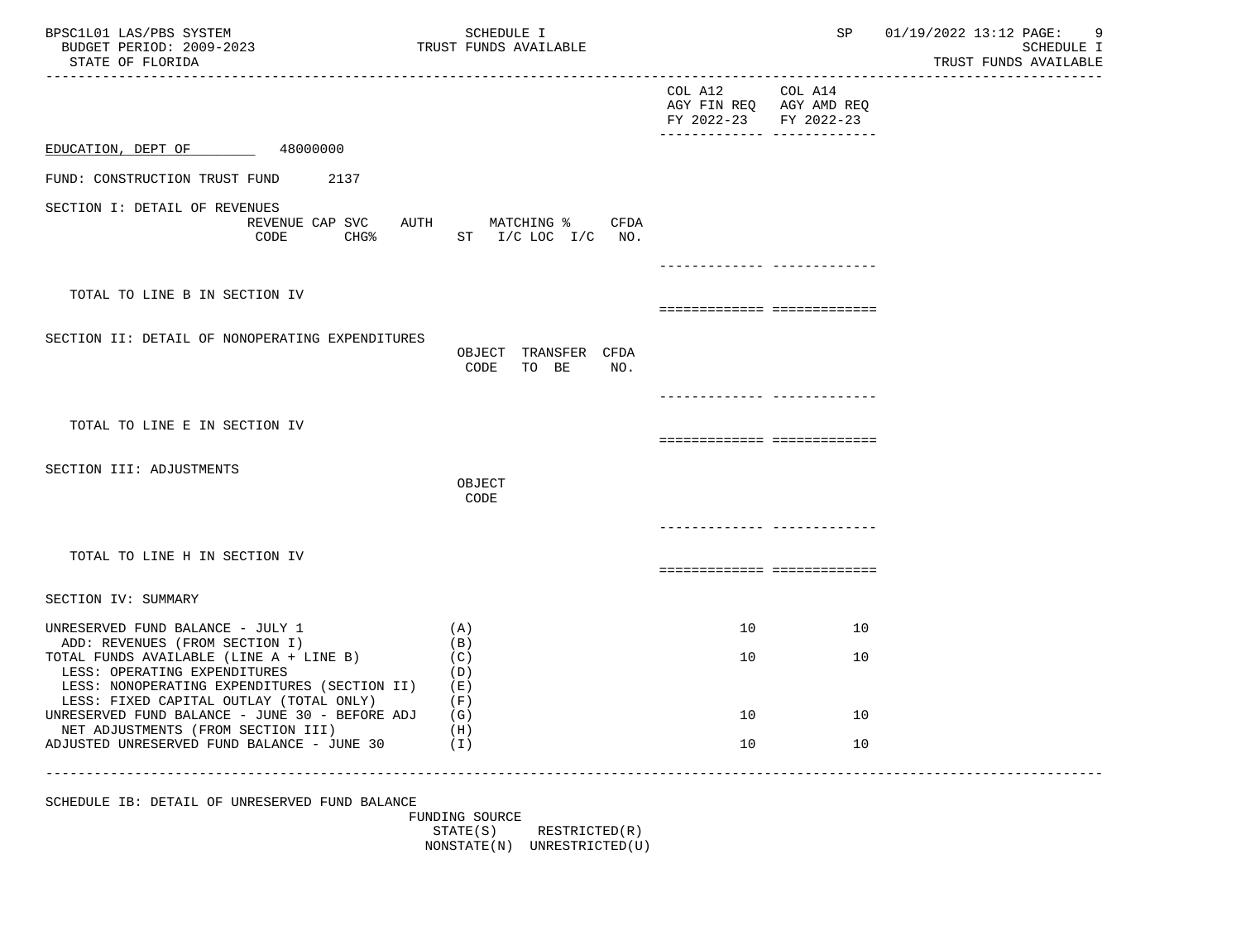| BPSC1L01 LAS/PBS SYSTEM<br>BUDGET PERIOD: 2009-2023<br>STATE OF FLORIDA                                                                                   | SCHEDULE I<br>TRUST FUNDS AVAILABLE                                        |                                  | SP                                 | 01/19/2022 13:12 PAGE:<br>9<br>SCHEDULE I<br>TRUST FUNDS AVAILABLE |
|-----------------------------------------------------------------------------------------------------------------------------------------------------------|----------------------------------------------------------------------------|----------------------------------|------------------------------------|--------------------------------------------------------------------|
|                                                                                                                                                           |                                                                            | COL A12<br>FY 2022-23 FY 2022-23 | COL A14<br>AGY FIN REQ AGY AMD REQ |                                                                    |
| $\frac{48000000}{2}$<br>EDUCATION, DEPT OF                                                                                                                |                                                                            |                                  |                                    |                                                                    |
| FUND: CONSTRUCTION TRUST FUND<br>2137                                                                                                                     |                                                                            |                                  |                                    |                                                                    |
| SECTION I: DETAIL OF REVENUES<br>REVENUE CAP SVC<br>AUTH<br>CODE<br>CHG%                                                                                  | MATCHING %<br>CFDA<br>ST $I/C$ LOC $I/C$ NO.                               |                                  | ____________ ___________           |                                                                    |
| TOTAL TO LINE B IN SECTION IV                                                                                                                             |                                                                            |                                  | ===========================        |                                                                    |
| SECTION II: DETAIL OF NONOPERATING EXPENDITURES                                                                                                           | OBJECT TRANSFER CFDA<br>CODE<br>TO BE<br>NO.                               |                                  |                                    |                                                                    |
|                                                                                                                                                           |                                                                            |                                  | ------------ --------------        |                                                                    |
| TOTAL TO LINE E IN SECTION IV                                                                                                                             |                                                                            |                                  | ============================       |                                                                    |
| SECTION III: ADJUSTMENTS                                                                                                                                  | OBJECT<br>CODE                                                             |                                  |                                    |                                                                    |
|                                                                                                                                                           |                                                                            |                                  | -------------- --------------      |                                                                    |
| TOTAL TO LINE H IN SECTION IV                                                                                                                             |                                                                            |                                  | ===========================        |                                                                    |
| SECTION IV: SUMMARY                                                                                                                                       |                                                                            |                                  |                                    |                                                                    |
| UNRESERVED FUND BALANCE - JULY 1                                                                                                                          | (A)                                                                        | 10                               | 10                                 |                                                                    |
| ADD: REVENUES (FROM SECTION I)<br>TOTAL FUNDS AVAILABLE (LINE A + LINE B)<br>LESS: OPERATING EXPENDITURES<br>LESS: NONOPERATING EXPENDITURES (SECTION II) | (B)<br>(C)<br>(D)<br>(E)                                                   | 10                               | 10                                 |                                                                    |
| LESS: FIXED CAPITAL OUTLAY (TOTAL ONLY)<br>UNRESERVED FUND BALANCE - JUNE 30 - BEFORE ADJ                                                                 | (F)<br>(G)                                                                 | 10                               | 10                                 |                                                                    |
| NET ADJUSTMENTS (FROM SECTION III)<br>ADJUSTED UNRESERVED FUND BALANCE - JUNE 30                                                                          | (H)<br>(T)                                                                 | 10                               | 10                                 |                                                                    |
|                                                                                                                                                           |                                                                            |                                  |                                    |                                                                    |
| SCHEDULE IB: DETAIL OF UNRESERVED FUND BALANCE                                                                                                            | FUNDING SOURCE<br>STATE(S)<br>RESTRICTED(R)<br>NONSTATE(N) UNRESTRICTED(U) |                                  |                                    |                                                                    |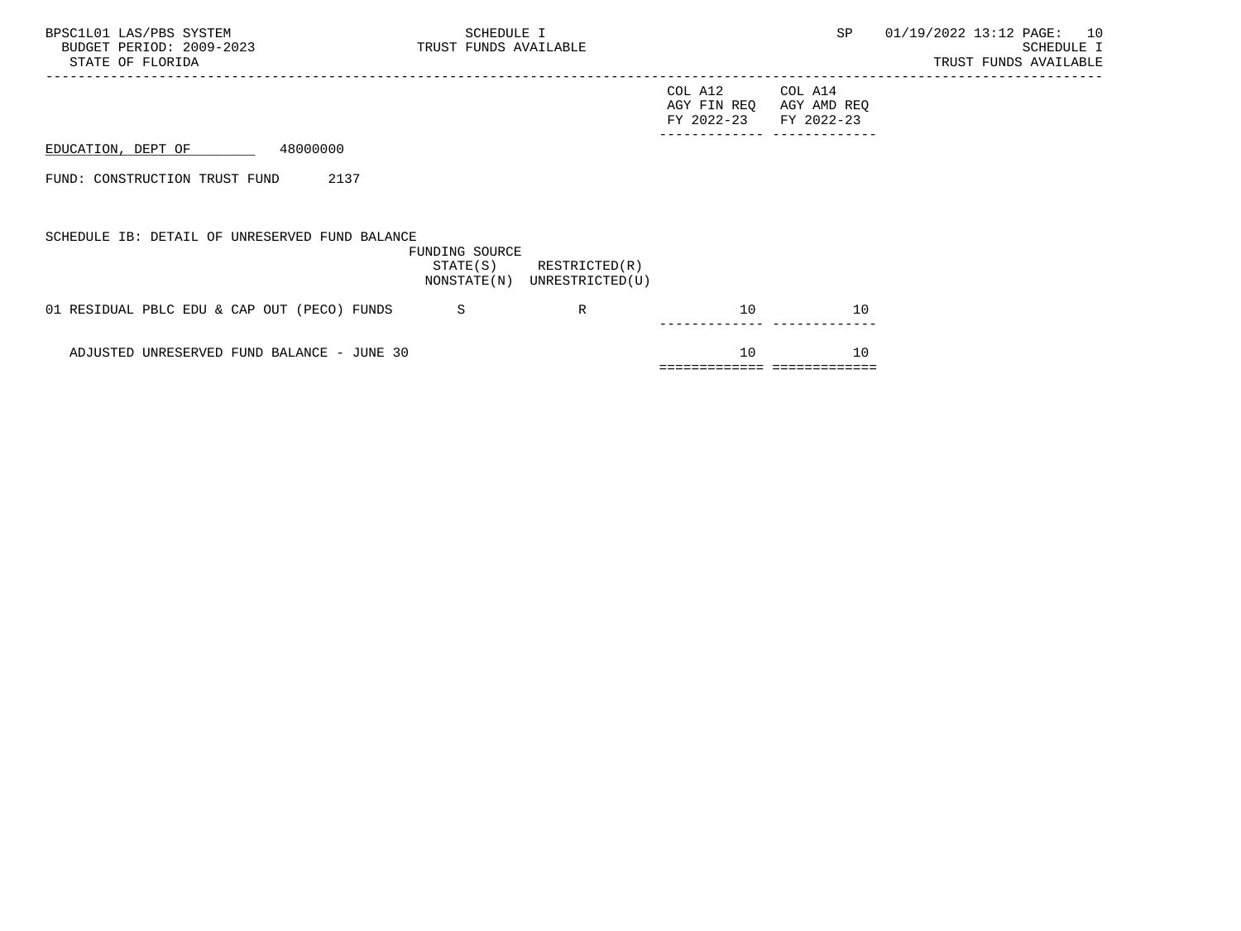| BPSC1L01 LAS/PBS SYSTEM<br>BUDGET PERIOD: 2009-2023 TRUST FUNDS AVAILABLE<br>STATE OF FLORIDA | SCHEDULE I     |                                                            |                                                 | SP                     | 01/19/2022 13:12 PAGE: 10<br>SCHEDULE I<br>TRUST FUNDS AVAILABLE |
|-----------------------------------------------------------------------------------------------|----------------|------------------------------------------------------------|-------------------------------------------------|------------------------|------------------------------------------------------------------|
|                                                                                               |                |                                                            | COL A12<br>AGY FIN REQ<br>FY 2022-23 FY 2022-23 | COL A14<br>AGY AMD REQ |                                                                  |
| 48000000<br>EDUCATION, DEPT OF                                                                |                |                                                            |                                                 |                        |                                                                  |
| 2137<br>FUND: CONSTRUCTION TRUST FUND                                                         |                |                                                            |                                                 |                        |                                                                  |
| SCHEDULE IB: DETAIL OF UNRESERVED FUND BALANCE                                                | FUNDING SOURCE | $STATE(S)$ RESTRICTED $(R)$<br>NONSTATE(N) UNRESTRICTED(U) |                                                 |                        |                                                                  |
| 01 RESIDUAL PBLC EDU & CAP OUT (PECO) FUNDS S                                                 |                | R                                                          | 10                                              | 10                     |                                                                  |
| ADJUSTED UNRESERVED FUND BALANCE - JUNE 30                                                    |                |                                                            | 10<br>============================              | 10                     |                                                                  |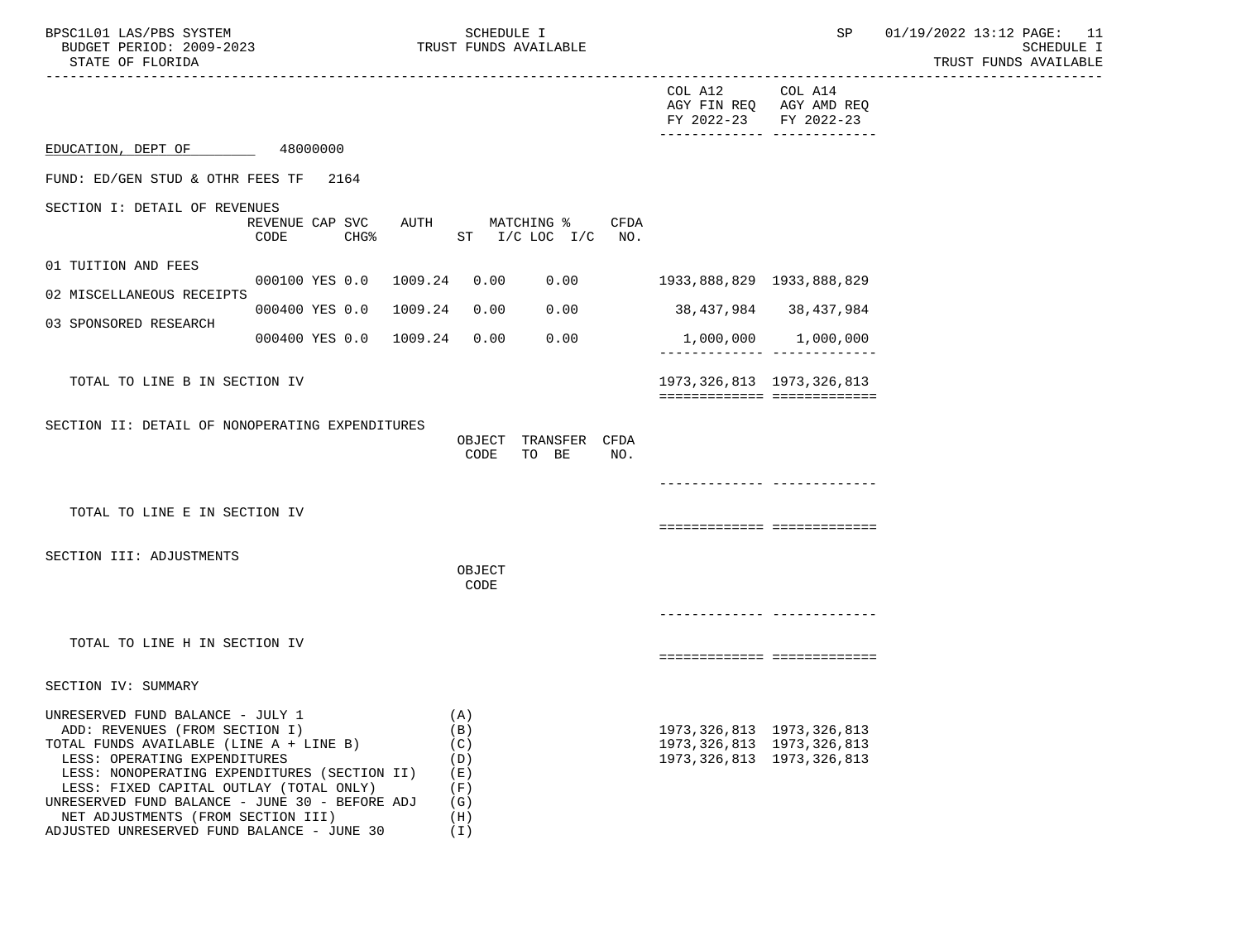| BPSC1L01 LAS/PBS SYSTEM<br>BUDGET PERIOD: 2009-2023<br>STATE OF FLORIDA                                                                                                                                                                                                                                                                                                        | _____________________________               | SCHEDULE I<br>TRUST FUNDS AVAILABLE                         |                                                                                                 | SP                                                                               | 01/19/2022 13:12 PAGE: 11<br>SCHEDULE I<br>TRUST FUNDS AVAILABLE |
|--------------------------------------------------------------------------------------------------------------------------------------------------------------------------------------------------------------------------------------------------------------------------------------------------------------------------------------------------------------------------------|---------------------------------------------|-------------------------------------------------------------|-------------------------------------------------------------------------------------------------|----------------------------------------------------------------------------------|------------------------------------------------------------------|
|                                                                                                                                                                                                                                                                                                                                                                                |                                             |                                                             | COL A12<br>FY 2022-23                                                                           | COL A14<br>AGY FIN REQ AGY AMD REQ<br>FY 2022-23<br>-------------- ------------- |                                                                  |
| EDUCATION, DEPT OF 48000000                                                                                                                                                                                                                                                                                                                                                    |                                             |                                                             |                                                                                                 |                                                                                  |                                                                  |
| FUND: ED/GEN STUD & OTHR FEES TF 2164                                                                                                                                                                                                                                                                                                                                          |                                             |                                                             |                                                                                                 |                                                                                  |                                                                  |
| SECTION I: DETAIL OF REVENUES                                                                                                                                                                                                                                                                                                                                                  | REVENUE CAP SVC<br>CODE<br>CHG <sup>8</sup> | CFDA<br>AUTH MATCHING %<br>ST I/C LOC I/C<br>NO.            |                                                                                                 |                                                                                  |                                                                  |
| 01 TUITION AND FEES                                                                                                                                                                                                                                                                                                                                                            | 000100 YES 0.0 1009.24                      | 0.00<br>0.00                                                | 1933,888,829 1933,888,829                                                                       |                                                                                  |                                                                  |
| 02 MISCELLANEOUS RECEIPTS                                                                                                                                                                                                                                                                                                                                                      | 000400 YES 0.0 1009.24                      | 0.00<br>0.00                                                | 38,437,984 38,437,984                                                                           |                                                                                  |                                                                  |
| 03 SPONSORED RESEARCH                                                                                                                                                                                                                                                                                                                                                          | 000400 YES 0.0 1009.24                      | 0.00<br>0.00                                                |                                                                                                 | 1,000,000 1,000,000                                                              |                                                                  |
| TOTAL TO LINE B IN SECTION IV                                                                                                                                                                                                                                                                                                                                                  |                                             |                                                             | 1973, 326, 813 1973, 326, 813                                                                   | ============================                                                     |                                                                  |
| SECTION II: DETAIL OF NONOPERATING EXPENDITURES                                                                                                                                                                                                                                                                                                                                |                                             | OBJECT TRANSFER CFDA<br>CODE<br>TO BE<br>NO.                |                                                                                                 |                                                                                  |                                                                  |
| TOTAL TO LINE E IN SECTION IV                                                                                                                                                                                                                                                                                                                                                  |                                             |                                                             |                                                                                                 |                                                                                  |                                                                  |
| SECTION III: ADJUSTMENTS                                                                                                                                                                                                                                                                                                                                                       |                                             | OBJECT<br>CODE                                              |                                                                                                 | ============================                                                     |                                                                  |
|                                                                                                                                                                                                                                                                                                                                                                                |                                             |                                                             |                                                                                                 | -------------- --------------                                                    |                                                                  |
| TOTAL TO LINE H IN SECTION IV                                                                                                                                                                                                                                                                                                                                                  |                                             |                                                             |                                                                                                 | ===========================                                                      |                                                                  |
| SECTION IV: SUMMARY                                                                                                                                                                                                                                                                                                                                                            |                                             |                                                             |                                                                                                 |                                                                                  |                                                                  |
| UNRESERVED FUND BALANCE - JULY 1<br>ADD: REVENUES (FROM SECTION I)<br>TOTAL FUNDS AVAILABLE (LINE A + LINE B)<br>LESS: OPERATING EXPENDITURES<br>LESS: NONOPERATING EXPENDITURES (SECTION II)<br>LESS: FIXED CAPITAL OUTLAY (TOTAL ONLY)<br>UNRESERVED FUND BALANCE - JUNE 30 - BEFORE ADJ<br>NET ADJUSTMENTS (FROM SECTION III)<br>ADJUSTED UNRESERVED FUND BALANCE - JUNE 30 |                                             | (A)<br>(B)<br>(C)<br>(D)<br>(E)<br>(F)<br>(G)<br>(H)<br>(T) | 1973, 326, 813 1973, 326, 813<br>1973, 326, 813 1973, 326, 813<br>1973, 326, 813 1973, 326, 813 |                                                                                  |                                                                  |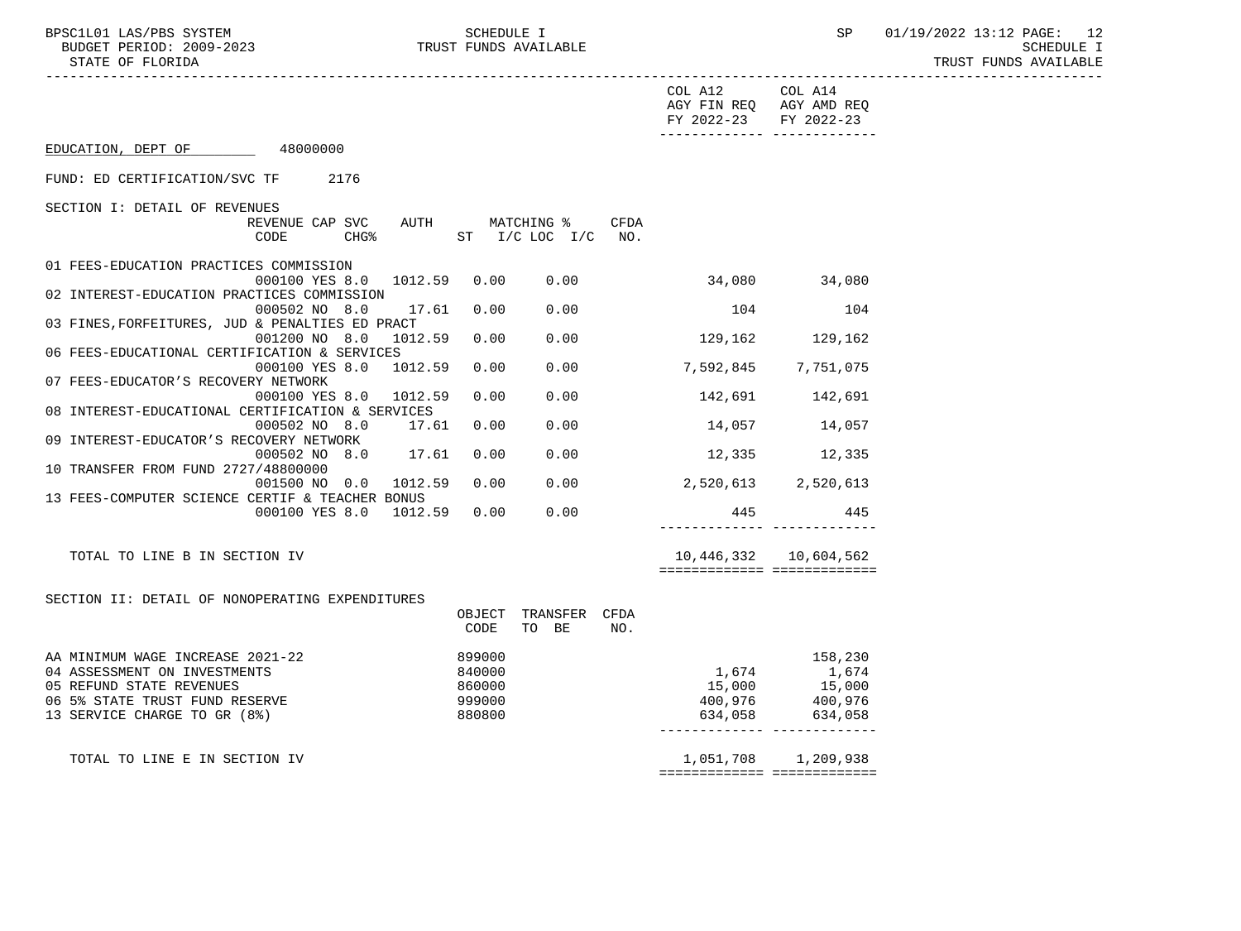|                                                                                   |                  |                      |      | COL A12 COL A14<br>AGY FIN REQ AGY AMD REQ<br>FY 2022-23 FY 2022-23 |                                  |  |
|-----------------------------------------------------------------------------------|------------------|----------------------|------|---------------------------------------------------------------------|----------------------------------|--|
| EDUCATION, DEPT OF 48000000                                                       |                  |                      |      |                                                                     |                                  |  |
| FUND: ED CERTIFICATION/SVC TF 2176                                                |                  |                      |      |                                                                     |                                  |  |
| SECTION I: DETAIL OF REVENUES                                                     |                  |                      |      |                                                                     |                                  |  |
| REVENUE CAP SVC AUTH MATCHING %                                                   |                  |                      | CFDA |                                                                     |                                  |  |
| CHG <sup>&amp;</sup> ST I/C LOC I/C NO.<br>CODE                                   |                  |                      |      |                                                                     |                                  |  |
| 01 FEES-EDUCATION PRACTICES COMMISSION                                            |                  |                      |      |                                                                     |                                  |  |
| 000100 YES 8.0  1012.59  0.00                                                     |                  | 0.00                 |      | 34,080 34,080                                                       |                                  |  |
| 02 INTEREST-EDUCATION PRACTICES COMMISSION                                        |                  | 0.00                 |      |                                                                     | 104                              |  |
| 000502 NO 8.0<br>17.61<br>03 FINES, FORFEITURES, JUD & PENALTIES ED PRACT         | 0.00             |                      |      | 104                                                                 |                                  |  |
| 001200 NO 8.0<br>1012.59                                                          | 0.00             | 0.00                 |      | $129,162$ $129,162$                                                 |                                  |  |
| 06 FEES-EDUCATIONAL CERTIFICATION & SERVICES                                      |                  |                      |      |                                                                     |                                  |  |
| 000100 YES 8.0<br>1012.59                                                         | 0.00             | 0.00                 |      | 7,592,845 7,751,075                                                 |                                  |  |
| 07 FEES-EDUCATOR'S RECOVERY NETWORK                                               |                  |                      |      |                                                                     |                                  |  |
| 000100 YES 8.0 1012.59<br>08 INTEREST-EDUCATIONAL CERTIFICATION & SERVICES        | 0.00             | 0.00                 |      | 142,691 142,691                                                     |                                  |  |
| 17.61<br>000502 NO 8.0                                                            | 0.00             | 0.00                 |      | 14,057                                                              | 14,057                           |  |
| 09 INTEREST-EDUCATOR'S RECOVERY NETWORK                                           |                  |                      |      |                                                                     |                                  |  |
| 17.61<br>000502 NO 8.0                                                            | 0.00             | 0.00                 |      | $12,335$ $12,335$                                                   |                                  |  |
| 10 TRANSFER FROM FUND 2727/48800000                                               |                  |                      |      |                                                                     |                                  |  |
| 001500 NO 0.0 1012.59                                                             | 0.00             | 0.00                 |      | 2,520,613 2,520,613                                                 |                                  |  |
| 13 FEES-COMPUTER SCIENCE CERTIF & TEACHER BONUS<br>000100 YES 8.0<br>1012.59 0.00 |                  | 0.00                 |      | 445                                                                 | 445                              |  |
|                                                                                   |                  |                      |      |                                                                     | ----------- -------------        |  |
| TOTAL TO LINE B IN SECTION IV                                                     |                  |                      |      |                                                                     | 10,446,332   10,604,562          |  |
|                                                                                   |                  |                      |      | =============================                                       |                                  |  |
|                                                                                   |                  |                      |      |                                                                     |                                  |  |
| SECTION II: DETAIL OF NONOPERATING EXPENDITURES                                   |                  | OBJECT TRANSFER CFDA |      |                                                                     |                                  |  |
|                                                                                   | CODE             | TO BE                | NO.  |                                                                     |                                  |  |
|                                                                                   |                  |                      |      |                                                                     |                                  |  |
| AA MINIMUM WAGE INCREASE 2021-22                                                  | 899000           |                      |      |                                                                     | 158,230<br>1,674                 |  |
| 04 ASSESSMENT ON INVESTMENTS                                                      | 840000           |                      |      | 1,674                                                               |                                  |  |
| 05 REFUND STATE REVENUES<br>06 5% STATE TRUST FUND RESERVE                        | 860000<br>999000 |                      |      |                                                                     | 15,000 15,000<br>400,976 400,976 |  |
| 13 SERVICE CHARGE TO GR (8%)                                                      | 880800           |                      |      | 634,058                                                             | 634,058                          |  |
|                                                                                   |                  |                      |      |                                                                     |                                  |  |
| TOTAL TO LINE E IN SECTION IV                                                     |                  |                      |      |                                                                     | 1,051,708 1,209,938              |  |
|                                                                                   |                  |                      |      | _______________________________                                     |                                  |  |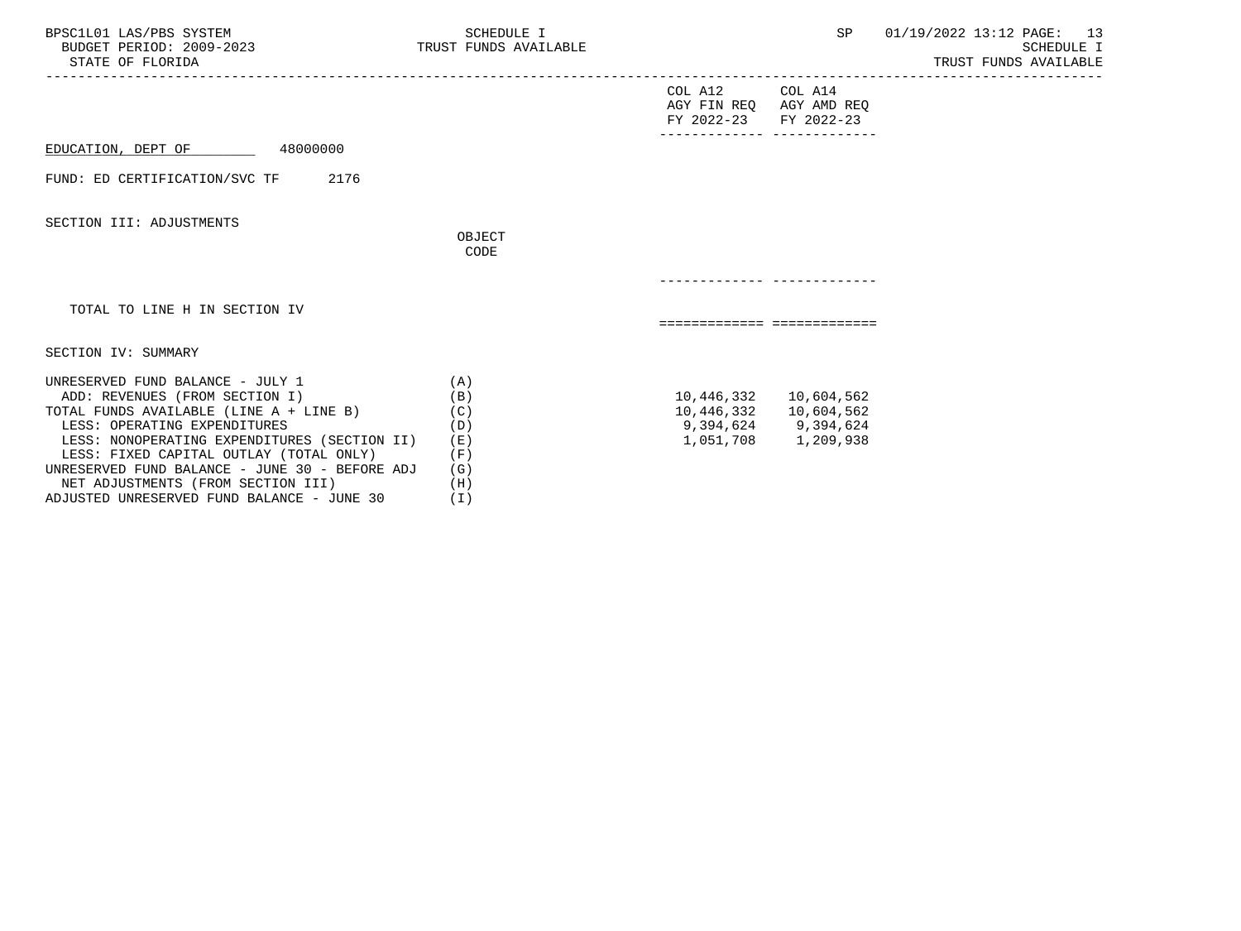| BPSC1L01 LAS/PBS SYSTEM<br>BUDGET PERIOD: 2009-2023<br>STATE OF FLORIDA                                                                                                                                                                                                                                                          | SCHEDULE I<br>TRUST FUNDS AVAILABLE                    |                                                                     | SP                                                                                             | 01/19/2022 13:12 PAGE: 13<br><b>SCHEDULE I</b><br>TRUST FUNDS AVAILABLE |
|----------------------------------------------------------------------------------------------------------------------------------------------------------------------------------------------------------------------------------------------------------------------------------------------------------------------------------|--------------------------------------------------------|---------------------------------------------------------------------|------------------------------------------------------------------------------------------------|-------------------------------------------------------------------------|
|                                                                                                                                                                                                                                                                                                                                  |                                                        | COL A12 COL A14<br>AGY FIN REQ AGY AMD REQ<br>FY 2022-23 FY 2022-23 |                                                                                                |                                                                         |
| 48000000<br>EDUCATION, DEPT OF                                                                                                                                                                                                                                                                                                   |                                                        |                                                                     | -------------- -------------                                                                   |                                                                         |
| 2176<br>FUND: ED CERTIFICATION/SVC TF                                                                                                                                                                                                                                                                                            |                                                        |                                                                     |                                                                                                |                                                                         |
| SECTION III: ADJUSTMENTS                                                                                                                                                                                                                                                                                                         | OBJECT<br>CODE                                         |                                                                     |                                                                                                |                                                                         |
|                                                                                                                                                                                                                                                                                                                                  |                                                        |                                                                     |                                                                                                |                                                                         |
| TOTAL TO LINE H IN SECTION IV                                                                                                                                                                                                                                                                                                    |                                                        | ===========================                                         |                                                                                                |                                                                         |
| SECTION IV: SUMMARY                                                                                                                                                                                                                                                                                                              |                                                        |                                                                     |                                                                                                |                                                                         |
| UNRESERVED FUND BALANCE - JULY 1<br>ADD: REVENUES (FROM SECTION I)<br>TOTAL FUNDS AVAILABLE (LINE A + LINE B)<br>LESS: OPERATING EXPENDITURES<br>LESS: NONOPERATING EXPENDITURES (SECTION II)<br>LESS: FIXED CAPITAL OUTLAY (TOTAL ONLY)<br>UNRESERVED FUND BALANCE - JUNE 30 - BEFORE ADJ<br>NET ADJUSTMENTS (FROM SECTION III) | (A)<br>(B)<br>(C)<br>(D)<br>( E )<br>(F)<br>(G)<br>(H) |                                                                     | 10,446,332   10,604,562<br>10,446,332 10,604,562<br>9,394,624 9,394,624<br>1,051,708 1,209,938 |                                                                         |

ADJUSTED UNRESERVED FUND BALANCE - JUNE 30 (I)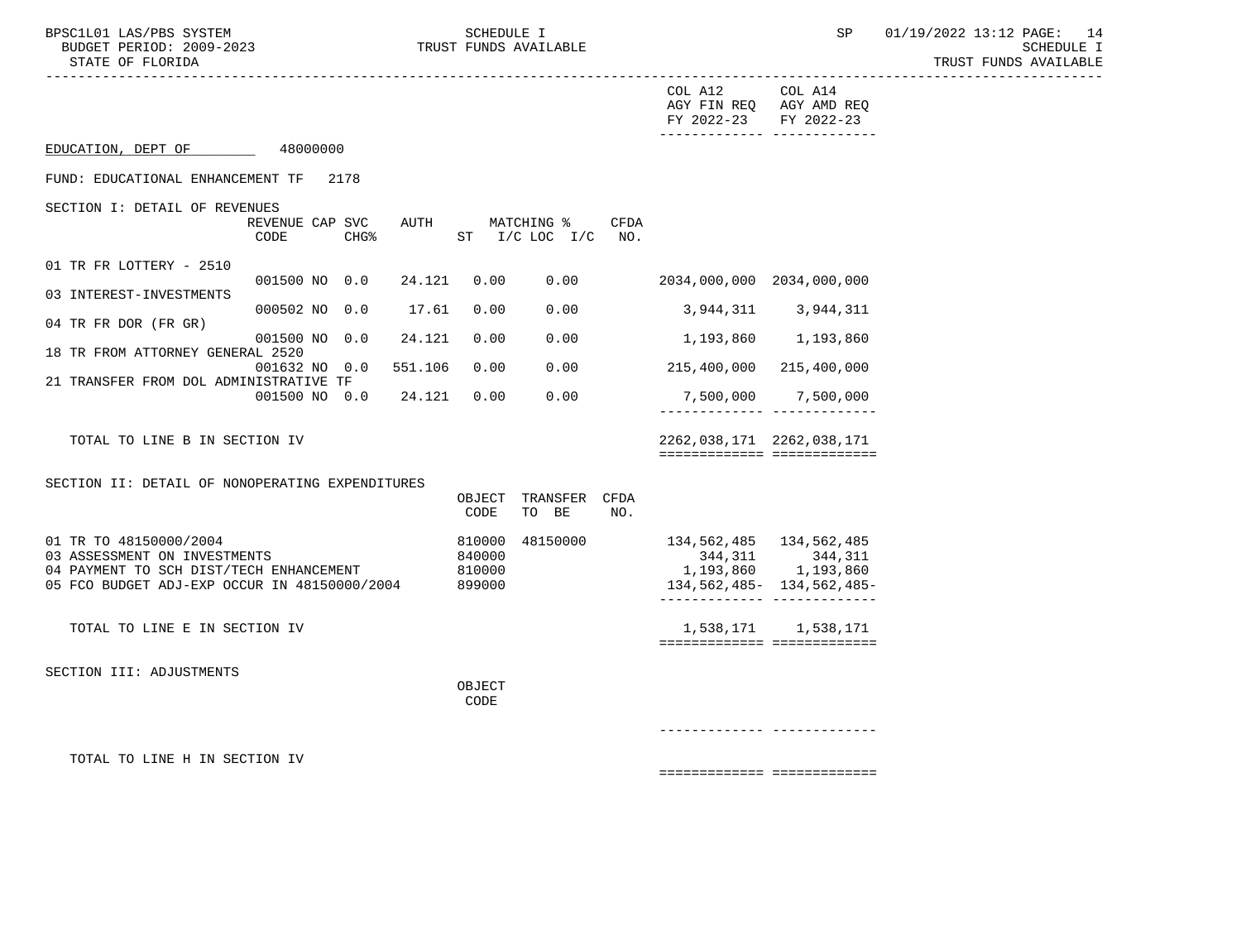|                                                     |                         |                  |                      |        |                                       |      | COL A12 COL A14<br>FY 2022-23 | AGY FIN REQ AGY AMD REQ<br>FY 2022-23<br>-------------- -------------- |
|-----------------------------------------------------|-------------------------|------------------|----------------------|--------|---------------------------------------|------|-------------------------------|------------------------------------------------------------------------|
| EDUCATION, DEPT OF                                  | 48000000                |                  |                      |        |                                       |      |                               |                                                                        |
| FUND: EDUCATIONAL ENHANCEMENT TF                    |                         | 2178             |                      |        |                                       |      |                               |                                                                        |
| SECTION I: DETAIL OF REVENUES                       |                         |                  |                      |        |                                       |      |                               |                                                                        |
|                                                     | REVENUE CAP SVC<br>CODE | CHG <sup>8</sup> |                      |        | AUTH MATCHING %<br>ST I/C LOC I/C NO. | CFDA |                               |                                                                        |
| 01 TR FR LOTTERY - 2510                             |                         |                  |                      |        |                                       |      |                               |                                                                        |
|                                                     | 001500 NO 0.0           |                  | 24.121               | 0.00   |                                       | 0.00 | 2034,000,000 2034,000,000     |                                                                        |
| 03 INTEREST-INVESTMENTS                             |                         |                  | 000502 NO 0.0 17.61  | 0.00   | 0.00                                  |      |                               | 3,944,311 3,944,311                                                    |
| 04 TR FR DOR (FR GR)                                |                         |                  |                      |        |                                       |      |                               |                                                                        |
| 18 TR FROM ATTORNEY GENERAL 2520                    | 001500 NO 0.0           |                  | 24.121               | 0.00   | 0.00                                  |      |                               | 1,193,860 1,193,860                                                    |
|                                                     | 001632 NO 0.0           |                  | 551.106              | 0.00   | 0.00                                  |      |                               | 215,400,000 215,400,000                                                |
| 21 TRANSFER FROM DOL ADMINISTRATIVE TF              |                         |                  |                      |        |                                       |      |                               |                                                                        |
|                                                     |                         |                  | 001500 NO 0.0 24.121 | 0.00   | 0.00                                  |      |                               | 7,500,000 7,500,000<br>________________________________                |
| TOTAL TO LINE B IN SECTION IV                       |                         |                  |                      |        |                                       |      | 2262,038,171 2262,038,171     |                                                                        |
|                                                     |                         |                  |                      |        |                                       |      |                               | ============================                                           |
| SECTION II: DETAIL OF NONOPERATING EXPENDITURES     |                         |                  |                      |        |                                       |      |                               |                                                                        |
|                                                     |                         |                  |                      |        | OBJECT TRANSFER CFDA                  |      |                               |                                                                        |
|                                                     |                         |                  |                      | CODE   | TO BE                                 | NO.  |                               |                                                                        |
| 01 TR TO 48150000/2004                              |                         |                  |                      | 810000 | 48150000                              |      | 134, 562, 485 134, 562, 485   |                                                                        |
| 03 ASSESSMENT ON INVESTMENTS                        |                         |                  |                      | 840000 |                                       |      |                               | 344,311 344,311<br>1,193,860 1,193,860                                 |
| 04 PAYMENT TO SCH DIST/TECH ENHANCEMENT             |                         |                  |                      | 810000 |                                       |      |                               |                                                                        |
| 05 FCO BUDGET ADJ-EXP OCCUR IN 48150000/2004 899000 |                         |                  |                      |        |                                       |      |                               | 134, 562, 485 - 134, 562, 485 -<br>_________________________________   |
|                                                     |                         |                  |                      |        |                                       |      |                               |                                                                        |
| TOTAL TO LINE E IN SECTION IV                       |                         |                  |                      |        |                                       |      |                               | 1,538,171 1,538,171<br>============================                    |
|                                                     |                         |                  |                      |        |                                       |      |                               |                                                                        |
| SECTION III: ADJUSTMENTS                            |                         |                  |                      | OBJECT |                                       |      |                               |                                                                        |
|                                                     |                         |                  |                      | CODE   |                                       |      |                               |                                                                        |
|                                                     |                         |                  |                      |        |                                       |      |                               |                                                                        |
| TOTAL TO LINE H IN SECTION IV                       |                         |                  |                      |        |                                       |      |                               |                                                                        |
|                                                     |                         |                  |                      |        |                                       |      |                               |                                                                        |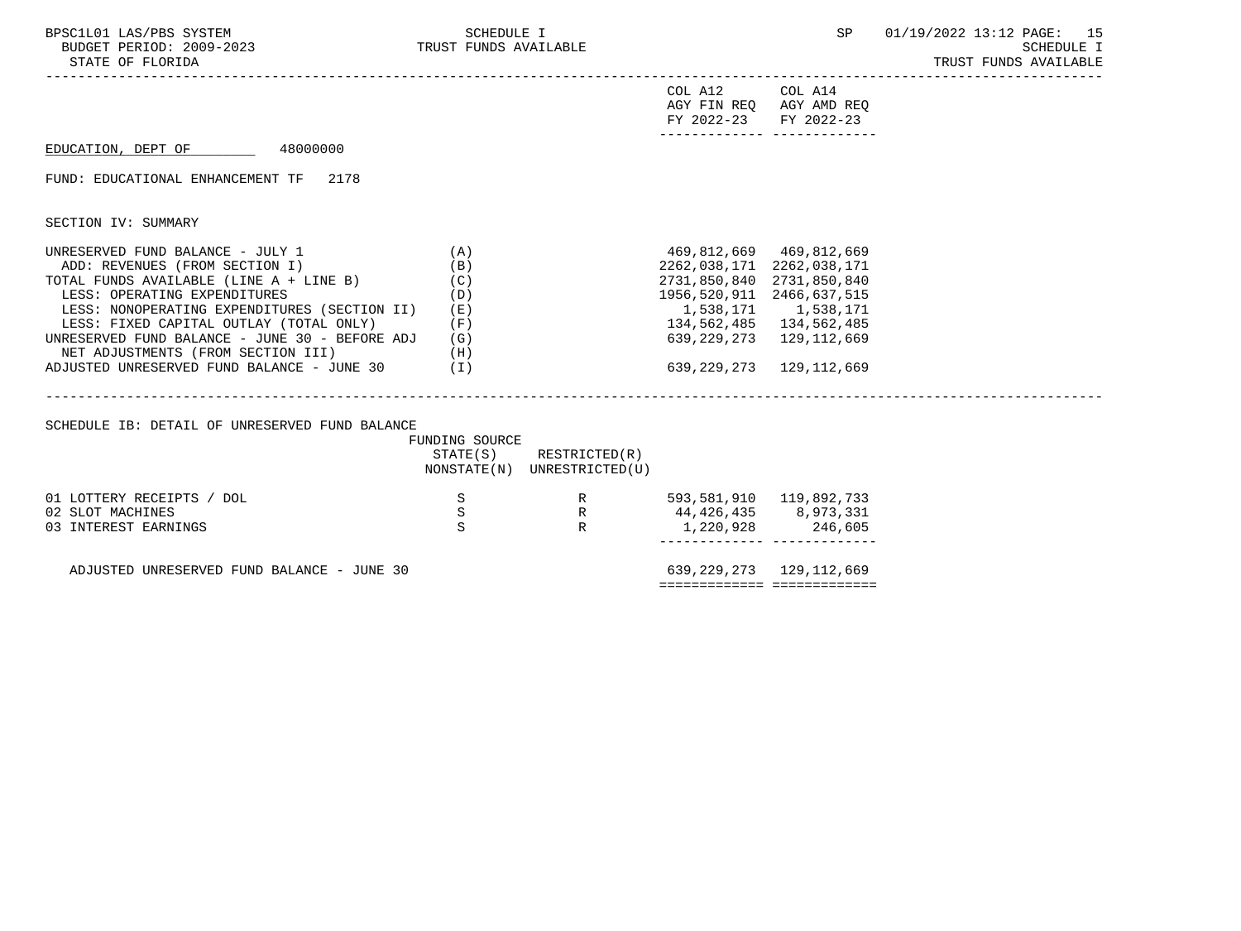| BPSC1L01 LAS/PBS SYSTEM<br>BUDGET PERIOD: 2009-2023<br>STATE OF FLORIDA                                                                                                                                                                                                                                                                                                                                                                                                    | SCHEDULE I<br>TRUST FUNDS AVAILABLE           |                                              |                                                                                         | SP                                                                                                                                          | 01/19/2022 13:12 PAGE: 15<br>SCHEDULE I<br>TRUST FUNDS AVAILABLE |
|----------------------------------------------------------------------------------------------------------------------------------------------------------------------------------------------------------------------------------------------------------------------------------------------------------------------------------------------------------------------------------------------------------------------------------------------------------------------------|-----------------------------------------------|----------------------------------------------|-----------------------------------------------------------------------------------------|---------------------------------------------------------------------------------------------------------------------------------------------|------------------------------------------------------------------|
|                                                                                                                                                                                                                                                                                                                                                                                                                                                                            |                                               |                                              | COL A12<br>FY 2022-23                                                                   | COL A14<br>AGY FIN REQ AGY AMD REQ<br>FY 2022-23<br>-------------- --------------                                                           |                                                                  |
| EDUCATION, DEPT OF 48000000                                                                                                                                                                                                                                                                                                                                                                                                                                                |                                               |                                              |                                                                                         |                                                                                                                                             |                                                                  |
| FUND: EDUCATIONAL ENHANCEMENT TF 2178                                                                                                                                                                                                                                                                                                                                                                                                                                      |                                               |                                              |                                                                                         |                                                                                                                                             |                                                                  |
| SECTION IV: SUMMARY                                                                                                                                                                                                                                                                                                                                                                                                                                                        |                                               |                                              |                                                                                         |                                                                                                                                             |                                                                  |
| UNRESERVED FUND BALANCE - JULY 1<br>ADD: REVENUES (FROM SECTION I)<br>NOT NEVEROLES (FROM SECTION I)<br>TOTAL FUNDS AVAILABLE (LINE A + LINE B)<br>LESS: OPERATING EXPENDITURES<br>LESS: NONOPERATING EXPENDITURES (SECTION II)<br>LESS: FIXED CAPITAL OUTLAY (TOTAL ONLY)<br>UNRESERVED FUND BALANCE - JUNE 30 - BEFORE ADJ (G)<br>NET ADJUSTMENTS (FROM SECTION III)<br>ADJUSTED UNRESERVED FUND BALANCE - JUNE 30 (I)<br>SCHEDULE IB: DETAIL OF UNRESERVED FUND BALANCE | (A)<br>(B)<br>(C)<br>(D)<br>(E)<br>(F)<br>(H) |                                              | 2262,038,171 2262,038,171<br>2731,850,840 2731,850,840<br>1956, 520, 911 2466, 637, 515 | 469,812,669 469,812,669<br>1,538,171 1,538,171<br>134, 562, 485 134, 562, 485<br>639, 229, 273 129, 112, 669<br>639, 229, 273 129, 112, 669 |                                                                  |
|                                                                                                                                                                                                                                                                                                                                                                                                                                                                            | FUNDING SOURCE<br>STATE(S)                    | RESTRICTED(R)<br>NONSTATE(N) UNRESTRICTED(U) |                                                                                         |                                                                                                                                             |                                                                  |
| 01 LOTTERY RECEIPTS / DOL<br>02 SLOT MACHINES<br>03 INTEREST EARNINGS                                                                                                                                                                                                                                                                                                                                                                                                      | S<br>S<br>S                                   | R                                            | R 593,581,910 119,892,733<br>R 44,426,435 8,973,331                                     | 1,220,928 246,605<br><u>_____________________________</u>                                                                                   |                                                                  |
| ADJUSTED UNRESERVED FUND BALANCE - JUNE 30                                                                                                                                                                                                                                                                                                                                                                                                                                 |                                               |                                              |                                                                                         | 639, 229, 273 129, 112, 669<br>esessessesses essessessesses                                                                                 |                                                                  |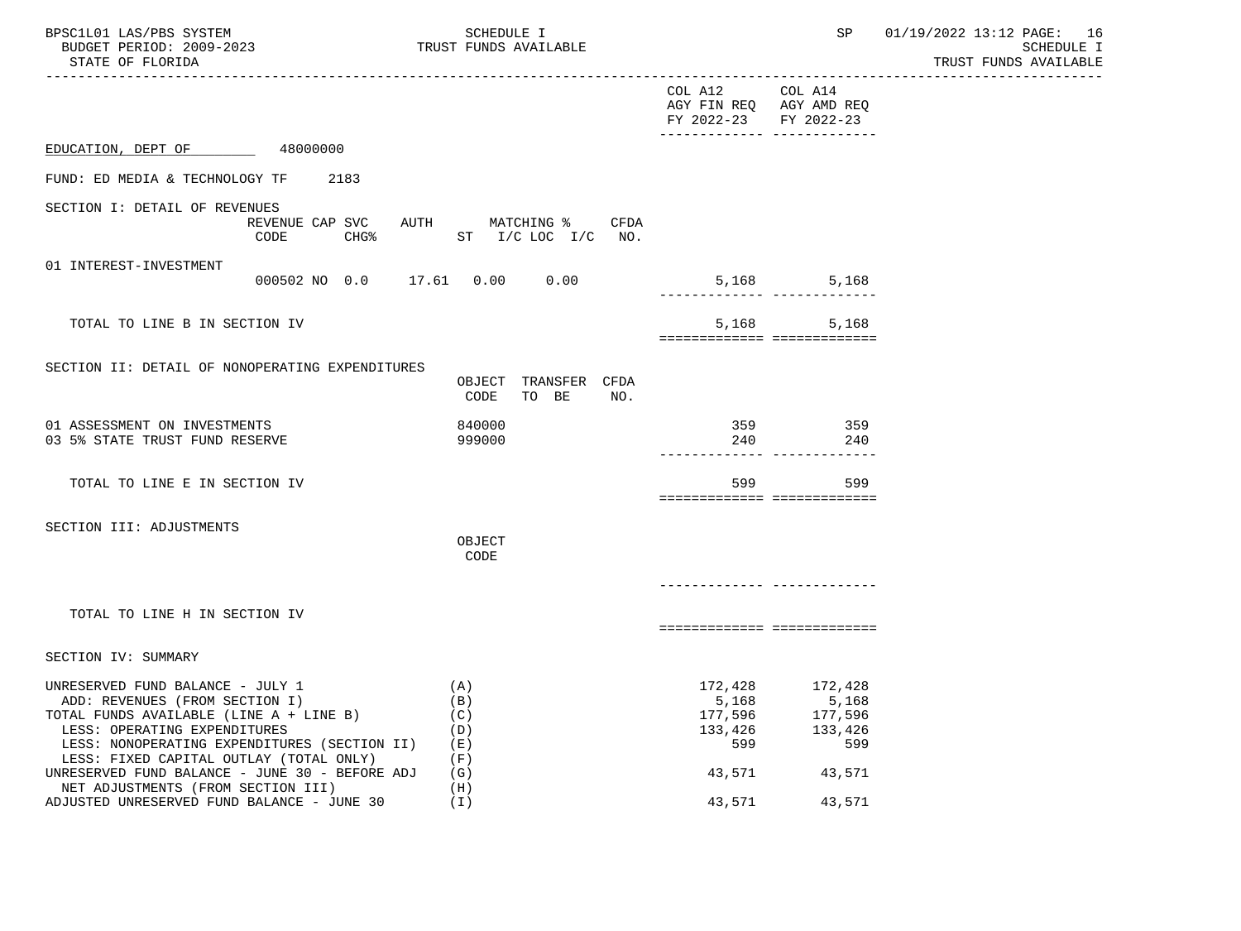| BPSC1L01 LAS/PBS SYSTEM<br>BUDGET PERIOD: 2009-2023<br>STATE OF FLORIDA                                                                                                                                                                  | SCHEDULE I<br>TRUST FUNDS AVAILABLE          |                                                                                | SP                                                       | 01/19/2022 13:12 PAGE: 16<br><b>SCHEDULE I</b><br>TRUST FUNDS AVAILABLE |
|------------------------------------------------------------------------------------------------------------------------------------------------------------------------------------------------------------------------------------------|----------------------------------------------|--------------------------------------------------------------------------------|----------------------------------------------------------|-------------------------------------------------------------------------|
|                                                                                                                                                                                                                                          |                                              | ----------------------------------<br>COL A12 COL A14<br>FY 2022-23 FY 2022-23 | AGY FIN REQ AGY AMD REQ<br>-------------- -------------- |                                                                         |
| EDUCATION, DEPT OF 48000000                                                                                                                                                                                                              |                                              |                                                                                |                                                          |                                                                         |
| FUND: ED MEDIA & TECHNOLOGY TF<br>2183                                                                                                                                                                                                   |                                              |                                                                                |                                                          |                                                                         |
| SECTION I: DETAIL OF REVENUES<br>REVENUE CAP SVC<br>CODE<br>CHG%                                                                                                                                                                         | AUTH MATCHING % CFDA<br>ST I/C LOC I/C NO.   |                                                                                |                                                          |                                                                         |
| 01 INTEREST-INVESTMENT                                                                                                                                                                                                                   | 000502 NO 0.0 17.61 0.00 0.00                |                                                                                | 5,168<br>5,168                                           |                                                                         |
| TOTAL TO LINE B IN SECTION IV                                                                                                                                                                                                            |                                              |                                                                                | 5,168<br>5,168<br>===========================            |                                                                         |
| SECTION II: DETAIL OF NONOPERATING EXPENDITURES                                                                                                                                                                                          | OBJECT TRANSFER CFDA<br>CODE<br>TO BE<br>NO. |                                                                                |                                                          |                                                                         |
| 01 ASSESSMENT ON INVESTMENTS<br>03 5% STATE TRUST FUND RESERVE                                                                                                                                                                           | 840000<br>999000                             | 359<br>240                                                                     | 359<br>240<br>-------------- --------------              |                                                                         |
| TOTAL TO LINE E IN SECTION IV                                                                                                                                                                                                            |                                              | 599                                                                            | 599<br>===========================                       |                                                                         |
| SECTION III: ADJUSTMENTS                                                                                                                                                                                                                 | OBJECT<br>CODE                               |                                                                                |                                                          |                                                                         |
|                                                                                                                                                                                                                                          |                                              |                                                                                |                                                          |                                                                         |
| TOTAL TO LINE H IN SECTION IV                                                                                                                                                                                                            |                                              |                                                                                | ===========================                              |                                                                         |
| SECTION IV: SUMMARY                                                                                                                                                                                                                      |                                              |                                                                                |                                                          |                                                                         |
| UNRESERVED FUND BALANCE - JULY 1<br>ADD: REVENUES (FROM SECTION I)<br>TOTAL FUNDS AVAILABLE (LINE A + LINE B)<br>LESS: OPERATING EXPENDITURES<br>LESS: NONOPERATING EXPENDITURES (SECTION II)<br>LESS: FIXED CAPITAL OUTLAY (TOTAL ONLY) | (A)<br>(B)<br>(C)<br>(D)<br>(E)<br>(F)       | 172,428<br>5,168<br>177,596<br>133,426<br>599                                  | 172,428<br>5,168<br>177,596<br>133,426<br>599            |                                                                         |
| UNRESERVED FUND BALANCE - JUNE 30 - BEFORE ADJ<br>NET ADJUSTMENTS (FROM SECTION III)<br>ADJUSTED UNRESERVED FUND BALANCE - JUNE 30                                                                                                       | (G)<br>(H)<br>$(\top)$                       | 43,571<br>43,571                                                               | 43,571<br>43,571                                         |                                                                         |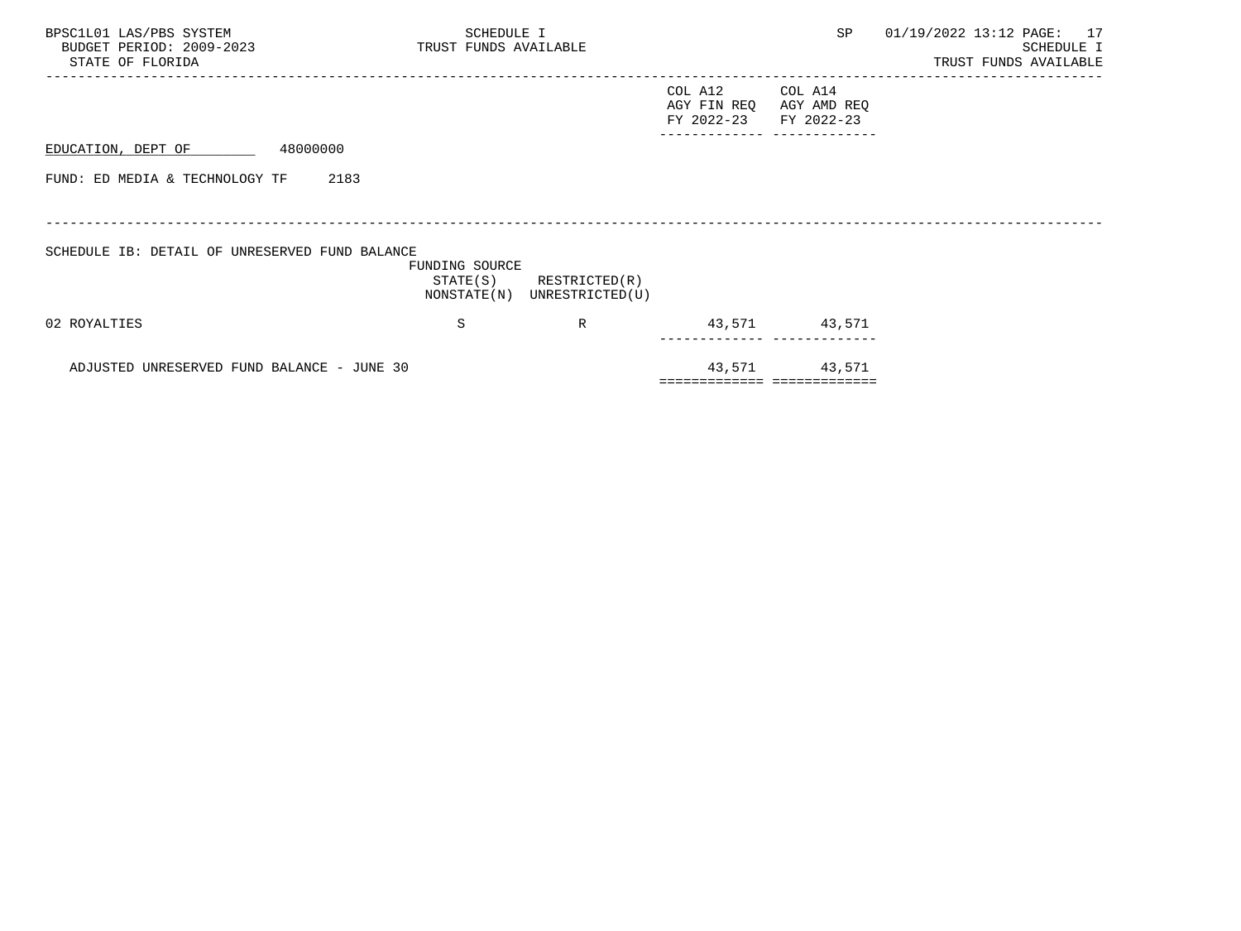| BPSC1L01 LAS/PBS SYSTEM<br>BUDGET PERIOD: 2009-2023<br>STATE OF FLORIDA | SCHEDULE I<br>TRUST FUNDS AVAILABLE |                                                            |                                      | SP                                   | 01/19/2022 13:12 PAGE: 17<br>SCHEDULE I<br>TRUST FUNDS AVAILABLE |
|-------------------------------------------------------------------------|-------------------------------------|------------------------------------------------------------|--------------------------------------|--------------------------------------|------------------------------------------------------------------|
|                                                                         |                                     |                                                            | COL A12<br>AGY FIN REQ<br>FY 2022-23 | COL A14<br>AGY AMD REQ<br>FY 2022-23 |                                                                  |
| 48000000<br>EDUCATION, DEPT OF                                          |                                     |                                                            |                                      |                                      |                                                                  |
| FUND: ED MEDIA & TECHNOLOGY TF<br>2183                                  |                                     |                                                            |                                      |                                      |                                                                  |
| SCHEDULE IB: DETAIL OF UNRESERVED FUND BALANCE                          |                                     |                                                            |                                      |                                      |                                                                  |
|                                                                         | FUNDING SOURCE                      | $STATE(S)$ RESTRICTED $(R)$<br>NONSTATE(N) UNRESTRICTED(U) |                                      |                                      |                                                                  |
| 02 ROYALTIES                                                            | S                                   | R                                                          |                                      | 43,571 43,571                        |                                                                  |
| ADJUSTED UNRESERVED FUND BALANCE - JUNE 30                              |                                     |                                                            |                                      | 43,571 43,571                        |                                                                  |
|                                                                         |                                     |                                                            | ============================         |                                      |                                                                  |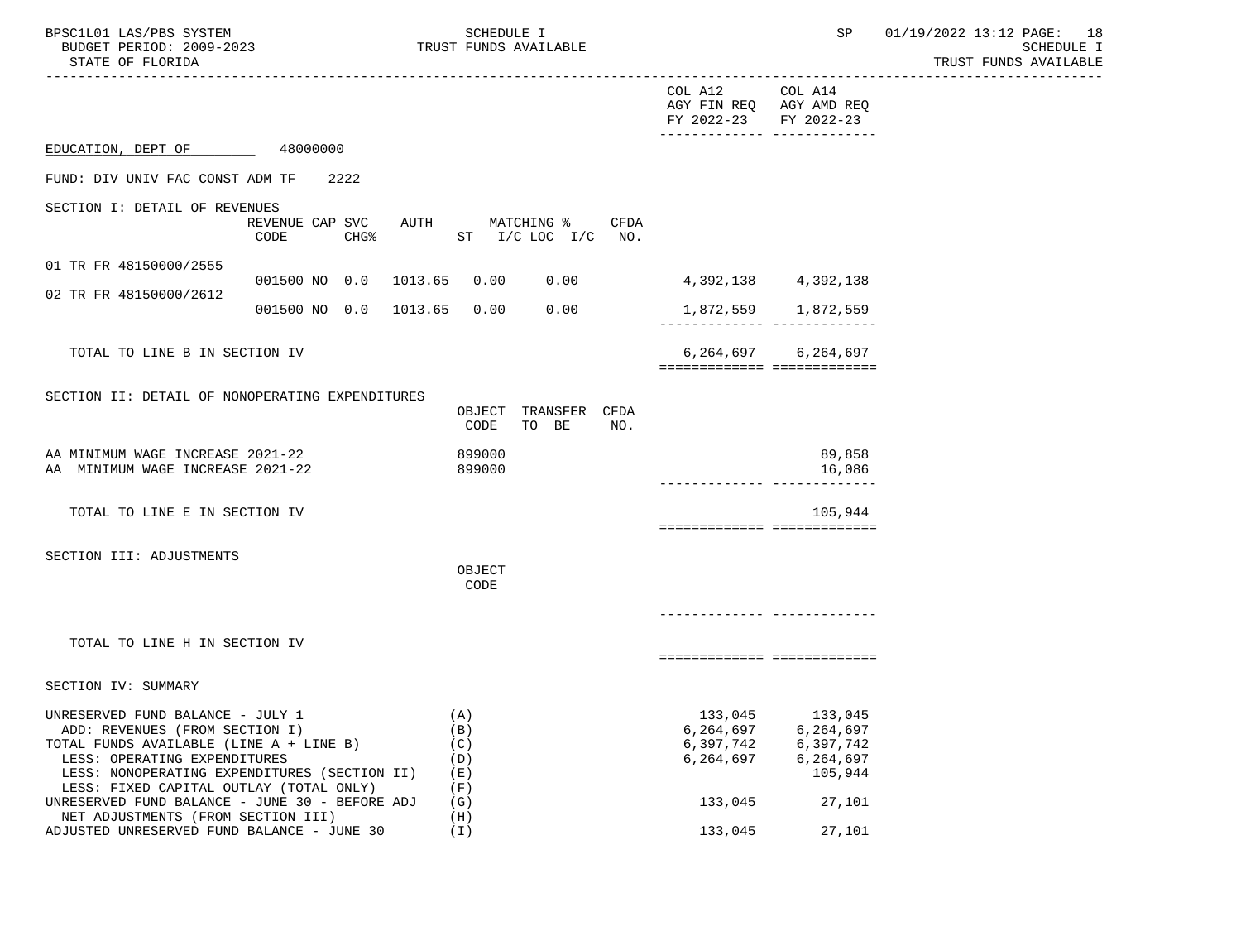| BPSC1L01 LAS/PBS SYSTEM<br>BUDGET PERIOD: 2009-2023<br>STATE OF FLORIDA                                                                                                                                                                                                                    |                                                     | SCHEDULE I<br>TRUST FUNDS AVAILABLE           |                                                                                   | SP                                                                  | 01/19/2022 13:12 PAGE: 18<br>SCHEDULE I<br>TRUST FUNDS AVAILABLE |
|--------------------------------------------------------------------------------------------------------------------------------------------------------------------------------------------------------------------------------------------------------------------------------------------|-----------------------------------------------------|-----------------------------------------------|-----------------------------------------------------------------------------------|---------------------------------------------------------------------|------------------------------------------------------------------|
|                                                                                                                                                                                                                                                                                            |                                                     |                                               | COL A12<br>AGY FIN REQ AGY AMD REQ<br>FY 2022-23<br>-------------- -------------- | COL A14<br>FY 2022-23                                               |                                                                  |
| EDUCATION, DEPT OF 48000000                                                                                                                                                                                                                                                                |                                                     |                                               |                                                                                   |                                                                     |                                                                  |
| FUND: DIV UNIV FAC CONST ADM TF                                                                                                                                                                                                                                                            | 2222                                                |                                               |                                                                                   |                                                                     |                                                                  |
| SECTION I: DETAIL OF REVENUES                                                                                                                                                                                                                                                              | REVENUE CAP SVC<br>AUTH<br>CHG <sup>8</sup><br>CODE | MATCHING %<br>CFDA<br>ST I/C LOC I/C<br>NO.   |                                                                                   |                                                                     |                                                                  |
| 01 TR FR 48150000/2555                                                                                                                                                                                                                                                                     | 001500 NO 0.0 1013.65 0.00                          | 0.00                                          | 4,392,138 4,392,138                                                               |                                                                     |                                                                  |
| 02 TR FR 48150000/2612                                                                                                                                                                                                                                                                     |                                                     |                                               |                                                                                   |                                                                     |                                                                  |
|                                                                                                                                                                                                                                                                                            | 001500 NO 0.0 1013.65                               | 0.00<br>0.00                                  | -------------- --------------                                                     | 1,872,559 1,872,559                                                 |                                                                  |
| TOTAL TO LINE B IN SECTION IV                                                                                                                                                                                                                                                              |                                                     |                                               | ===========================                                                       | 6, 264, 697 6, 264, 697                                             |                                                                  |
| SECTION II: DETAIL OF NONOPERATING EXPENDITURES                                                                                                                                                                                                                                            |                                                     | OBJECT TRANSFER CFDA<br>CODE<br>TO BE<br>NO.  |                                                                                   |                                                                     |                                                                  |
| AA MINIMUM WAGE INCREASE 2021-22<br>AA MINIMUM WAGE INCREASE 2021-22                                                                                                                                                                                                                       |                                                     | 899000<br>899000                              | -------------- --------------                                                     | 89,858<br>16,086                                                    |                                                                  |
| TOTAL TO LINE E IN SECTION IV                                                                                                                                                                                                                                                              |                                                     |                                               | ===========================                                                       | 105,944                                                             |                                                                  |
| SECTION III: ADJUSTMENTS                                                                                                                                                                                                                                                                   |                                                     | OBJECT<br>CODE                                |                                                                                   |                                                                     |                                                                  |
|                                                                                                                                                                                                                                                                                            |                                                     |                                               |                                                                                   |                                                                     |                                                                  |
| TOTAL TO LINE H IN SECTION IV                                                                                                                                                                                                                                                              |                                                     |                                               | ===========================                                                       |                                                                     |                                                                  |
| SECTION IV: SUMMARY                                                                                                                                                                                                                                                                        |                                                     |                                               |                                                                                   |                                                                     |                                                                  |
| UNRESERVED FUND BALANCE - JULY 1<br>ADD: REVENUES (FROM SECTION I)<br>TOTAL FUNDS AVAILABLE (LINE A + LINE B)<br>LESS: OPERATING EXPENDITURES<br>LESS: NONOPERATING EXPENDITURES (SECTION II)<br>LESS: FIXED CAPITAL OUTLAY (TOTAL ONLY)<br>UNRESERVED FUND BALANCE - JUNE 30 - BEFORE ADJ |                                                     | (A)<br>(B)<br>(C)<br>(D)<br>(E)<br>(F)<br>(G) | 133,045<br>6,264,697<br>6,397,742<br>6,264,697<br>133,045                         | 133,045<br>6,264,697<br>6,397,742<br>6,264,697<br>105,944<br>27,101 |                                                                  |
| NET ADJUSTMENTS (FROM SECTION III)<br>ADJUSTED UNRESERVED FUND BALANCE - JUNE 30                                                                                                                                                                                                           |                                                     | (H)<br>(I)                                    | 133,045                                                                           | 27,101                                                              |                                                                  |
|                                                                                                                                                                                                                                                                                            |                                                     |                                               |                                                                                   |                                                                     |                                                                  |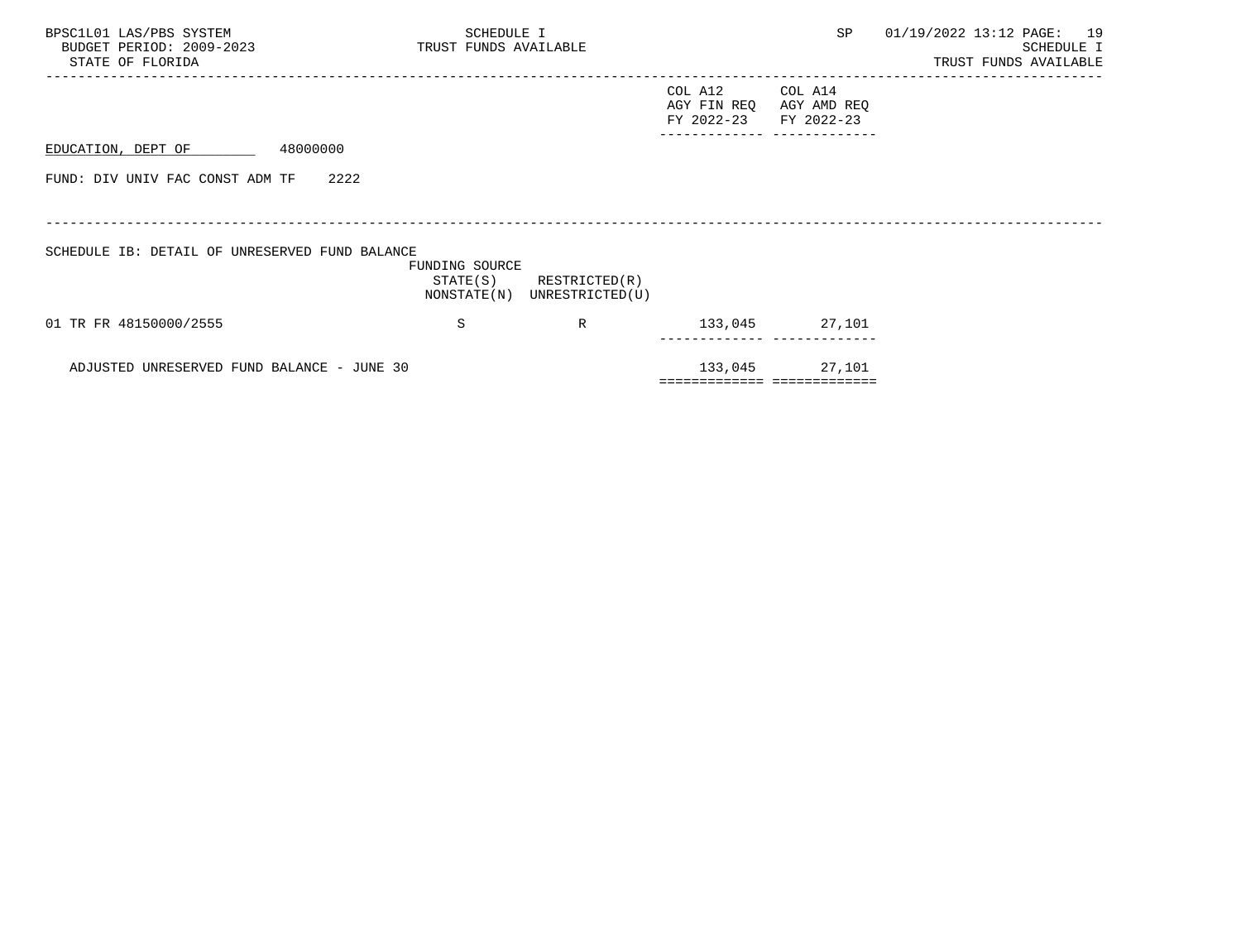| BPSC1L01 LAS/PBS SYSTEM<br>BUDGET PERIOD: 2009-2023<br>STATE OF FLORIDA | SCHEDULE I<br>TRUST FUNDS AVAILABLE |                                                            |                                      | SP                                   | 01/19/2022 13:12 PAGE: 19<br>SCHEDULE I<br>TRUST FUNDS AVAILABLE |
|-------------------------------------------------------------------------|-------------------------------------|------------------------------------------------------------|--------------------------------------|--------------------------------------|------------------------------------------------------------------|
|                                                                         |                                     |                                                            | COL A12<br>AGY FIN REQ<br>FY 2022-23 | COL A14<br>AGY AMD REQ<br>FY 2022-23 |                                                                  |
| 48000000<br>EDUCATION, DEPT OF                                          |                                     |                                                            |                                      |                                      |                                                                  |
| FUND: DIV UNIV FAC CONST ADM TF 2222                                    |                                     |                                                            |                                      |                                      |                                                                  |
| SCHEDULE IB: DETAIL OF UNRESERVED FUND BALANCE                          | FUNDING SOURCE                      | $STATE(S)$ RESTRICTED $(R)$<br>NONSTATE(N) UNRESTRICTED(U) |                                      |                                      |                                                                  |
| 01 TR FR 48150000/2555                                                  | S                                   | $\mathbb{R}$                                               |                                      | 133,045 27,101                       |                                                                  |
| ADJUSTED UNRESERVED FUND BALANCE - JUNE 30                              |                                     |                                                            | ============================         | 133,045 27,101                       |                                                                  |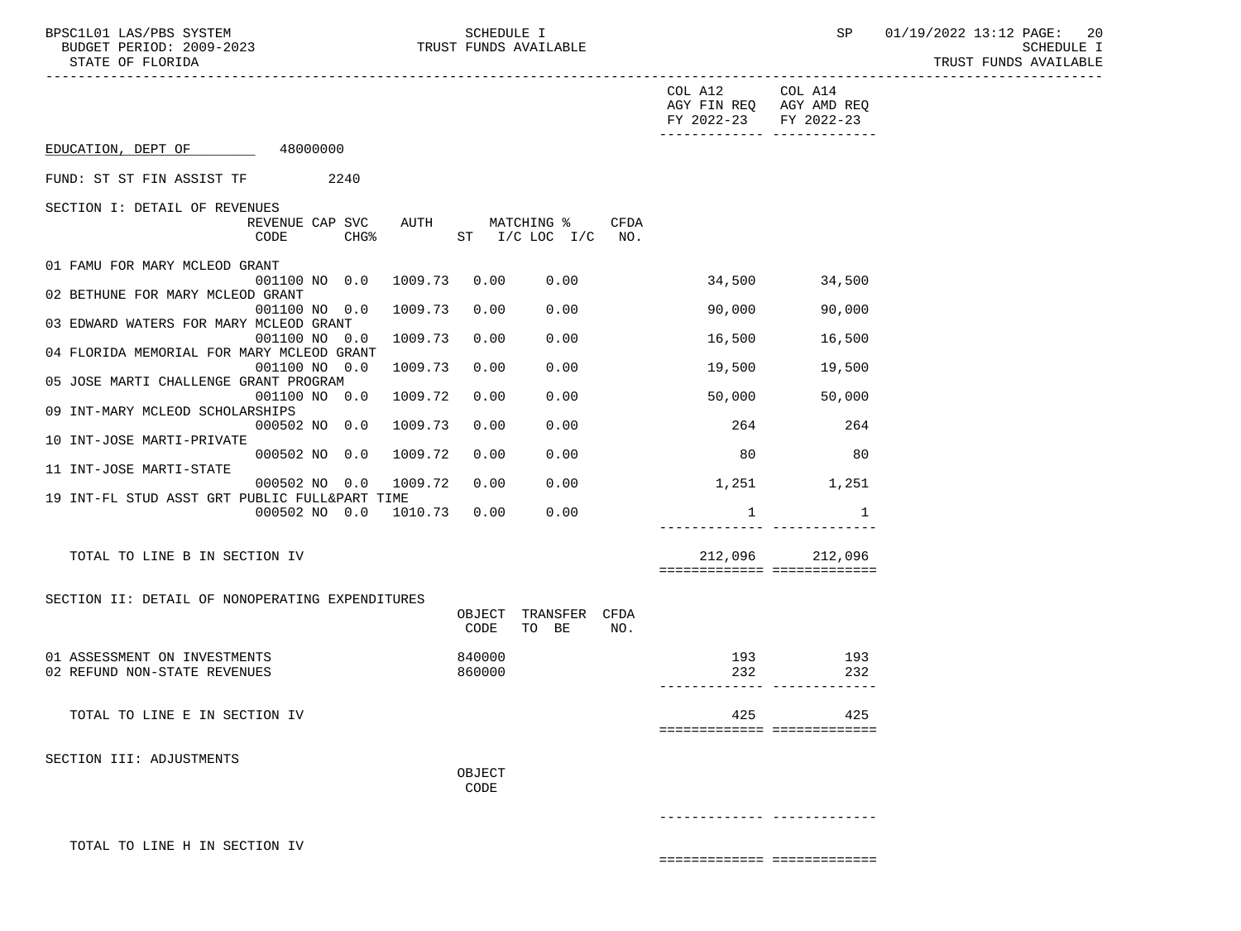BPSC1L01 LAS/PBS SYSTEM SCHEDULE I SEREDULE I SP 01/19/2022 13:12 PAGE: 20<br>BUDGET PERIOD: 2009-2023 TRUST FUNDS AVAILABLE TRUST FUNDS AVAILABLE

|                                                 |                         |             |         |                |                              |             | COL A12<br>FY 2022-23 FY 2022-23                                                                                                                                                                                                | COL A14<br>AGY FIN REQ AGY AMD REQ<br>-------------- ------------- |  |
|-------------------------------------------------|-------------------------|-------------|---------|----------------|------------------------------|-------------|---------------------------------------------------------------------------------------------------------------------------------------------------------------------------------------------------------------------------------|--------------------------------------------------------------------|--|
| EDUCATION, DEPT OF 48000000                     |                         |             |         |                |                              |             |                                                                                                                                                                                                                                 |                                                                    |  |
| FUND: ST ST FIN ASSIST TF                       | 2240                    |             |         |                |                              |             |                                                                                                                                                                                                                                 |                                                                    |  |
| SECTION I: DETAIL OF REVENUES                   |                         |             |         |                |                              |             |                                                                                                                                                                                                                                 |                                                                    |  |
|                                                 | REVENUE CAP SVC<br>CODE | <b>CHG%</b> | AUTH    |                | MATCHING %<br>ST I/C LOC I/C | CFDA<br>NO. |                                                                                                                                                                                                                                 |                                                                    |  |
| 01 FAMU FOR MARY MCLEOD GRANT                   |                         |             |         |                |                              |             |                                                                                                                                                                                                                                 |                                                                    |  |
| 02 BETHUNE FOR MARY MCLEOD GRANT                | 001100 NO 0.0           |             | 1009.73 | 0.00           | 0.00                         |             |                                                                                                                                                                                                                                 | 34,500 34,500                                                      |  |
| 03 EDWARD WATERS FOR MARY MCLEOD GRANT          | 001100 NO 0.0           |             | 1009.73 | 0.00           | 0.00                         |             | 90,000                                                                                                                                                                                                                          | 90,000                                                             |  |
| 04 FLORIDA MEMORIAL FOR MARY MCLEOD GRANT       | 001100 NO 0.0           |             | 1009.73 | 0.00           | 0.00                         |             | 16,500 16,100 16,100 16,100 16,100 16,100 16,100 16,100 16,100 16,100 16,100 16,100 16,100 16,100 16,100 16,100 16,100 16,100 16,100 16,100 16,100 16,100 16,100 16,100 16,100 16,100 16,100 16,100 16,100 16,100 16,100 16,100 | 16,500                                                             |  |
|                                                 | 001100 NO 0.0           |             | 1009.73 | 0.00           | 0.00                         |             | 19,500                                                                                                                                                                                                                          | 19,500                                                             |  |
| 05 JOSE MARTI CHALLENGE GRANT PROGRAM           | 001100 NO 0.0           |             | 1009.72 | 0.00           | 0.00                         |             |                                                                                                                                                                                                                                 | 50,000 50,000                                                      |  |
| 09 INT-MARY MCLEOD SCHOLARSHIPS                 | 000502 NO 0.0           |             | 1009.73 | 0.00           | 0.00                         |             | 264                                                                                                                                                                                                                             | 264                                                                |  |
| 10 INT-JOSE MARTI-PRIVATE                       | 000502 NO 0.0           |             | 1009.72 | 0.00           | 0.00                         |             | 80                                                                                                                                                                                                                              | 80                                                                 |  |
| 11 INT-JOSE MARTI-STATE                         |                         |             |         |                |                              |             |                                                                                                                                                                                                                                 |                                                                    |  |
| 19 INT-FL STUD ASST GRT PUBLIC FULL&PART TIME   | 000502 NO 0.0           |             | 1009.72 | 0.00           | 0.00                         |             | 1,251 1,251                                                                                                                                                                                                                     |                                                                    |  |
|                                                 | 000502 NO 0.0 1010.73   |             |         | 0.00           | 0.00                         |             | $\mathbf{1}$                                                                                                                                                                                                                    | 1                                                                  |  |
| TOTAL TO LINE B IN SECTION IV                   |                         |             |         |                |                              |             | 212,096                                                                                                                                                                                                                         | 212,096<br>===========================                             |  |
| SECTION II: DETAIL OF NONOPERATING EXPENDITURES |                         |             |         |                |                              |             |                                                                                                                                                                                                                                 |                                                                    |  |
|                                                 |                         |             |         | OBJECT<br>CODE | TRANSFER<br>TO BE            | CFDA<br>NO. |                                                                                                                                                                                                                                 |                                                                    |  |
| 01 ASSESSMENT ON INVESTMENTS                    |                         |             |         | 840000         |                              |             | 193                                                                                                                                                                                                                             | 193                                                                |  |
| 02 REFUND NON-STATE REVENUES                    |                         |             |         | 860000         |                              |             | 232                                                                                                                                                                                                                             | 232                                                                |  |
| TOTAL TO LINE E IN SECTION IV                   |                         |             |         |                |                              |             | 425                                                                                                                                                                                                                             | 425<br>===========================                                 |  |
|                                                 |                         |             |         |                |                              |             |                                                                                                                                                                                                                                 |                                                                    |  |
| SECTION III: ADJUSTMENTS                        |                         |             |         | OBJECT<br>CODE |                              |             |                                                                                                                                                                                                                                 |                                                                    |  |
|                                                 |                         |             |         |                |                              |             |                                                                                                                                                                                                                                 |                                                                    |  |
| TOTAL TO LINE H IN SECTION IV                   |                         |             |         |                |                              |             |                                                                                                                                                                                                                                 |                                                                    |  |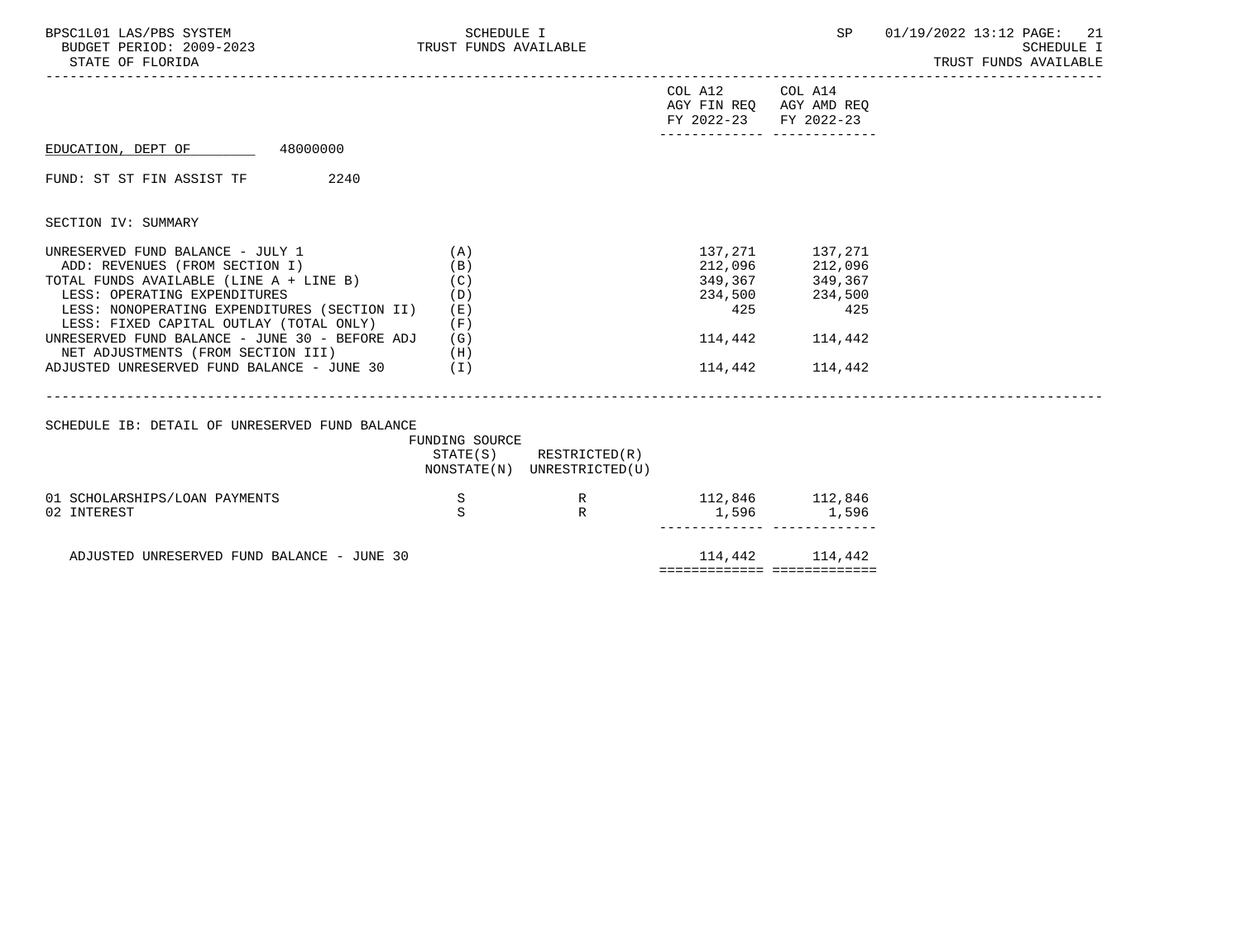| BPSC1L01 LAS/PBS SYSTEM<br>BUDGET PERIOD: 2009-2023 TRUST FUNDS AVAILABLE<br>STATE OF FLORIDA                                                                                                                                                                                                                                                                                                              | SCHEDULE I                      |                                                            |                                          | SP                                                                                                      | 01/19/2022 13:12 PAGE: 21<br>SCHEDULE I<br>TRUST FUNDS AVAILABLE |
|------------------------------------------------------------------------------------------------------------------------------------------------------------------------------------------------------------------------------------------------------------------------------------------------------------------------------------------------------------------------------------------------------------|---------------------------------|------------------------------------------------------------|------------------------------------------|---------------------------------------------------------------------------------------------------------|------------------------------------------------------------------|
|                                                                                                                                                                                                                                                                                                                                                                                                            |                                 |                                                            | COL A12 COL A14<br>FY 2022-23 FY 2022-23 | AGY FIN REQ AGY AMD REQ<br>------------ --------------                                                  |                                                                  |
| EDUCATION, DEPT OF 48000000                                                                                                                                                                                                                                                                                                                                                                                |                                 |                                                            |                                          |                                                                                                         |                                                                  |
| FUND: ST ST FIN ASSIST TF 2240                                                                                                                                                                                                                                                                                                                                                                             |                                 |                                                            |                                          |                                                                                                         |                                                                  |
| SECTION IV: SUMMARY                                                                                                                                                                                                                                                                                                                                                                                        |                                 |                                                            |                                          |                                                                                                         |                                                                  |
| UNRESERVED FUND BALANCE - JULY $1$ (A)<br>ADD: REVENUES (FROM SECTION I)<br>TOTAL FUNDS AVAILABLE (LINE $A + LINE B$ ) (C)<br>LESS: OPERATING EXPENDITURES<br>LESS: NONOPERATING EXPENDITURES (SECTION II)<br>LESS: FIXED CAPITAL OUTLAY (TOTAL ONLY)<br>UNRESERVED FUND BALANCE - JUNE 30 - BEFORE ADJ<br>NET ADJUSTMENTS (FROM SECTION III)<br>(H)<br>$ADJUSTED$ UNRESERVED FUND BALANCE - JUNE 30 $(1)$ | (B)<br>(D)<br>(E)<br>(F)<br>(G) |                                                            | 212,096<br>349,367<br>425                | 137, 271 137, 271<br>212,096<br>349,367<br>234,500 234,500<br>425<br>114,442 114,442<br>114,442 114,442 |                                                                  |
| SCHEDULE IB: DETAIL OF UNRESERVED FUND BALANCE                                                                                                                                                                                                                                                                                                                                                             | FUNDING SOURCE                  | $STATE(S)$ RESTRICTED $(R)$<br>NONSTATE(N) UNRESTRICTED(U) |                                          |                                                                                                         |                                                                  |
| 01 SCHOLARSHIPS/LOAN PAYMENTS<br>02 INTEREST                                                                                                                                                                                                                                                                                                                                                               | S<br>S                          | R<br>R                                                     | 112,846 112,846                          | 1,596 1,596<br>----------- -------------                                                                |                                                                  |
| ADJUSTED UNRESERVED FUND BALANCE - JUNE 30                                                                                                                                                                                                                                                                                                                                                                 |                                 |                                                            | =============================            | 114,442 114,442                                                                                         |                                                                  |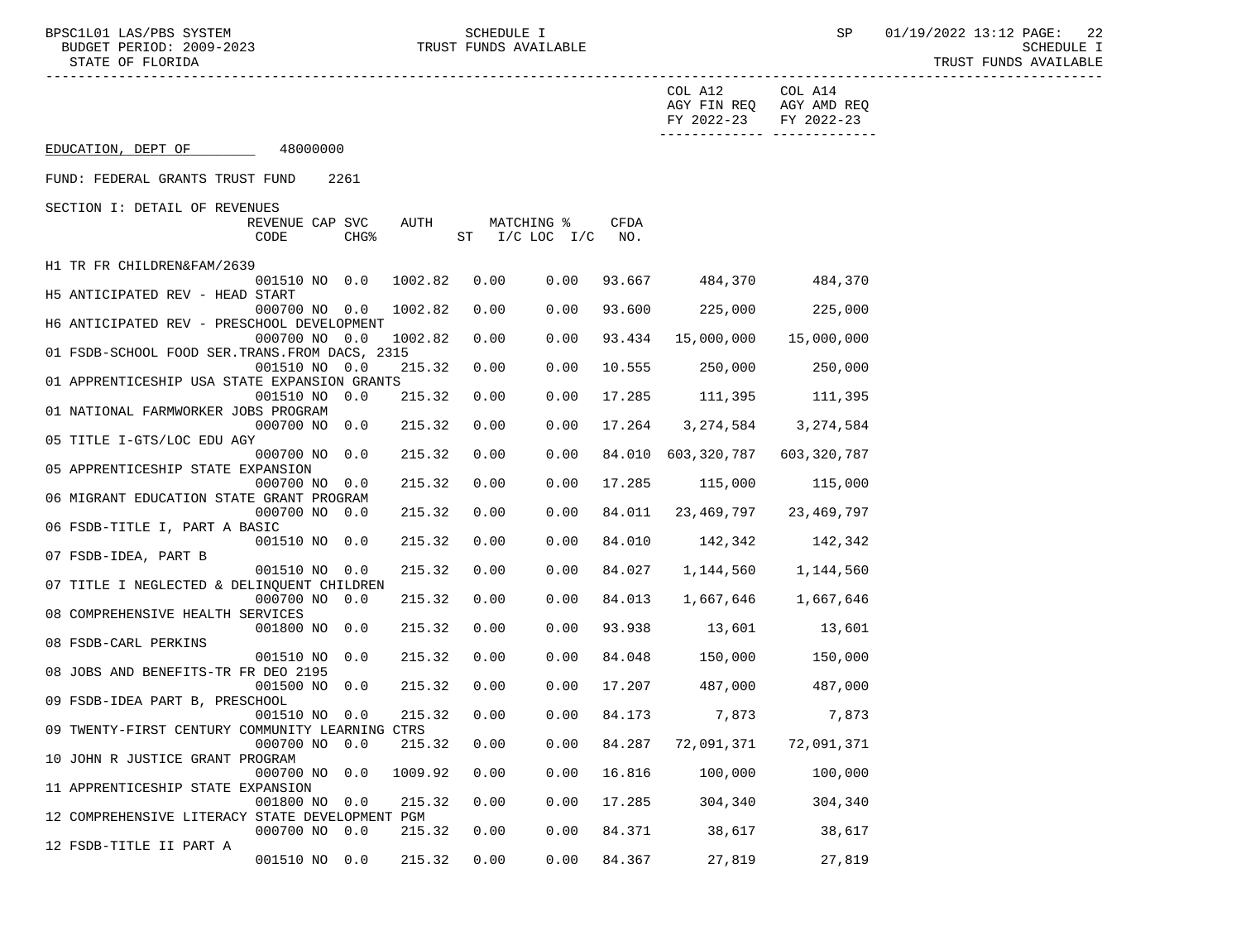BPSC1L01 LAS/PBS SYSTEM SCHEDULE I SCHEDULE I SP 01/19/2022 13:12 PAGE: 22<br>BUDGET PERIOD: 2009-2023 TRUST FUNDS AVAILABLE TRUST FUNDS AVAILABLE

| $\sim$ $\sim$ $\sim$ $\sim$<br>∩0–26 ∩<br>∩г | S ONLIT<br>חסזזמי |      |
|----------------------------------------------|-------------------|------|
| $\Box$ $\Box$<br>,,,,                        |                   | TRUS |
|                                              |                   |      |
|                                              |                   |      |

|                                                 |                         |                  |         |           |                                |                    | COL A12<br>AGY FIN REQ<br>FY 2022-23 | COL A14<br>AGY AMD REQ<br>FY 2022-23 |  |
|-------------------------------------------------|-------------------------|------------------|---------|-----------|--------------------------------|--------------------|--------------------------------------|--------------------------------------|--|
| EDUCATION, DEPT OF                              | 48000000                |                  |         |           |                                |                    |                                      |                                      |  |
| FUND: FEDERAL GRANTS TRUST FUND                 |                         | 2261             |         |           |                                |                    |                                      |                                      |  |
| SECTION I: DETAIL OF REVENUES                   |                         |                  |         |           |                                |                    |                                      |                                      |  |
|                                                 | REVENUE CAP SVC<br>CODE | CHG <sup>8</sup> | AUTH    | <b>ST</b> | MATCHING %<br>$I/C$ LOC<br>I/C | <b>CFDA</b><br>NO. |                                      |                                      |  |
| H1 TR FR CHILDREN&FAM/2639                      |                         |                  |         |           |                                |                    |                                      |                                      |  |
| H5 ANTICIPATED REV - HEAD START                 | 001510 NO               | 0.0              | 1002.82 | 0.00      | 0.00                           | 93.667             | 484,370                              | 484,370                              |  |
| H6 ANTICIPATED REV - PRESCHOOL DEVELOPMENT      | 000700 NO               | 0.0              | 1002.82 | 0.00      | 0.00                           | 93.600             | 225,000                              | 225,000                              |  |
|                                                 | 000700 NO               | 0.0              | 1002.82 | 0.00      | 0.00                           | 93.434             | 15,000,000                           | 15,000,000                           |  |
| 01 FSDB-SCHOOL FOOD SER.TRANS.FROM DACS, 2315   | 001510 NO               | 0.0              | 215.32  | 0.00      | 0.00                           | 10.555             | 250,000                              | 250,000                              |  |
| 01 APPRENTICESHIP USA STATE EXPANSION GRANTS    |                         |                  |         |           |                                |                    |                                      |                                      |  |
|                                                 | 001510 NO               | 0.0              | 215.32  | 0.00      | 0.00                           | 17.285             | 111,395                              | 111,395                              |  |
| 01 NATIONAL FARMWORKER JOBS PROGRAM             |                         |                  |         |           |                                |                    |                                      |                                      |  |
|                                                 | 000700 NO               | 0.0              | 215.32  | 0.00      | 0.00                           | 17.264             | 3, 274, 584                          | 3, 274, 584                          |  |
| 05 TITLE I-GTS/LOC EDU AGY                      |                         |                  |         |           |                                |                    |                                      |                                      |  |
|                                                 | 000700 NO               | 0.0              | 215.32  | 0.00      | 0.00                           | 84.010             | 603,320,787                          | 603, 320, 787                        |  |
| 05 APPRENTICESHIP STATE EXPANSION               |                         |                  | 215.32  | 0.00      |                                | 17.285             |                                      |                                      |  |
| 06 MIGRANT EDUCATION STATE GRANT PROGRAM        | 000700 NO               | 0.0              |         |           | 0.00                           |                    | 115,000                              | 115,000                              |  |
|                                                 | 000700 NO               | 0.0              | 215.32  | 0.00      | 0.00                           | 84.011             | 23,469,797                           | 23,469,797                           |  |
| 06 FSDB-TITLE I, PART A BASIC                   |                         |                  |         |           |                                |                    |                                      |                                      |  |
|                                                 | 001510 NO               | 0.0              | 215.32  | 0.00      | 0.00                           | 84.010             | 142,342                              | 142,342                              |  |
| 07 FSDB-IDEA, PART B                            |                         |                  |         |           |                                |                    |                                      |                                      |  |
|                                                 | 001510 NO               | 0.0              | 215.32  | 0.00      | 0.00                           | 84.027             | 1,144,560                            | 1,144,560                            |  |
| 07 TITLE I NEGLECTED & DELINQUENT CHILDREN      |                         |                  |         |           |                                |                    |                                      |                                      |  |
|                                                 | 000700 NO               | 0.0              | 215.32  | 0.00      | 0.00                           | 84.013             | 1,667,646                            | 1,667,646                            |  |
| 08 COMPREHENSIVE HEALTH SERVICES                |                         |                  |         |           |                                |                    |                                      |                                      |  |
| 08 FSDB-CARL PERKINS                            | 001800 NO               | 0.0              | 215.32  | 0.00      | 0.00                           | 93.938             | 13,601                               | 13,601                               |  |
|                                                 | 001510 NO               | 0.0              | 215.32  | 0.00      | 0.00                           | 84.048             | 150,000                              | 150,000                              |  |
| 08 JOBS AND BENEFITS-TR FR DEO 2195             |                         |                  |         |           |                                |                    |                                      |                                      |  |
|                                                 | 001500 NO               | 0.0              | 215.32  | 0.00      | 0.00                           | 17.207             | 487,000                              | 487,000                              |  |
| 09 FSDB-IDEA PART B, PRESCHOOL                  |                         |                  |         |           |                                |                    |                                      |                                      |  |
|                                                 | 001510 NO               | 0.0              | 215.32  | 0.00      | 0.00                           | 84.173             | 7,873                                | 7,873                                |  |
| 09 TWENTY-FIRST CENTURY COMMUNITY LEARNING CTRS |                         |                  |         |           |                                |                    |                                      |                                      |  |
|                                                 | 000700 NO               | 0.0              | 215.32  | 0.00      | 0.00                           | 84.287             | 72,091,371                           | 72,091,371                           |  |
| 10 JOHN R JUSTICE GRANT PROGRAM                 |                         |                  |         |           |                                |                    |                                      |                                      |  |
|                                                 | 000700 NO               | 0.0              | 1009.92 | 0.00      | 0.00                           | 16.816             | 100,000                              | 100,000                              |  |
| 11 APPRENTICESHIP STATE EXPANSION               | 001800 NO               | 0.0              | 215.32  | 0.00      | 0.00                           | 17.285             | 304,340                              | 304,340                              |  |
| 12 COMPREHENSIVE LITERACY STATE DEVELOPMENT PGM |                         |                  |         |           |                                |                    |                                      |                                      |  |
|                                                 | 000700 NO               | 0.0              | 215.32  | 0.00      | 0.00                           | 84.371             | 38,617                               | 38,617                               |  |
| 12 FSDB-TITLE II PART A                         |                         |                  |         |           |                                |                    |                                      |                                      |  |
|                                                 | 001510 NO               | 0.0              | 215.32  | 0.00      | 0.00                           | 84.367             | 27,819                               | 27,819                               |  |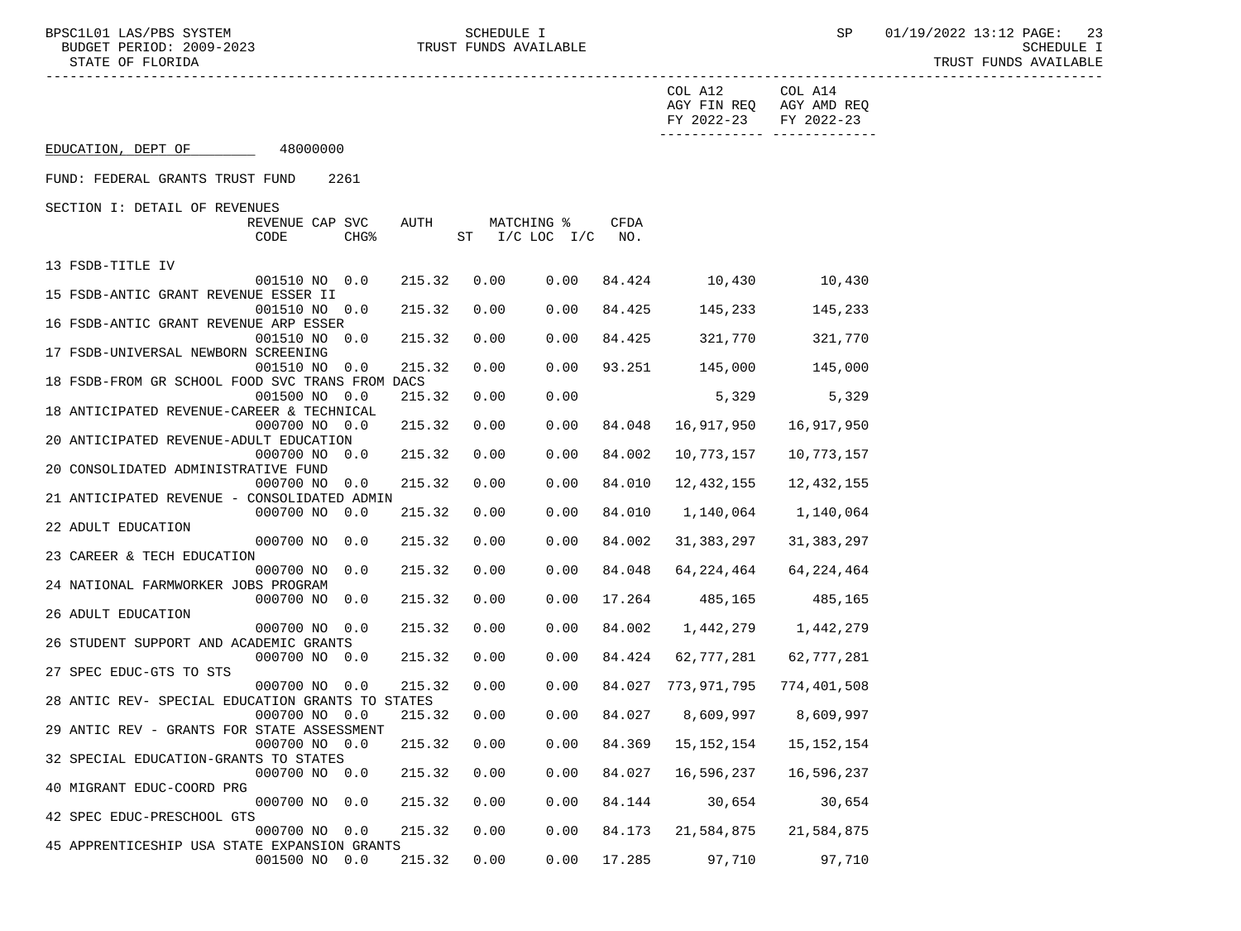-----------------------------------------------------------------------------------------------------------------------------------

001500 NO 0.0 215.32 0.00 0.00 17.285 97,710 97,710

 COL A12 COL A14 AGY FIN REQ AGY AMD REQ FY 2022-23 FY 2022-23 ------------- ------------- EDUCATION, DEPT OF 48000000 FUND: FEDERAL GRANTS TRUST FUND 2261 SECTION I: DETAIL OF REVENUES REVENUE CAP SVC AUTH MATCHING % CFDA CODE CHG<sup>§</sup> ST I/C LOC I/C NO. 13 FSDB-TITLE IV 001510 NO 0.0 215.32 0.00 0.00 84.424 10,430 10,430 15 FSDB-ANTIC GRANT REVENUE ESSER II 001510 NO 0.0 215.32 0.00 0.00 84.425 145,233 145,233 16 FSDB-ANTIC GRANT REVENUE ARP ESSER 001510 NO 0.0 215.32 0.00 0.00 84.425 321,770 321,770 17 FSDB-UNIVERSAL NEWBORN SCREENING 001510 NO 0.0 215.32 0.00 0.00 93.251 145,000 145,000 18 FSDB-FROM GR SCHOOL FOOD SVC TRANS FROM DACS 001500 NO 0.0 215.32 0.00 0.00 5,329 5,329 18 ANTICIPATED REVENUE-CAREER & TECHNICAL 000700 NO 0.0 215.32 0.00 0.00 84.048 16,917,950 16,917,950 20 ANTICIPATED REVENUE-ADULT EDUCATION 000700 NO 0.0 215.32 0.00 0.00 84.002 10,773,157 10,773,157 20 CONSOLIDATED ADMINISTRATIVE FUND 000700 NO 0.0 215.32 0.00 0.00 84.010 12,432,155 12,432,155 21 ANTICIPATED REVENUE - CONSOLIDATED ADMIN 000700 NO 0.0 215.32 0.00 0.00 84.010 1,140,064 1,140,064 22 ADULT EDUCATION 000700 NO 0.0 215.32 0.00 0.00 84.002 31,383,297 31,383,297 23 CAREER & TECH EDUCATION 000700 NO 0.0 215.32 0.00 0.00 84.048 64,224,464 64,224,464 24 NATIONAL FARMWORKER JOBS PROGRAM<br>000700 NO 0.0 215.32 0.00 0.00 17.264 485,165 485,165 26 ADULT EDUCATION 000700 NO 0.0 215.32 0.00 0.00 84.002 1,442,279 1,442,279 26 STUDENT SUPPORT AND ACADEMIC GRANTS 000700 NO 0.0 215.32 0.00 0.00 84.424 62,777,281 62,777,281 27 SPEC EDUC-GTS TO STS 000700 NO 0.0 215.32 0.00 0.00 84.027 773,971,795 774,401,508 28 ANTIC REV- SPECIAL EDUCATION GRANTS TO STATES 000700 NO 0.0 215.32 0.00 0.00 84.027 8,609,997 8,609,997 29 ANTIC REV - GRANTS FOR STATE ASSESSMENT 0.00 84.369 15,152,154 15,152,154 32 SPECIAL EDUCATION-GRANTS TO STATES<br>000700 NO 0.0 215.32 0.00 0.00 84.027 16,596,237 16,596,237 40 MIGRANT EDUC-COORD PRG 000700 NO 0.0 215.32 0.00 0.00 84.144 30,654 30,654 42 SPEC EDUC-PRESCHOOL GTS 000700 NO 0.0 215.32 0.00 0.00 84.173 21,584,875 21,584,875 45 APPRENTICESHIP USA STATE EXPANSION GRANTS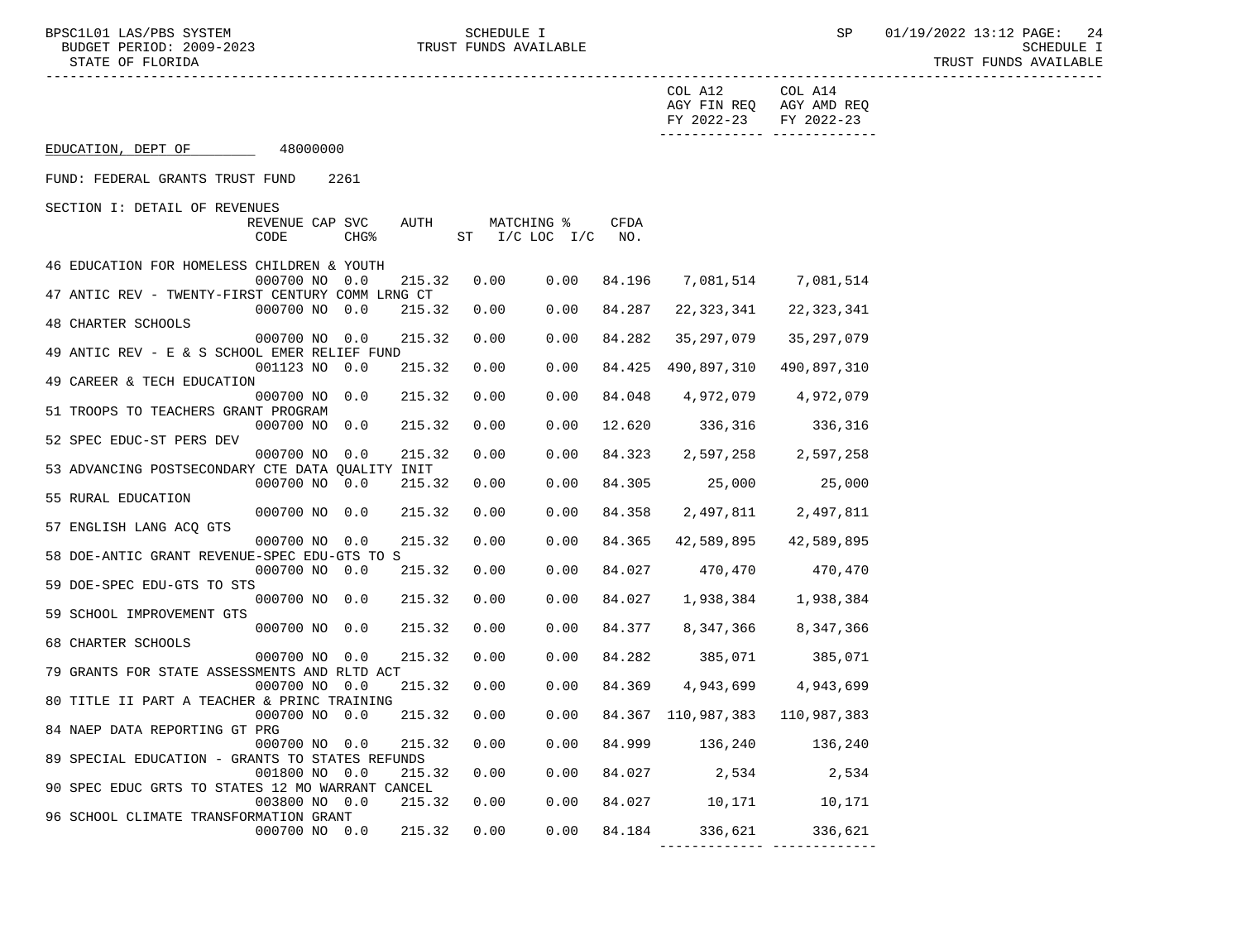BPSC1L01 LAS/PBS SYSTEM SCHEDULE I SEREDULE I SP 01/19/2022 13:12 PAGE: 24<br>BUDGET PERIOD: 2009-2023 TRUST FUNDS AVAILABLE TRUST FUNDS AVAILABLE

|                                                  |                 |                  |        |                    |            |             | COL A12<br>FY 2022-23          | COL A14<br>AGY FIN REQ AGY AMD REQ<br>FY 2022-23<br>-------------- -------------- |  |
|--------------------------------------------------|-----------------|------------------|--------|--------------------|------------|-------------|--------------------------------|-----------------------------------------------------------------------------------|--|
| EDUCATION, DEPT OF                               | 48000000        |                  |        |                    |            |             |                                |                                                                                   |  |
| FUND: FEDERAL GRANTS TRUST FUND                  |                 | 2261             |        |                    |            |             |                                |                                                                                   |  |
| SECTION I: DETAIL OF REVENUES                    |                 |                  |        |                    |            |             |                                |                                                                                   |  |
|                                                  | REVENUE CAP SVC |                  | AUTH   |                    | MATCHING % | <b>CFDA</b> |                                |                                                                                   |  |
|                                                  | CODE            | CHG <sup>8</sup> |        | ST I/C LOC I/C NO. |            |             |                                |                                                                                   |  |
| 46 EDUCATION FOR HOMELESS CHILDREN & YOUTH       | 000700 NO 0.0   |                  |        | 0.00               | 0.00       | 84.196      | 7,081,514 7,081,514            |                                                                                   |  |
| 47 ANTIC REV - TWENTY-FIRST CENTURY COMM LRNG CT |                 |                  | 215.32 |                    |            |             |                                |                                                                                   |  |
|                                                  | 000700 NO 0.0   |                  | 215.32 | 0.00               | 0.00       |             | 84.287 22,323,341              | 22,323,341                                                                        |  |
| 48 CHARTER SCHOOLS                               |                 |                  |        |                    |            |             |                                |                                                                                   |  |
|                                                  | 000700 NO 0.0   |                  | 215.32 | 0.00               | 0.00       | 84.282      | 35,297,079                     | 35,297,079                                                                        |  |
| 49 ANTIC REV - E & S SCHOOL EMER RELIEF FUND     |                 |                  |        |                    |            |             |                                |                                                                                   |  |
|                                                  | 001123 NO 0.0   |                  | 215.32 | 0.00               | 0.00       |             | 84.425 490,897,310 490,897,310 |                                                                                   |  |
| 49 CAREER & TECH EDUCATION                       |                 |                  | 215.32 |                    |            | 84.048      | 4,972,079                      |                                                                                   |  |
| 51 TROOPS TO TEACHERS GRANT PROGRAM              | 000700 NO 0.0   |                  |        | 0.00               | 0.00       |             |                                | 4,972,079                                                                         |  |
|                                                  | 000700 NO 0.0   |                  | 215.32 | 0.00               | 0.00       |             | 12.620 336,316 336,316         |                                                                                   |  |
| 52 SPEC EDUC-ST PERS DEV                         |                 |                  |        |                    |            |             |                                |                                                                                   |  |
|                                                  | 000700 NO 0.0   |                  | 215.32 | 0.00               | 0.00       |             | 84.323 2,597,258 2,597,258     |                                                                                   |  |
| 53 ADVANCING POSTSECONDARY CTE DATA QUALITY INIT |                 |                  |        |                    |            |             |                                |                                                                                   |  |
|                                                  | 000700 NO 0.0   |                  | 215.32 | 0.00               | 0.00       |             | 84.305 25,000 25,000           |                                                                                   |  |
| 55 RURAL EDUCATION                               |                 |                  |        |                    |            |             |                                |                                                                                   |  |
|                                                  | 000700 NO 0.0   |                  | 215.32 | 0.00               | 0.00       | 84.358      | 2,497,811                      | 2,497,811                                                                         |  |
| 57 ENGLISH LANG ACQ GTS                          |                 |                  |        |                    |            |             |                                |                                                                                   |  |
|                                                  | 000700 NO 0.0   |                  | 215.32 | 0.00               | 0.00       |             | 84.365 42,589,895              | 42,589,895                                                                        |  |
| 58 DOE-ANTIC GRANT REVENUE-SPEC EDU-GTS TO S     |                 |                  |        |                    |            |             |                                |                                                                                   |  |
|                                                  | 000700 NO 0.0   |                  | 215.32 | 0.00               | 0.00       | 84.027      | 470,470                        | 470,470                                                                           |  |
| 59 DOE-SPEC EDU-GTS TO STS                       |                 |                  |        |                    |            |             |                                |                                                                                   |  |
|                                                  | 000700 NO 0.0   |                  | 215.32 | 0.00               | 0.00       |             | 84.027 1,938,384               | 1,938,384                                                                         |  |
| 59 SCHOOL IMPROVEMENT GTS                        |                 |                  |        |                    |            |             |                                |                                                                                   |  |
|                                                  | 000700 NO 0.0   |                  | 215.32 | 0.00               | 0.00       | 84.377      |                                | 8,347,366 8,347,366                                                               |  |
| 68 CHARTER SCHOOLS                               |                 |                  |        |                    |            |             |                                |                                                                                   |  |
|                                                  | 000700 NO 0.0   |                  | 215.32 | 0.00               | 0.00       |             | 84.282 385,071 385,071         |                                                                                   |  |
| 79 GRANTS FOR STATE ASSESSMENTS AND RLTD ACT     |                 |                  |        |                    |            |             |                                |                                                                                   |  |
|                                                  | 000700 NO 0.0   |                  | 215.32 | 0.00               | 0.00       | 84.369      | 4,943,699                      | 4,943,699                                                                         |  |
| 80 TITLE II PART A TEACHER & PRINC TRAINING      |                 |                  |        |                    |            |             |                                |                                                                                   |  |
|                                                  | 000700 NO 0.0   |                  | 215.32 | 0.00               | 0.00       |             | 84.367 110,987,383 110,987,383 |                                                                                   |  |
| 84 NAEP DATA REPORTING GT PRG                    |                 |                  |        |                    |            |             |                                |                                                                                   |  |
|                                                  | 000700 NO 0.0   |                  | 215.32 | 0.00               | 0.00       |             | 84.999 136,240 136,240         |                                                                                   |  |
| 89 SPECIAL EDUCATION - GRANTS TO STATES REFUNDS  |                 |                  |        |                    |            |             |                                |                                                                                   |  |
|                                                  | 001800 NO 0.0   |                  | 215.32 | 0.00               | 0.00       |             | 84.027 2,534 2,534             |                                                                                   |  |
| 90 SPEC EDUC GRTS TO STATES 12 MO WARRANT CANCEL |                 |                  |        |                    |            |             |                                |                                                                                   |  |
|                                                  | 003800 NO 0.0   |                  | 215.32 | 0.00               | 0.00       |             | 84.027 10,171 10,171           |                                                                                   |  |
| 96 SCHOOL CLIMATE TRANSFORMATION GRANT           | 000700 NO 0.0   |                  | 215.32 | 0.00               | 0.00       | 84.184      | 336,621                        | 336,621                                                                           |  |
|                                                  |                 |                  |        |                    |            |             |                                |                                                                                   |  |

------------- -------------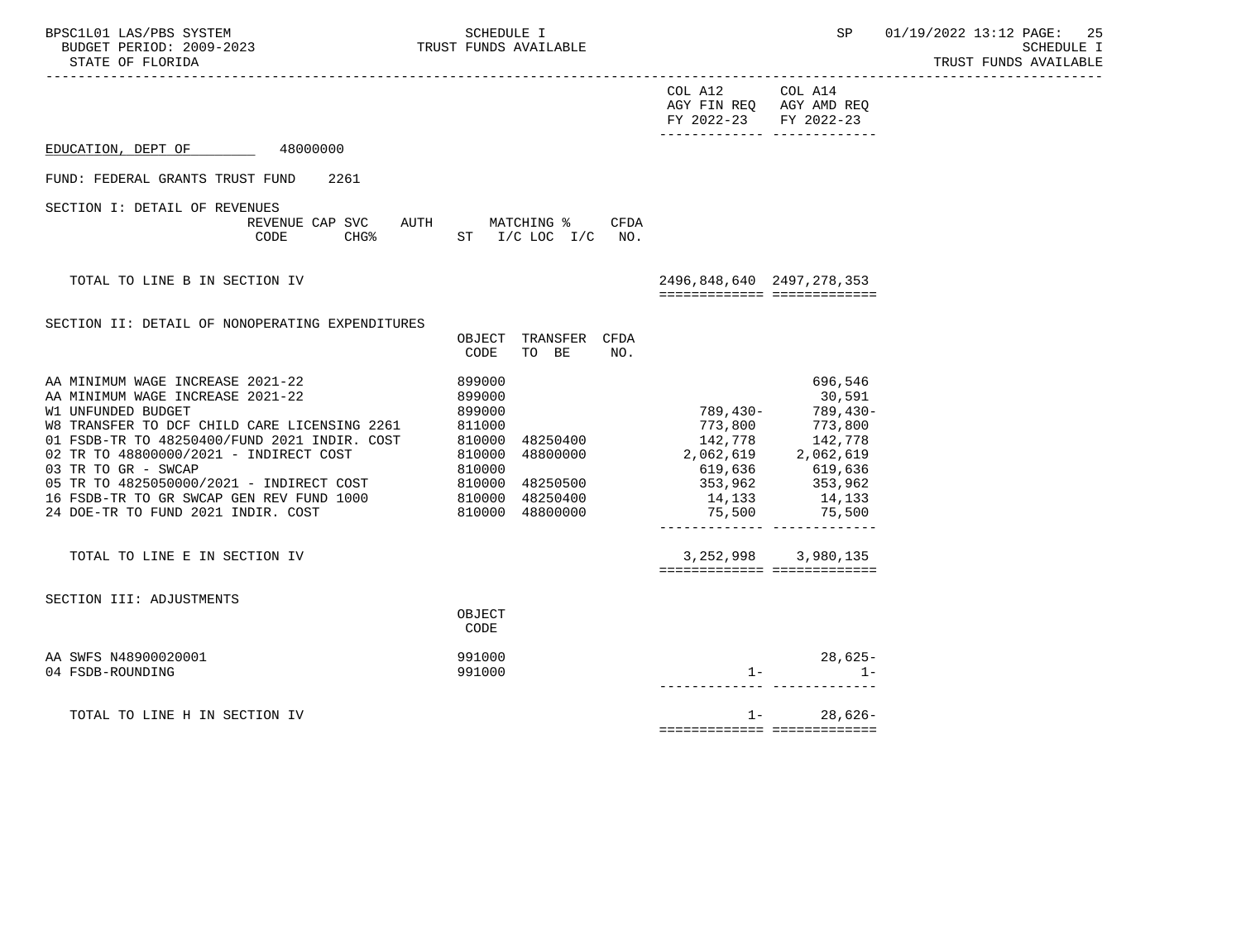| BPSC1L01 LAS/PBS SYSTEM<br>BUDGET PERIOD: 2009-2023<br>STATE OF FLORIDA                                                                                                                                                                                                                                                                                                                                                                   | SCHEDULE I<br>TRUST FUNDS AVAILABLE                                                     | ---------------------                                                                 | $\operatorname{SP}$                                                                                                | 01/19/2022 13:12 PAGE:<br>-25<br>SCHEDULE I<br>TRUST FUNDS AVAILABLE |
|-------------------------------------------------------------------------------------------------------------------------------------------------------------------------------------------------------------------------------------------------------------------------------------------------------------------------------------------------------------------------------------------------------------------------------------------|-----------------------------------------------------------------------------------------|---------------------------------------------------------------------------------------|--------------------------------------------------------------------------------------------------------------------|----------------------------------------------------------------------|
|                                                                                                                                                                                                                                                                                                                                                                                                                                           |                                                                                         | COL A12 COL A14<br>FY 2022-23 FY 2022-23                                              | AGY FIN REQ AGY AMD REQ<br>_______________________________                                                         |                                                                      |
| EDUCATION, DEPT OF 48000000                                                                                                                                                                                                                                                                                                                                                                                                               |                                                                                         |                                                                                       |                                                                                                                    |                                                                      |
| FUND: FEDERAL GRANTS TRUST FUND<br>2261                                                                                                                                                                                                                                                                                                                                                                                                   |                                                                                         |                                                                                       |                                                                                                                    |                                                                      |
| SECTION I: DETAIL OF REVENUES<br>REVENUE CAP SVC AUTH MATCHING %<br>CODE                                                                                                                                                                                                                                                                                                                                                                  | CFDA<br>CHG <sup>&amp;</sup> ST I/C LOC I/C NO.                                         |                                                                                       |                                                                                                                    |                                                                      |
| TOTAL TO LINE B IN SECTION IV                                                                                                                                                                                                                                                                                                                                                                                                             |                                                                                         | 2496,848,640 2497,278,353                                                             | ============================                                                                                       |                                                                      |
| SECTION II: DETAIL OF NONOPERATING EXPENDITURES                                                                                                                                                                                                                                                                                                                                                                                           | OBJECT TRANSFER CFDA<br>CODE<br>TO BE<br>NO.                                            |                                                                                       |                                                                                                                    |                                                                      |
| AA MINIMUM WAGE INCREASE 2021-22<br>AA MINIMUM WAGE INCREASE 2021-22<br>W1 UNFUNDED BUDGET<br>W8 TRANSFER TO DCF CHILD CARE LICENSING 2261<br>01 FSDB-TR TO 48250400/FUND 2021 INDIR. COST<br>02 TR TO 48800000/2021 - INDIRECT COST<br>03 TR TO GR - SWCAP<br>05 TR TO 4825050000/2021 - INDIRECT COST 810000 48250500<br>16 FSDB-TR TO GR SWCAP GEN REV FUND 1000 810000 48250400<br>24 DOE-TR TO FUND 2021 INDIR. COST 810000 48800000 | 899000<br>899000<br>899000<br>811000<br>810000 48250400<br>48800000<br>810000<br>810000 | 789,430-<br>773,800<br>142,778<br>2,062,619<br>619,636<br>353,962<br>14,133<br>75,500 | 696,546<br>30,591<br>789,430-<br>$773,800$<br>$142,778$<br>$2,062,619$<br>$619,636$<br>353,962<br>14,133<br>75,500 |                                                                      |
| TOTAL TO LINE E IN SECTION IV                                                                                                                                                                                                                                                                                                                                                                                                             |                                                                                         |                                                                                       | 3, 252, 998 3, 980, 135<br>============================                                                            |                                                                      |
| SECTION III: ADJUSTMENTS                                                                                                                                                                                                                                                                                                                                                                                                                  | OBJECT<br>CODE                                                                          |                                                                                       |                                                                                                                    |                                                                      |
| AA SWFS N48900020001<br>04 FSDB-ROUNDING                                                                                                                                                                                                                                                                                                                                                                                                  | 991000<br>991000                                                                        | $1 -$                                                                                 | $28,625-$<br>$1 -$                                                                                                 |                                                                      |
| TOTAL TO LINE H IN SECTION IV                                                                                                                                                                                                                                                                                                                                                                                                             |                                                                                         | $1 -$                                                                                 | $28,626-$<br>============================                                                                          |                                                                      |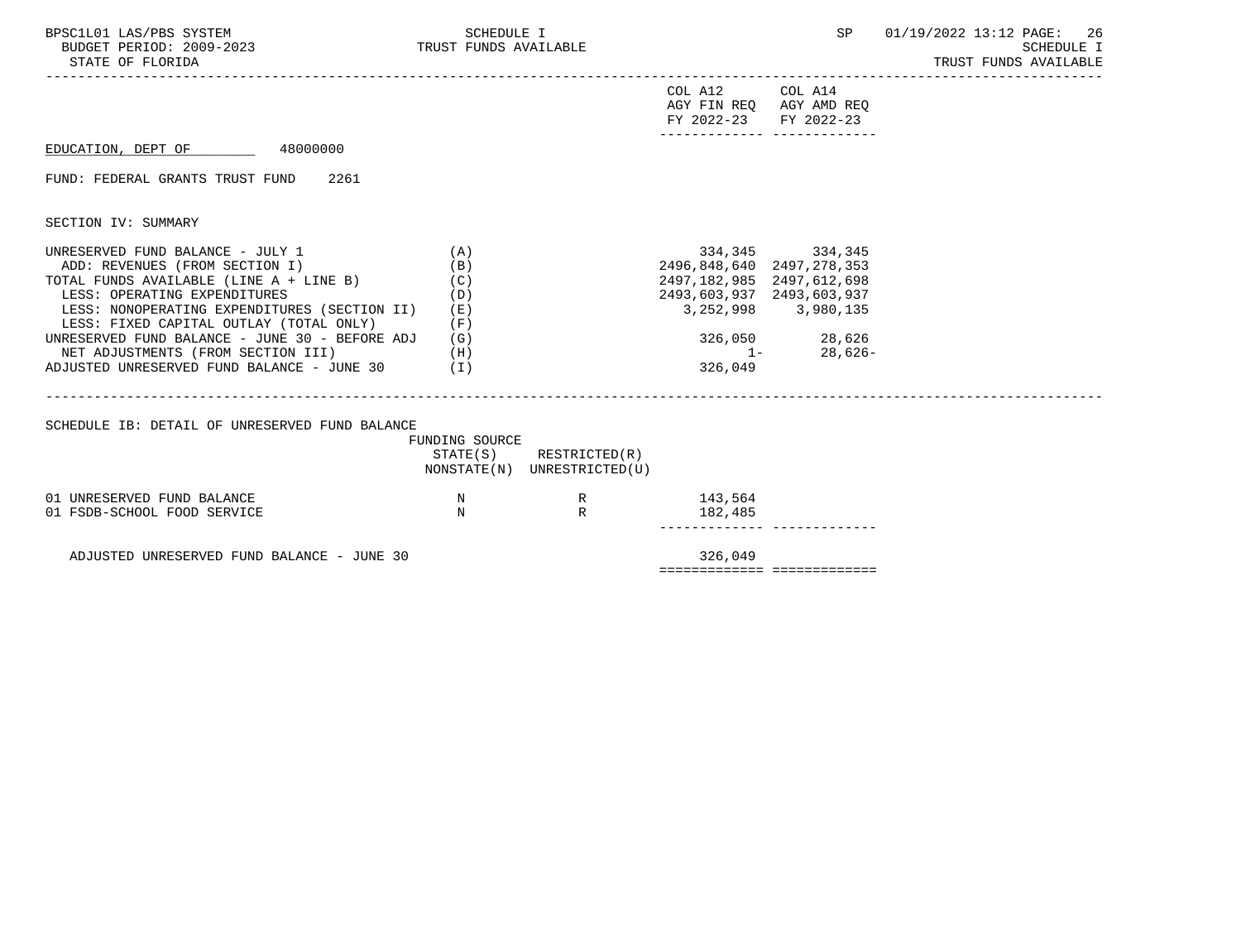| BPSC1L01 LAS/PBS SYSTEM<br>BUDGET PERIOD: 2009-2023<br>STATE OF FLORIDA                                                                                                                                                                                                                                                                                                            | SCHEDULE I<br>TRUST FUNDS AVAILABLE                    |                                              |                                                                                                | SP                                                                             | 01/19/2022 13:12 PAGE: 26<br><b>SCHEDULE I</b><br>TRUST FUNDS AVAILABLE |
|------------------------------------------------------------------------------------------------------------------------------------------------------------------------------------------------------------------------------------------------------------------------------------------------------------------------------------------------------------------------------------|--------------------------------------------------------|----------------------------------------------|------------------------------------------------------------------------------------------------|--------------------------------------------------------------------------------|-------------------------------------------------------------------------|
|                                                                                                                                                                                                                                                                                                                                                                                    |                                                        |                                              | COL A12<br>FY 2022-23                                                                          | COL A14<br>AGY FIN REQ AGY AMD REQ<br>FY 2022-23                               |                                                                         |
| EDUCATION, DEPT OF 48000000                                                                                                                                                                                                                                                                                                                                                        |                                                        |                                              |                                                                                                |                                                                                |                                                                         |
| FUND: FEDERAL GRANTS TRUST FUND 2261                                                                                                                                                                                                                                                                                                                                               |                                                        |                                              |                                                                                                |                                                                                |                                                                         |
| SECTION IV: SUMMARY                                                                                                                                                                                                                                                                                                                                                                |                                                        |                                              |                                                                                                |                                                                                |                                                                         |
| UNRESERVED FUND BALANCE - JULY 1<br>ADD: REVENUES (FROM SECTION I)<br>TOTAL FUNDS AVAILABLE (LINE A + LINE B)<br>LESS: OPERATING EXPENDITURES<br>LESS: NONOPERATING EXPENDITURES (SECTION II)<br>LESS: FIXED CAPITAL OUTLAY (TOTAL ONLY)<br>UNRESERVED FUND BALANCE - JUNE 30 - BEFORE ADJ<br>NET ADJUSTMENTS (FROM SECTION III)<br>ADJUSTED UNRESERVED FUND BALANCE - JUNE 30 (I) | (A)<br>(B)<br>(C)<br>(D)<br>( E )<br>(F)<br>(G)<br>(H) |                                              | 2496,848,640 2497,278,353<br>2497,182,985 2497,612,698<br>2493,603,937 2493,603,937<br>326,049 | 334,345 334,345<br>3, 252, 998 3, 980, 135<br>326,050 28,626<br>$1 - 28,626 -$ |                                                                         |
| SCHEDULE IB: DETAIL OF UNRESERVED FUND BALANCE                                                                                                                                                                                                                                                                                                                                     | FUNDING SOURCE<br>STATE(S)                             | RESTRICTED(R)<br>NONSTATE(N) UNRESTRICTED(U) |                                                                                                |                                                                                |                                                                         |
| 01 UNRESERVED FUND BALANCE<br>01 FSDB-SCHOOL FOOD SERVICE                                                                                                                                                                                                                                                                                                                          | $\mathbb N$<br>N                                       | R<br>R                                       | 143,564<br>182,485                                                                             |                                                                                |                                                                         |
| ADJUSTED UNRESERVED FUND BALANCE - JUNE 30                                                                                                                                                                                                                                                                                                                                         |                                                        |                                              | 326,049                                                                                        | ===========================                                                    |                                                                         |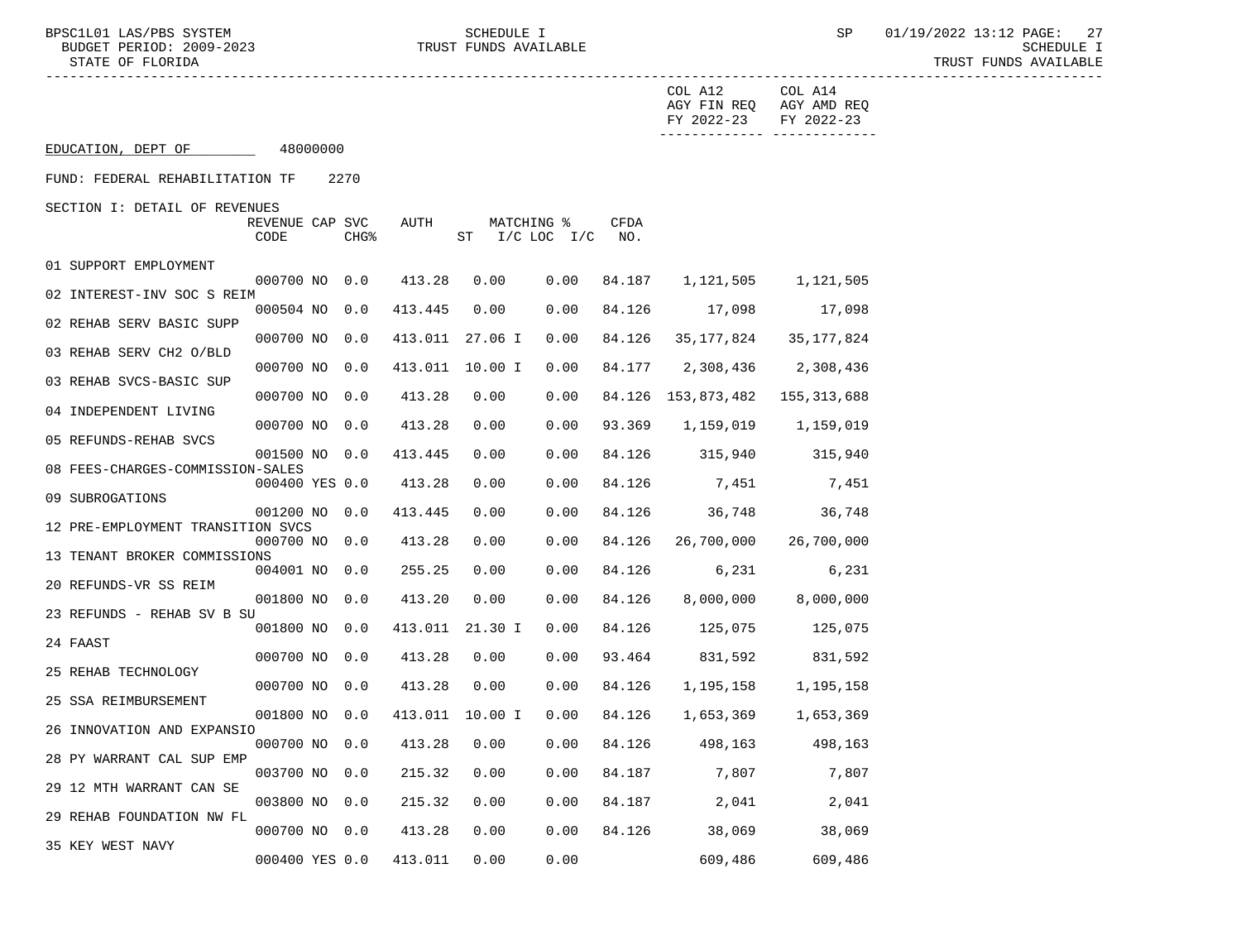-----------------------------------------------------------------------------------------------------------------------------------

000400 YES 0.0 413.011 0.00 0.00 609,486 609,486

 COL A12 COL A14 AGY FIN REQ AGY AMD REQ FY 2022-23 FY 2022-23 ------------- ------------- EDUCATION, DEPT OF 48000000 FUND: FEDERAL REHABILITATION TF 2270 SECTION I: DETAIL OF REVENUES REVENUE CAP SVC AUTH MATCHING % CFDA<br>CODE CHG% ST I/C LOC I/C NO.  $ST$  I/C LOC I/C NO. 01 SUPPORT EMPLOYMENT 000700 NO 0.0 413.28 0.00 0.00 84.187 1,121,505 1,121,505 02 INTEREST-INV SOC S REIM 000504 NO 0.0 413.445 0.00 0.00 84.126 17,098 17,098 02 REHAB SERV BASIC SUPP 000700 NO 0.0 413.011 27.06 I 0.00 84.126 35,177,824 35,177,824 03 REHAB SERV CH2 O/BLD 000700 NO 0.0 413.011 10.00 I 0.00 84.177 2,308,436 2,308,436 03 REHAB SVCS-BASIC SUP 000700 NO 0.0 413.28 0.00 0.00 84.126 153,873,482 155,313,688 04 INDEPENDENT LIVING 000700 NO 0.0 413.28 0.00 0.00 93.369 1,159,019 1,159,019 05 REFUNDS-REHAB SVCS 001500 NO 0.0 413.445 0.00 0.00 84.126 315,940 315,940 08 FEES-CHARGES-COMMISSION-SALES 000400 YES 0.0 413.28 0.00 0.00 84.126 7.451 7.451 09 SUBROGATIONS 001200 NO 0.0 413.445 0.00 0.00 84.126 36,748 36,748 12 PRE-EMPLOYMENT TRANSITION SVCS 000700 NO 0.0 413.28 0.00 0.00 84.126 26,700,000 26,700,000 13 TENANT BROKER COMMISSIONS 004001 NO 0.0 255.25 0.00 0.00 84.126 6,231 6,231 20 REFUNDS-VR SS REIM 001800 NO 0.0 413.20 0.00 0.00 84.126 8,000,000 8,000,000 23 REFUNDS - REHAB SV B SU 001800 NO 0.0 413.011 21.30 I 0.00 84.126 125,075 125,075 24 FAAST 000700 NO 0.0 413.28 0.00 0.00 93.464 831,592 831,592 25 REHAB TECHNOLOGY 000700 NO 0.0 413.28 0.00 0.00 84.126 1,195,158 1,195,158 25 SSA REIMBURSEMENT 001800 NO 0.0 413.011 10.00 I 0.00 84.126 1,653,369 1,653,369 26 INNOVATION AND EXPANSIO 000700 NO 0.0 413.28 0.00 0.00 84.126 498,163 498,163 28 PY WARRANT CAL SUP EMP 003700 NO 0.0 215.32 0.00 0.00 84.187 7,807 7,807 29 12 MTH WARRANT CAN SE 003800 NO 0.0 215.32 0.00 0.00 84.187 2,041 2,041 29 REHAB FOUNDATION NW FL 000700 NO 0.0 413.28 0.00 0.00 84.126 38,069 38,069 35 KEY WEST NAVY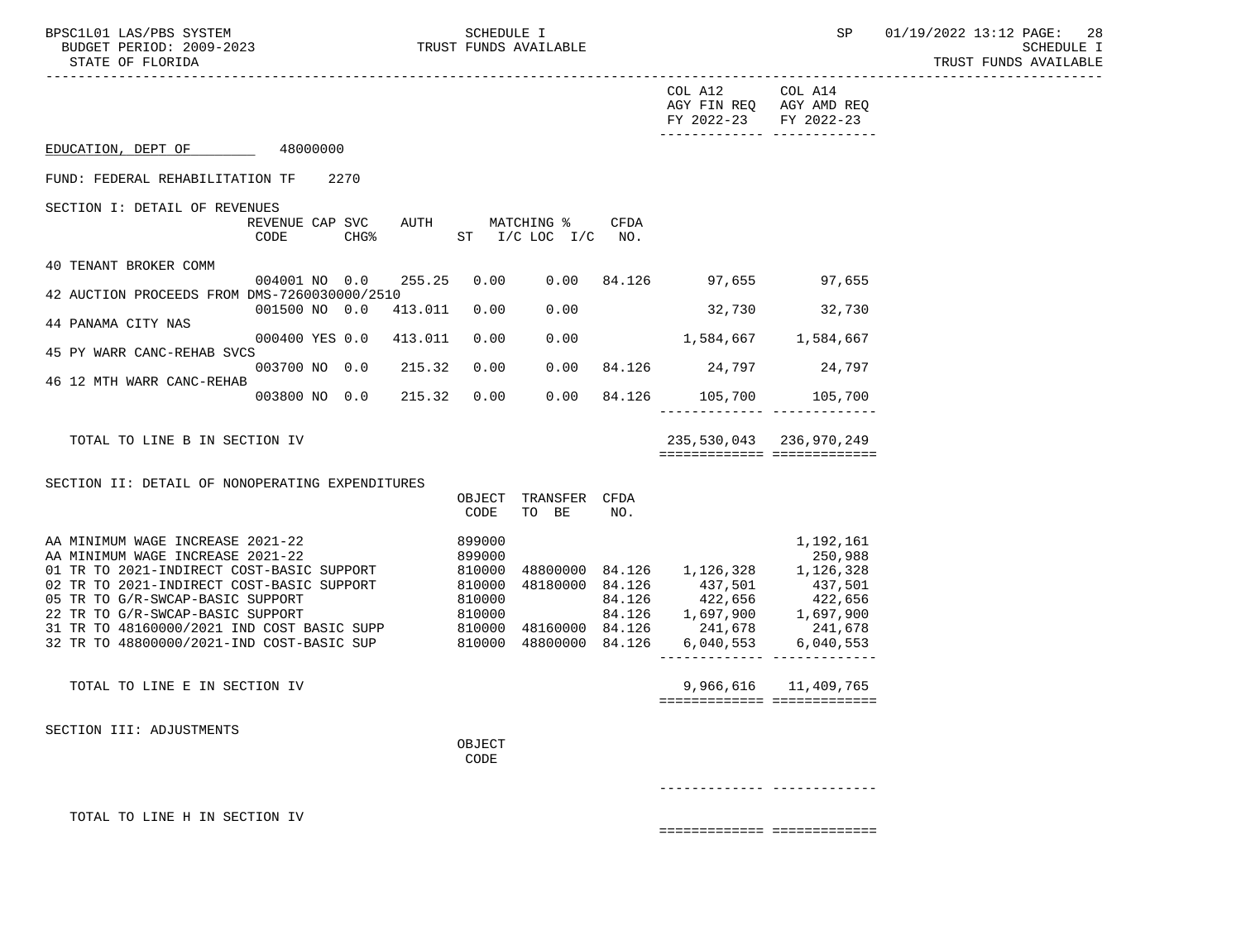|                                                                                                                                                       |                         |      |                        |                  |                                           |      | COL A12 COL A14<br>AGY FIN REQ AGY AMD REQ<br>FY 2022-23 FY 2022-23                     |                      |
|-------------------------------------------------------------------------------------------------------------------------------------------------------|-------------------------|------|------------------------|------------------|-------------------------------------------|------|-----------------------------------------------------------------------------------------|----------------------|
| EDUCATION, DEPT OF 48000000                                                                                                                           |                         |      |                        |                  |                                           |      |                                                                                         |                      |
| FUND: FEDERAL REHABILITATION TF                                                                                                                       |                         | 2270 |                        |                  |                                           |      |                                                                                         |                      |
| SECTION I: DETAIL OF REVENUES                                                                                                                         | REVENUE CAP SVC<br>CODE | CHG% |                        |                  | AUTH MATCHING %<br>ST $I/C$ LOC $I/C$ NO. | CFDA |                                                                                         |                      |
| 40 TENANT BROKER COMM                                                                                                                                 | 004001 NO 0.0           |      |                        |                  |                                           |      | 255.25  0.00  0.00  84.126  97,655  97,655                                              |                      |
| 42 AUCTION PROCEEDS FROM DMS-7260030000/2510                                                                                                          |                         |      |                        |                  |                                           |      |                                                                                         |                      |
| 44 PANAMA CITY NAS                                                                                                                                    |                         |      | 001500 NO 0.0 413.011  | 0.00             | 0.00                                      |      | 32,730 32,730                                                                           |                      |
| 45 PY WARR CANC-REHAB SVCS                                                                                                                            |                         |      | 000400 YES 0.0 413.011 | 0.00             | 0.00                                      |      | 1,584,667 1,584,667                                                                     |                      |
|                                                                                                                                                       |                         |      | 003700 NO 0.0 215.32   | 0.00             |                                           |      | $0.00 \quad 84.126 \quad 24.797 \quad 24.797$                                           |                      |
| 46 12 MTH WARR CANC-REHAB                                                                                                                             |                         |      |                        |                  |                                           |      | 003800 NO 0.0 215.32 0.00 0.00 84.126 105,700 105,700                                   |                      |
| TOTAL TO LINE B IN SECTION IV                                                                                                                         |                         |      |                        |                  |                                           |      | 235, 530, 043 236, 970, 249<br>============================                             |                      |
| SECTION II: DETAIL OF NONOPERATING EXPENDITURES                                                                                                       |                         |      |                        |                  |                                           |      |                                                                                         |                      |
|                                                                                                                                                       |                         |      |                        | OBJECT<br>CODE   | TRANSFER CFDA<br>TO BE                    | NO.  |                                                                                         |                      |
| AA MINIMUM WAGE INCREASE 2021-22<br>AA MINIMUM WAGE INCREASE 2021-22<br>01 TR TO 2021-INDIRECT COST-BASIC SUPPORT                                     |                         |      |                        | 899000<br>899000 |                                           |      | 810000 48800000 84.126 1,126,328 1,126,328                                              | 1,192,161<br>250,988 |
| 02 TR TO 2021-INDIRECT COST-BASIC SUPPORT<br>05 TR TO G/R-SWCAP-BASIC SUPPORT<br>22 TR TO G/R-SWCAP-BASIC SUPPORT                                     |                         |      | 810000<br>810000       | 810000           |                                           |      | 48180000 84.126 437,501 437,501<br>84.126 422,656 422,656<br>84.126 1,697,900 1,697,900 |                      |
| 31 TR TO 48160000/2021 IND COST BASIC SUPP 810000 48160000 84.126 241,678 241,678<br>32 TR TO 48800000/2021-IND COST-BASIC SUP 810000 48800000 84.126 |                         |      |                        |                  |                                           |      | ________________________________                                                        | 6,040,553 6,040,553  |
| TOTAL TO LINE E IN SECTION IV                                                                                                                         |                         |      |                        |                  |                                           |      | ============================                                                            | 9,966,616 11,409,765 |
| SECTION III: ADJUSTMENTS                                                                                                                              |                         |      |                        | OBJECT<br>CODE   |                                           |      |                                                                                         |                      |
|                                                                                                                                                       |                         |      |                        |                  |                                           |      |                                                                                         |                      |
|                                                                                                                                                       |                         |      |                        |                  |                                           |      | __________________________________                                                      |                      |

TOTAL TO LINE H IN SECTION IV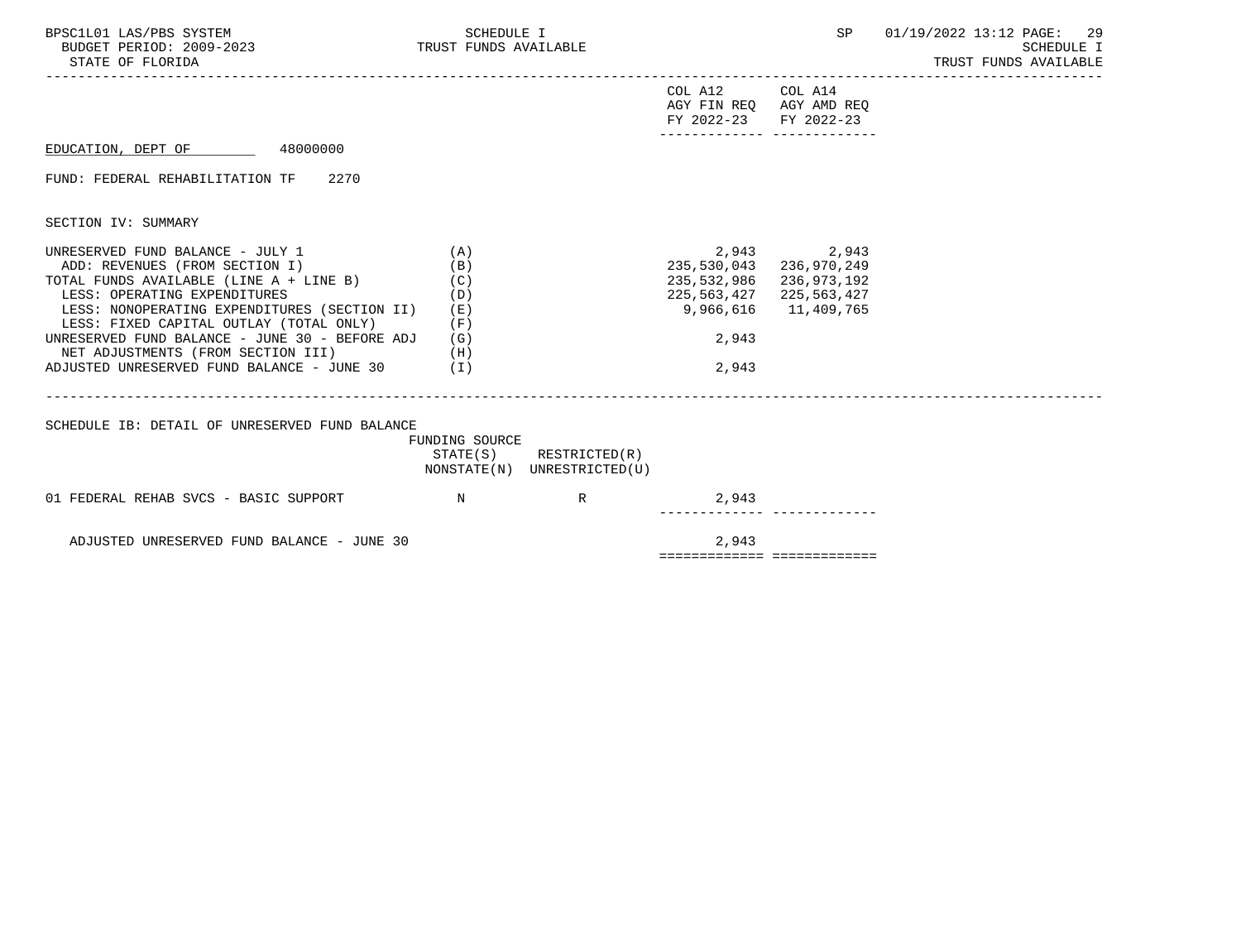| BPSC1L01 LAS/PBS SYSTEM<br>BUDGET PERIOD: 2009-2023<br>STATE OF FLORIDA                                                                                                                                                                                                                                                                                                                                                                | <b>SCHEDULE I</b><br>TRUST FUNDS AVAILABLE                               |                                                            |                                                                          | SP                                                                     | 01/19/2022 13:12 PAGE: 29<br>SCHEDULE I<br>TRUST FUNDS AVAILABLE |
|----------------------------------------------------------------------------------------------------------------------------------------------------------------------------------------------------------------------------------------------------------------------------------------------------------------------------------------------------------------------------------------------------------------------------------------|--------------------------------------------------------------------------|------------------------------------------------------------|--------------------------------------------------------------------------|------------------------------------------------------------------------|------------------------------------------------------------------|
|                                                                                                                                                                                                                                                                                                                                                                                                                                        |                                                                          |                                                            | COL A12<br>AGY FIN REQ AGY AMD REQ<br>FY 2022-23                         | COL A14<br>FY 2022-23                                                  |                                                                  |
| EDUCATION, DEPT OF 48000000                                                                                                                                                                                                                                                                                                                                                                                                            |                                                                          |                                                            |                                                                          |                                                                        |                                                                  |
| FUND: FEDERAL REHABILITATION TF 2270                                                                                                                                                                                                                                                                                                                                                                                                   |                                                                          |                                                            |                                                                          |                                                                        |                                                                  |
| SECTION IV: SUMMARY                                                                                                                                                                                                                                                                                                                                                                                                                    |                                                                          |                                                            |                                                                          |                                                                        |                                                                  |
| UNRESERVED FUND BALANCE - JULY 1<br>ADD: REVENUES (FROM SECTION I)<br>TOTAL FUNDS AVAILABLE (LINE A + LINE B)<br>LESS: OPERATING EXPENDITURES<br>LESS: NONOPERATING EXPENDITURES (SECTION II)<br>LESS: FIXED CAPITAL OUTLAY (TOTAL ONLY)<br>UNRESERVED FUND BALANCE - JUNE 30 - BEFORE ADJ<br>NET ADJUSTMENTS (FROM SECTION III)<br>ADJUSTED UNRESERVED FUND BALANCE - JUNE 30 $(1)$<br>SCHEDULE IB: DETAIL OF UNRESERVED FUND BALANCE | (A)<br>(B)<br>(C)<br>(D)<br>( E )<br>(F)<br>(G)<br>(H)<br>FUNDING SOURCE |                                                            | 235,530,043<br>235,532,986<br>225,563,427<br>9,966,616<br>2,943<br>2,943 | 2,943 2,943<br>236,970,249<br>236,973,192<br>225,563,427<br>11,409,765 |                                                                  |
|                                                                                                                                                                                                                                                                                                                                                                                                                                        |                                                                          | $STATE(S)$ RESTRICTED $(R)$<br>NONSTATE(N) UNRESTRICTED(U) |                                                                          |                                                                        |                                                                  |
| 01 FEDERAL REHAB SVCS - BASIC SUPPORT                                                                                                                                                                                                                                                                                                                                                                                                  | $_{\rm N}$                                                               | $\mathbb{R}$                                               | 2,943                                                                    |                                                                        |                                                                  |
| ADJUSTED UNRESERVED FUND BALANCE - JUNE 30                                                                                                                                                                                                                                                                                                                                                                                             |                                                                          |                                                            | 2,943                                                                    |                                                                        |                                                                  |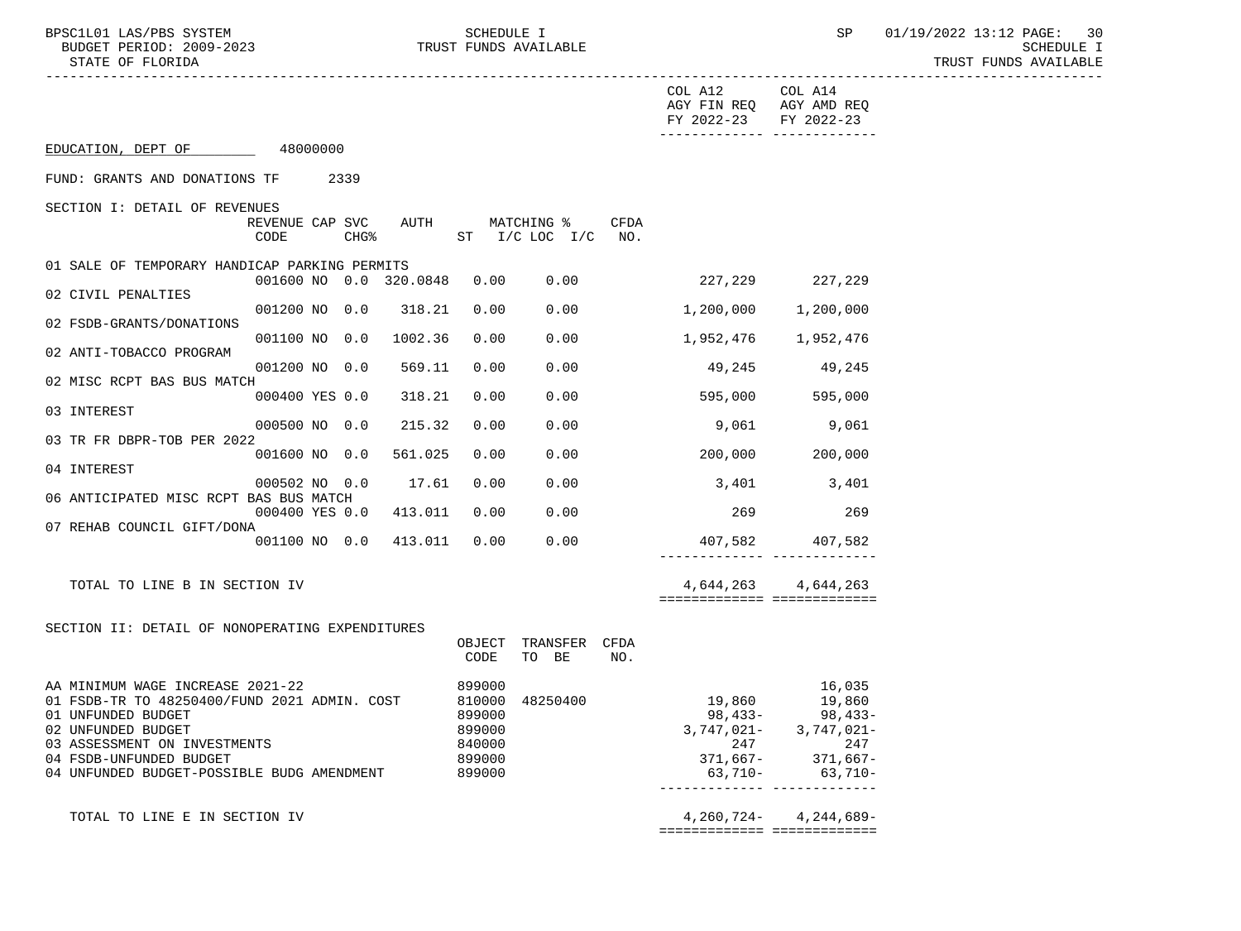BPSC1L01 LAS/PBS SYSTEM SCHEDULE I SEREDULE I SP 01/19/2022 13:12 PAGE: 30<br>BUDGET PERIOD: 2009-2023 TRUST FUNDS AVAILABLE TRUST FUNDS AVAILABLE

|                                                                                                                                                                                                                                       |                |        |                             |                                                                    |                                      |             | COL A12<br>AGY FIN REQ AGY AMD REQ<br>FY 2022-23<br>________________________________ | COL A14<br>FY 2022-23                                                                                 |
|---------------------------------------------------------------------------------------------------------------------------------------------------------------------------------------------------------------------------------------|----------------|--------|-----------------------------|--------------------------------------------------------------------|--------------------------------------|-------------|--------------------------------------------------------------------------------------|-------------------------------------------------------------------------------------------------------|
| EDUCATION, DEPT OF                                                                                                                                                                                                                    | 48000000       |        |                             |                                                                    |                                      |             |                                                                                      |                                                                                                       |
| FUND: GRANTS AND DONATIONS TF 2339                                                                                                                                                                                                    |                |        |                             |                                                                    |                                      |             |                                                                                      |                                                                                                       |
| SECTION I: DETAIL OF REVENUES                                                                                                                                                                                                         | CODE           | $CHG\$ | REVENUE CAP SVC AUTH        |                                                                    | MATCHING %<br>ST $I/C$ LOC $I/C$ NO. | <b>CFDA</b> |                                                                                      |                                                                                                       |
| 01 SALE OF TEMPORARY HANDICAP PARKING PERMITS                                                                                                                                                                                         |                |        |                             |                                                                    |                                      |             |                                                                                      |                                                                                                       |
| 02 CIVIL PENALTIES                                                                                                                                                                                                                    |                |        | 001600 NO 0.0 320.0848 0.00 |                                                                    | 0.00                                 |             |                                                                                      | 227,229 227,229                                                                                       |
| 02 FSDB-GRANTS/DONATIONS                                                                                                                                                                                                              |                |        | 001200 NO 0.0 318.21        | 0.00                                                               | 0.00                                 |             |                                                                                      | 1,200,000 1,200,000                                                                                   |
| 02 ANTI-TOBACCO PROGRAM                                                                                                                                                                                                               |                |        | 001100 NO 0.0 1002.36       | 0.00                                                               | 0.00                                 |             |                                                                                      | 1,952,476 1,952,476                                                                                   |
|                                                                                                                                                                                                                                       |                |        | 001200 NO 0.0 569.11        | 0.00                                                               | 0.00                                 |             |                                                                                      | 49,245 49,245                                                                                         |
| 02 MISC RCPT BAS BUS MATCH                                                                                                                                                                                                            | 000400 YES 0.0 |        | 318.21                      | 0.00                                                               | 0.00                                 |             | $595,000$ 595,000                                                                    |                                                                                                       |
| 03 INTEREST                                                                                                                                                                                                                           |                |        | 000500 NO 0.0 215.32        | 0.00                                                               | 0.00                                 |             |                                                                                      | 9,061 9,061                                                                                           |
| 03 TR FR DBPR-TOB PER 2022                                                                                                                                                                                                            |                |        |                             |                                                                    |                                      |             |                                                                                      |                                                                                                       |
| 04 INTEREST                                                                                                                                                                                                                           | 001600 NO 0.0  |        | 561.025                     | 0.00                                                               | 0.00                                 |             |                                                                                      | 200,000 200,000                                                                                       |
| 06 ANTICIPATED MISC RCPT BAS BUS MATCH                                                                                                                                                                                                |                |        | 000502 NO 0.0 17.61         | 0.00                                                               | 0.00                                 |             |                                                                                      | 3,401 3,401                                                                                           |
|                                                                                                                                                                                                                                       | 000400 YES 0.0 |        | 413.011                     | 0.00                                                               | 0.00                                 |             | 269                                                                                  | 269                                                                                                   |
| 07 REHAB COUNCIL GIFT/DONA                                                                                                                                                                                                            |                |        | 001100 NO 0.0 413.011 0.00  |                                                                    | 0.00                                 |             |                                                                                      | 407,582 407,582<br>------------ -------------                                                         |
| TOTAL TO LINE B IN SECTION IV                                                                                                                                                                                                         |                |        |                             |                                                                    |                                      |             |                                                                                      | 4,644,263 4,644,263                                                                                   |
|                                                                                                                                                                                                                                       |                |        |                             |                                                                    |                                      |             | ============================                                                         |                                                                                                       |
| SECTION II: DETAIL OF NONOPERATING EXPENDITURES                                                                                                                                                                                       |                |        |                             | OBJECT<br>CODE                                                     | TRANSFER CFDA<br>TO BE               | NO.         |                                                                                      |                                                                                                       |
| AA MINIMUM WAGE INCREASE 2021-22<br>01 FSDB-TR TO 48250400/FUND 2021 ADMIN. COST<br>01 UNFUNDED BUDGET<br>02 UNFUNDED BUDGET<br>03 ASSESSMENT ON INVESTMENTS<br>04 FSDB-UNFUNDED BUDGET<br>04 UNFUNDED BUDGET-POSSIBLE BUDG AMENDMENT |                |        |                             | 899000<br>810000<br>899000<br>899000<br>840000<br>899000<br>899000 | 48250400                             |             | 19,860<br>98,433-<br>247<br>63,710-                                                  | 16,035<br>19,860<br>98,433-<br>$3,747,021 - 3,747,021 -$<br>247<br>$371,667 - 371,667 -$<br>$63,710-$ |
| TOTAL TO LINE E IN SECTION IV                                                                                                                                                                                                         |                |        |                             |                                                                    |                                      |             |                                                                                      | $4,260,724 - 4,244,689 -$                                                                             |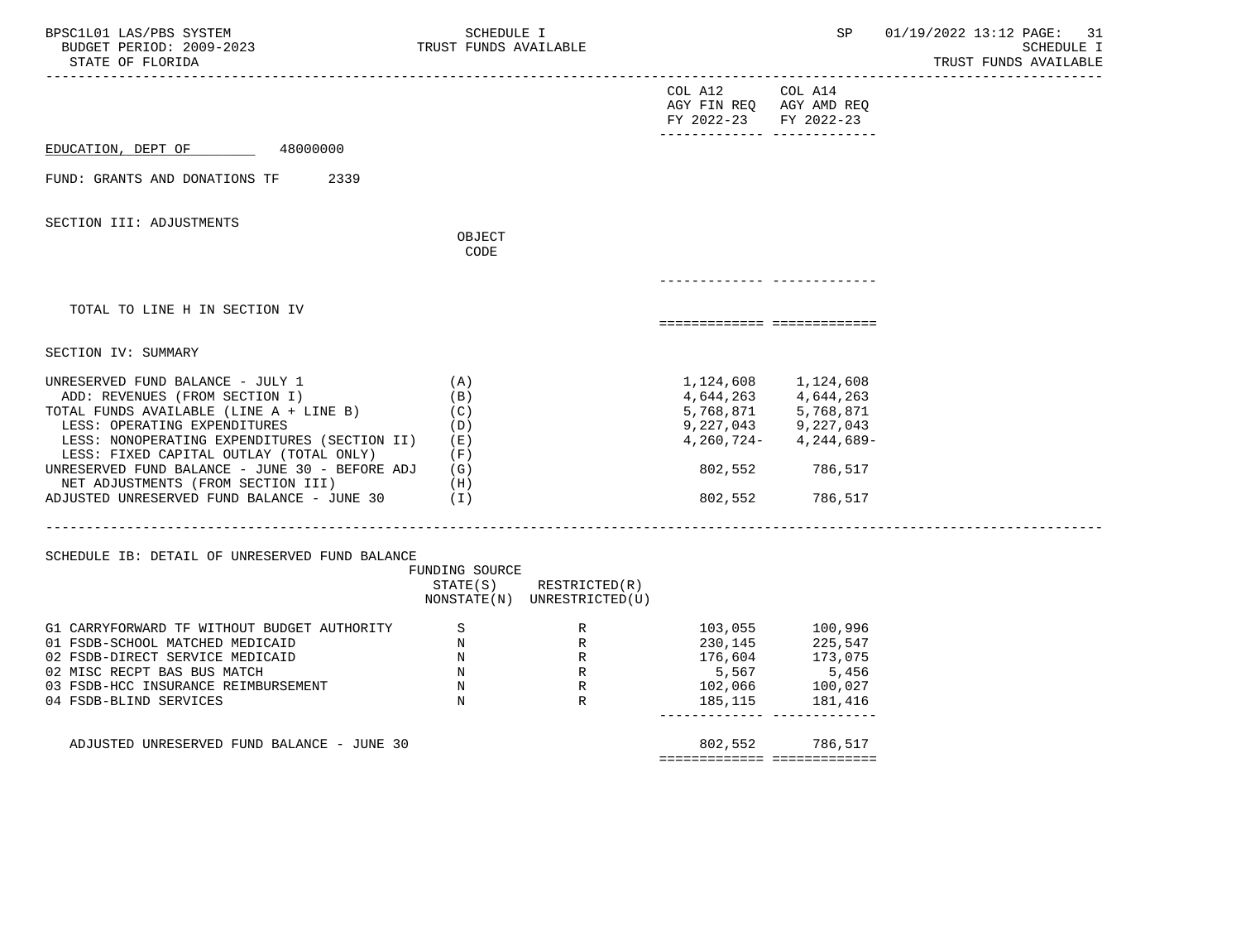| BPSC1L01 LAS/PBS SYSTEM<br>BUDGET PERIOD: 2009-2023<br>STATE OF FLORIDA                                                                                                                                                                                                     | SCHEDULE I<br>TRUST FUNDS AVAILABLE |                                                                            |                                                                                              | SP and the set of the set of the set of the set of the set of the set of the set of the set of the set of the set of the set of the set of the set of the set of the set of the set of the set of the set of the set of the se | 01/19/2022 13:12 PAGE: 31<br>SCHEDULE I<br>TRUST FUNDS AVAILABLE |
|-----------------------------------------------------------------------------------------------------------------------------------------------------------------------------------------------------------------------------------------------------------------------------|-------------------------------------|----------------------------------------------------------------------------|----------------------------------------------------------------------------------------------|--------------------------------------------------------------------------------------------------------------------------------------------------------------------------------------------------------------------------------|------------------------------------------------------------------|
|                                                                                                                                                                                                                                                                             |                                     |                                                                            | COL A12<br>AGY FIN REQ AGY AMD REQ<br>FY 2022-23 FY 2022-23<br>-------------- -------------- | COL A14                                                                                                                                                                                                                        |                                                                  |
| EDUCATION, DEPT OF 48000000                                                                                                                                                                                                                                                 |                                     |                                                                            |                                                                                              |                                                                                                                                                                                                                                |                                                                  |
| FUND: GRANTS AND DONATIONS TF 2339                                                                                                                                                                                                                                          |                                     |                                                                            |                                                                                              |                                                                                                                                                                                                                                |                                                                  |
| SECTION III: ADJUSTMENTS                                                                                                                                                                                                                                                    | OBJECT                              |                                                                            |                                                                                              |                                                                                                                                                                                                                                |                                                                  |
|                                                                                                                                                                                                                                                                             | CODE                                |                                                                            |                                                                                              |                                                                                                                                                                                                                                |                                                                  |
|                                                                                                                                                                                                                                                                             |                                     |                                                                            | ------------- -----------                                                                    |                                                                                                                                                                                                                                |                                                                  |
| TOTAL TO LINE H IN SECTION IV                                                                                                                                                                                                                                               |                                     |                                                                            | ===========================                                                                  |                                                                                                                                                                                                                                |                                                                  |
| SECTION IV: SUMMARY                                                                                                                                                                                                                                                         |                                     |                                                                            |                                                                                              |                                                                                                                                                                                                                                |                                                                  |
| UNRESERVED FUND BALANCE - JULY 1<br>ADD: REVENUES (FROM SECTION I)<br>TOTAL FUNDS AVAILABLE (LINE A + LINE B)<br>LESS: OPERATING EXPENDITURES<br>LESS: NONOPERATING EXPENDITURES (SECTION II) (E)                                                                           | (A)<br>(B)<br>(C)<br>(D)            |                                                                            |                                                                                              | 1, 124, 608 1, 124, 608<br>4,644,263<br>5,768,871<br>5,768,871<br>5,768,871<br>9,227,043 9,227,043<br>$4,260,724 - 4,244,689 -$                                                                                                |                                                                  |
| LESS: FIXED CAPITAL OUTLAY (TOTAL ONLY)<br>UNRESERVED FUND BALANCE - JUNE 30 - BEFORE ADJ $(G)$<br>NET ADJUSTMENTS (FROM SECTION III)                                                                                                                                       | $(\nabla)$<br>(H)                   |                                                                            |                                                                                              | 802,552 786,517                                                                                                                                                                                                                |                                                                  |
| ADJUSTED UNRESERVED FUND BALANCE - JUNE 30 (I)                                                                                                                                                                                                                              |                                     |                                                                            |                                                                                              | 802,552 786,517                                                                                                                                                                                                                |                                                                  |
| SCHEDULE IB: DETAIL OF UNRESERVED FUND BALANCE                                                                                                                                                                                                                              | FUNDING SOURCE                      | $STATE(S)$ RESTRICTED $(R)$<br>NONSTATE(N) UNRESTRICTED(U)                 |                                                                                              |                                                                                                                                                                                                                                |                                                                  |
| G1 CARRYFORWARD TF WITHOUT BUDGET AUTHORITY S<br>01 FSDB-SCHOOL MATCHED MEDICAID N<br>02 FSDB-DIRECT SERVICE MEDICAID N<br>02 MISC RECPT BAS BUS MATCH N<br>R<br>R<br>R<br>R<br>R<br>R<br>R<br>R<br>R<br>R<br>03 FSDB-HCC INSURANCE REIMBURSEMENT<br>04 FSDB-BLIND SERVICES | $\mathbb N$<br>$\mathbb N$          | $\begin{array}{c} \mathbf{R} \\ \mathbf{R} \end{array}$<br>$R_{\parallel}$ | 103,055<br>230,145<br>176,604<br>5,567<br>102,066<br>185,115                                 | 100,996<br>225,547<br>173,075<br>5,456<br>100,027<br>181,416<br>------------ --------------                                                                                                                                    |                                                                  |
| ADJUSTED UNRESERVED FUND BALANCE - JUNE 30                                                                                                                                                                                                                                  |                                     |                                                                            | ============================                                                                 | 802,552 786,517                                                                                                                                                                                                                |                                                                  |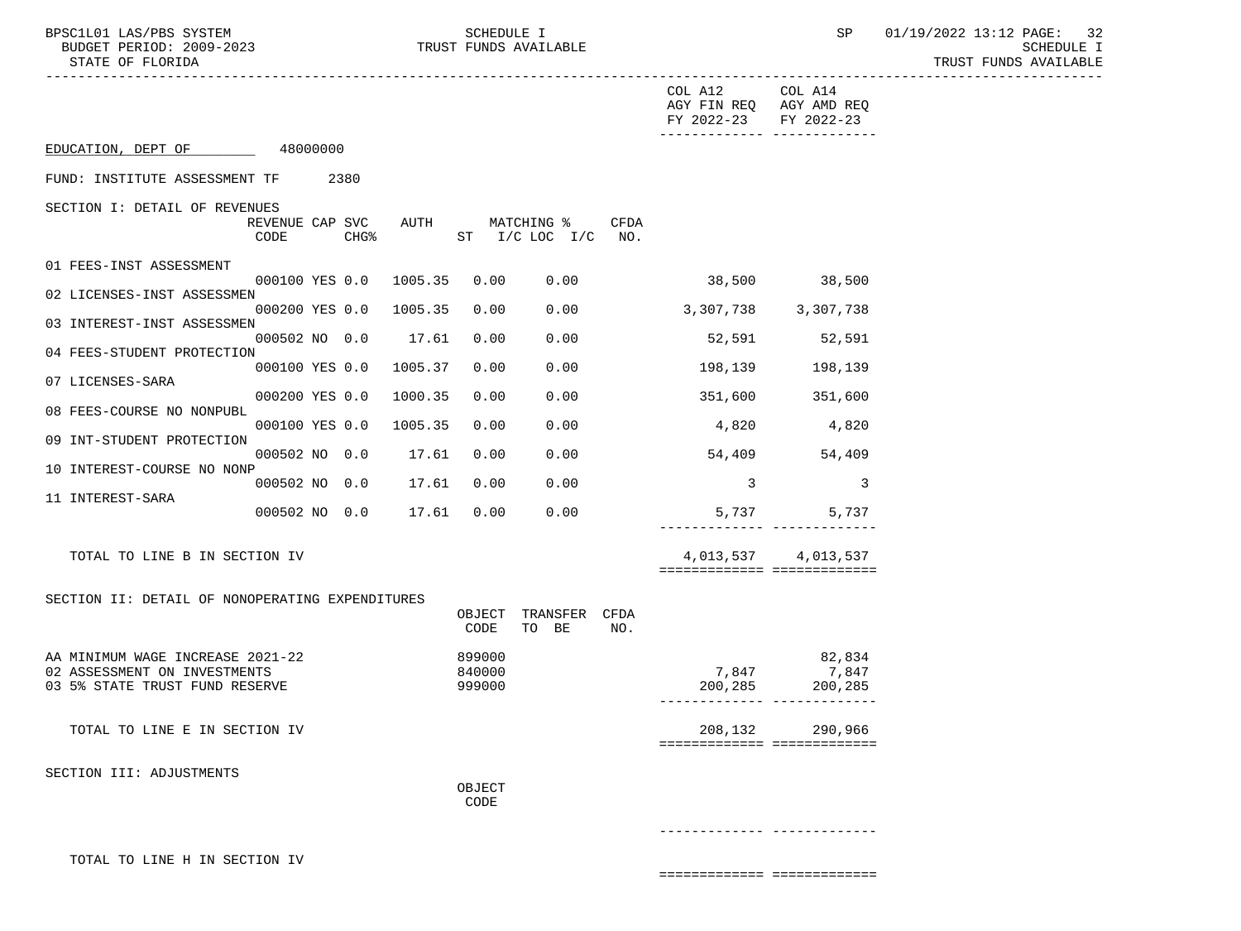BPSC1L01 LAS/PBS SYSTEM SCHEDULE I SEREDULE I SP 01/19/2022 13:12 PAGE: 32<br>BUDGET PERIOD: 2009-2023 TRUST FUNDS AVAILABLE TRUST FUNDS AVAILABLE

|                                                                |                         |  |                  |                          |                  |                                           |      | COL A12<br>AGY FIN REQ AGY AMD REQ<br>FY 2022-23<br>-------------- ----- | COL A14<br>FY 2022-23                   |
|----------------------------------------------------------------|-------------------------|--|------------------|--------------------------|------------------|-------------------------------------------|------|--------------------------------------------------------------------------|-----------------------------------------|
| EDUCATION, DEPT OF 48000000                                    |                         |  |                  |                          |                  |                                           |      |                                                                          |                                         |
| FUND: INSTITUTE ASSESSMENT TF 2380                             |                         |  |                  |                          |                  |                                           |      |                                                                          |                                         |
| SECTION I: DETAIL OF REVENUES                                  |                         |  |                  |                          |                  |                                           |      |                                                                          |                                         |
|                                                                | REVENUE CAP SVC<br>CODE |  | CHG <sup>8</sup> |                          |                  | AUTH MATCHING %<br>ST $I/C$ LOC $I/C$ NO. | CFDA |                                                                          |                                         |
| 01 FEES-INST ASSESSMENT                                        |                         |  |                  |                          |                  |                                           |      |                                                                          |                                         |
| 02 LICENSES-INST ASSESSMEN                                     |                         |  |                  | 000100 YES 0.0 1005.35   | 0.00             | 0.00                                      |      | 38,500 38,500                                                            |                                         |
| 03 INTEREST-INST ASSESSMEN                                     |                         |  |                  | 000200 YES 0.0 1005.35   | 0.00             | 0.00                                      |      | 3,307,738 3,307,738                                                      |                                         |
| 04 FEES-STUDENT PROTECTION                                     |                         |  |                  | 000502 NO 0.0 17.61      | 0.00             | 0.00                                      |      | 52,591                                                                   | 52,591                                  |
|                                                                | 000100 YES 0.0          |  |                  | 1005.37                  | 0.00             | 0.00                                      |      | 198,139                                                                  | 198,139                                 |
| 07 LICENSES-SARA                                               | 000200 YES 0.0          |  |                  | 1000.35                  | 0.00             | 0.00                                      |      | 351,600                                                                  | 351,600                                 |
| 08 FEES-COURSE NO NONPUBL                                      | 000100 YES 0.0          |  |                  | 1005.35                  | 0.00             | 0.00                                      |      | 4,820                                                                    | 4,820                                   |
| 09 INT-STUDENT PROTECTION                                      |                         |  |                  | 000502 NO 0.0 17.61      | 0.00             | 0.00                                      |      | 54,409                                                                   | 54,409                                  |
| 10 INTEREST-COURSE NO NONP                                     | 000502 NO 0.0           |  |                  | 17.61                    | 0.00             | 0.00                                      |      | $\overline{\phantom{a}}$ 3                                               | $\overline{3}$                          |
| 11 INTEREST-SARA                                               |                         |  |                  | 000502 NO 0.0 17.61 0.00 |                  | 0.00                                      |      | 5,737                                                                    | 5,737                                   |
|                                                                |                         |  |                  |                          |                  |                                           |      |                                                                          |                                         |
| TOTAL TO LINE B IN SECTION IV                                  |                         |  |                  |                          |                  |                                           |      |                                                                          | 4,013,537 4,013,537                     |
|                                                                |                         |  |                  |                          |                  |                                           |      |                                                                          | ===========================             |
| SECTION II: DETAIL OF NONOPERATING EXPENDITURES                |                         |  |                  |                          | CODE             | OBJECT TRANSFER CFDA<br>TO BE             | NO.  |                                                                          |                                         |
| AA MINIMUM WAGE INCREASE 2021-22                               |                         |  |                  |                          | 899000           |                                           |      |                                                                          | 82,834                                  |
| 02 ASSESSMENT ON INVESTMENTS<br>03 5% STATE TRUST FUND RESERVE |                         |  |                  |                          | 840000<br>999000 |                                           |      | 7,847<br>200,285                                                         | 7,847<br>200,285                        |
|                                                                |                         |  |                  |                          |                  |                                           |      |                                                                          | ------------- -------------             |
| TOTAL TO LINE E IN SECTION IV                                  |                         |  |                  |                          |                  |                                           |      | 208,132                                                                  | 290,966<br>============================ |
| SECTION III: ADJUSTMENTS                                       |                         |  |                  |                          |                  |                                           |      |                                                                          |                                         |
|                                                                |                         |  |                  |                          | OBJECT           |                                           |      |                                                                          |                                         |
|                                                                |                         |  |                  |                          | CODE             |                                           |      |                                                                          |                                         |
|                                                                |                         |  |                  |                          |                  |                                           |      | ______________ __________                                                |                                         |

TOTAL TO LINE H IN SECTION IV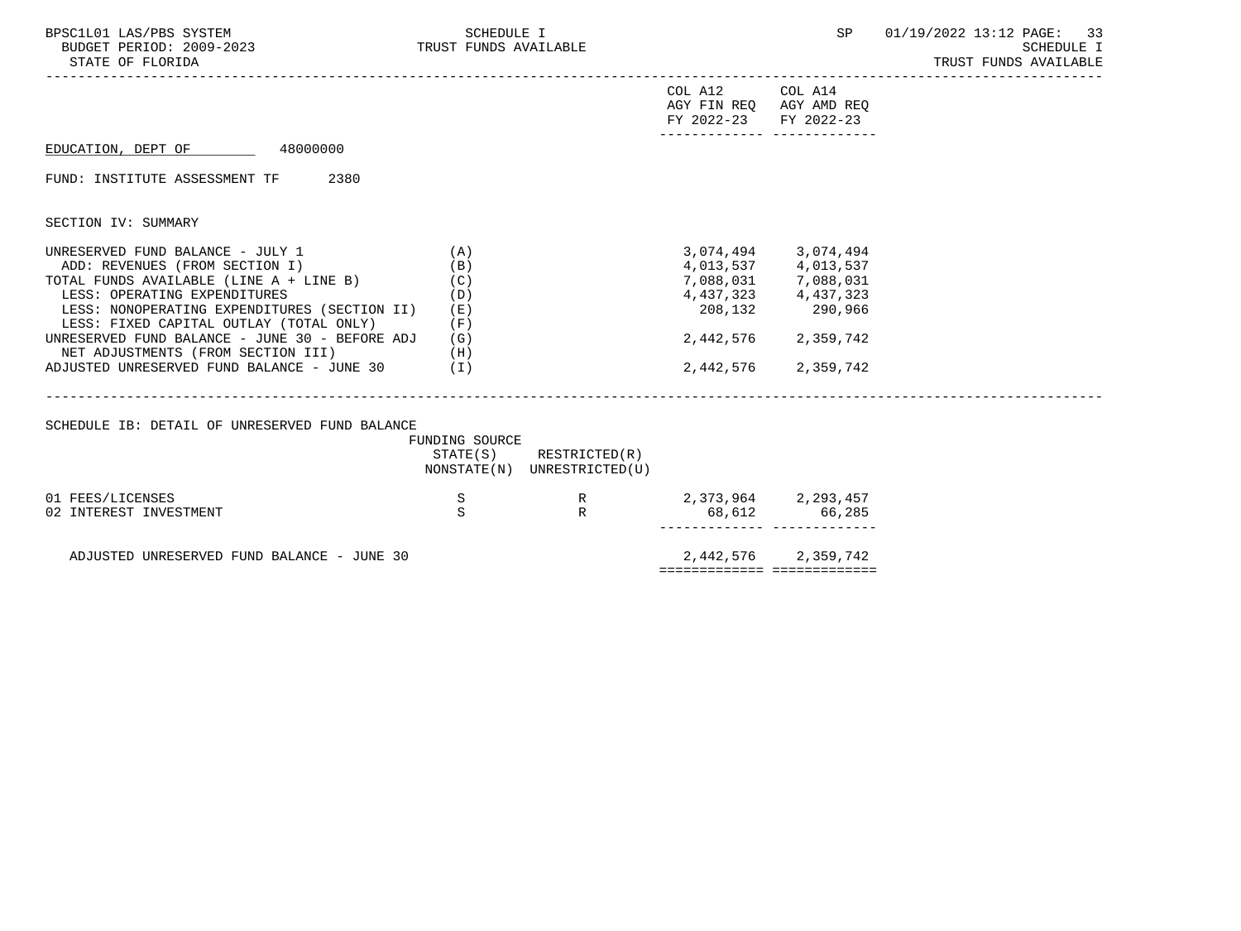| BPSC1L01 LAS/PBS SYSTEM<br>BUDGET PERIOD: 2009-2023<br>STATE OF FLORIDA                     | SCHEDULE I<br>TRUST FUNDS AVAILABLE |                                                            |                         | SP                                               | 01/19/2022 13:12 PAGE: 33<br><b>SCHEDULE I</b><br>TRUST FUNDS AVAILABLE |
|---------------------------------------------------------------------------------------------|-------------------------------------|------------------------------------------------------------|-------------------------|--------------------------------------------------|-------------------------------------------------------------------------|
|                                                                                             |                                     |                                                            | COL A12<br>FY 2022-23   | COL A14<br>AGY FIN REO AGY AMD REO<br>FY 2022-23 |                                                                         |
| EDUCATION, DEPT OF 48000000                                                                 |                                     |                                                            |                         |                                                  |                                                                         |
| FUND: INSTITUTE ASSESSMENT TF 2380                                                          |                                     |                                                            |                         |                                                  |                                                                         |
| SECTION IV: SUMMARY                                                                         |                                     |                                                            |                         |                                                  |                                                                         |
| UNRESERVED FUND BALANCE - JULY 1<br>ADD: REVENUES (FROM SECTION I)                          | (A)<br>(B)                          |                                                            |                         | 3,074,494 3,074,494<br>4,013,537 4,013,537       |                                                                         |
| TOTAL FUNDS AVAILABLE (LINE $A + LINE B$ ) (C)<br>LESS: OPERATING EXPENDITURES              | (D)                                 |                                                            |                         | 7,088,031 7,088,031<br>4, 437, 323 4, 437, 323   |                                                                         |
| LESS: NONOPERATING EXPENDITURES (SECTION II)<br>LESS: FIXED CAPITAL OUTLAY (TOTAL ONLY)     | ( E )<br>(F)                        |                                                            |                         | 208,132 290,966                                  |                                                                         |
| UNRESERVED FUND BALANCE - JUNE 30 - BEFORE ADJ<br>NET ADJUSTMENTS (FROM SECTION III)<br>(H) | (G)                                 |                                                            |                         | 2,442,576 2,359,742                              |                                                                         |
| ADJUSTED UNRESERVED FUND BALANCE - JUNE 30 (I)                                              |                                     |                                                            |                         | 2,442,576 2,359,742                              |                                                                         |
| SCHEDULE IB: DETAIL OF UNRESERVED FUND BALANCE                                              |                                     |                                                            |                         |                                                  |                                                                         |
|                                                                                             | FUNDING SOURCE                      | $STATE(S)$ RESTRICTED $(R)$<br>NONSTATE(N) UNRESTRICTED(U) |                         |                                                  |                                                                         |
| 01 FEES/LICENSES                                                                            | S                                   | R                                                          | 2, 373, 964 2, 293, 457 |                                                  |                                                                         |
| 02 INTEREST INVESTMENT                                                                      | S                                   | $\mathbb{R}$                                               |                         | 68,612 66,285<br>------ --------------           |                                                                         |
| ADJUSTED UNRESERVED FUND BALANCE - JUNE 30                                                  |                                     |                                                            |                         | 2,442,576 2,359,742                              |                                                                         |
|                                                                                             |                                     |                                                            |                         | ============== ==============                    |                                                                         |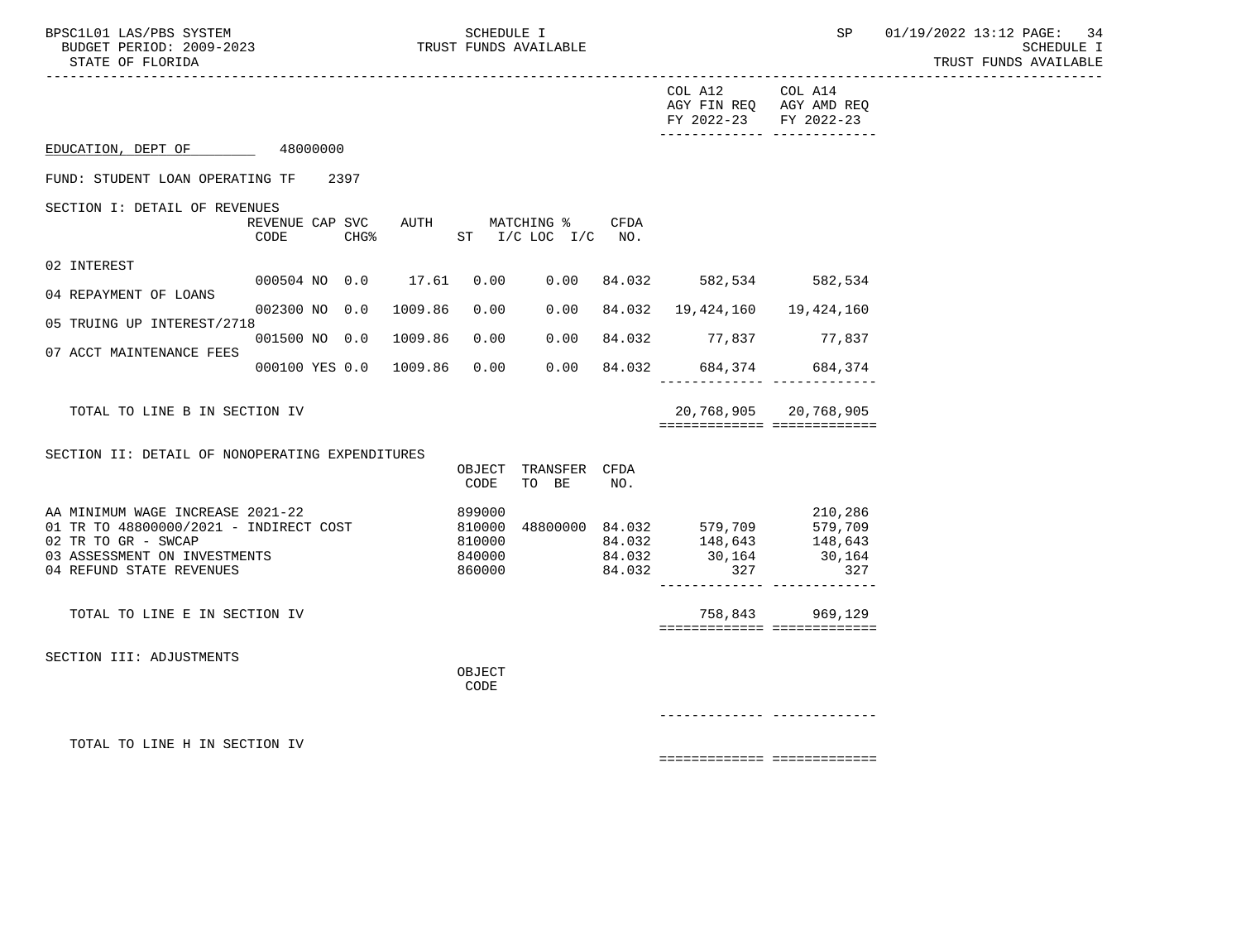| BPSC1L01 LAS/PBS SYSTEM<br>BUDGET PERIOD: 2009-2023<br>STATE OF FLORIDA                                                                                       |                                         |        |  | SCHEDULE I       | TRUST FUNDS AVAILABLE         |        |                                                                                                                 | SP                                             | 01/19/2022 13:12 PAGE: 34<br><b>SCHEDULE I</b><br>TRUST FUNDS AVAILABLE |
|---------------------------------------------------------------------------------------------------------------------------------------------------------------|-----------------------------------------|--------|--|------------------|-------------------------------|--------|-----------------------------------------------------------------------------------------------------------------|------------------------------------------------|-------------------------------------------------------------------------|
|                                                                                                                                                               |                                         |        |  |                  |                               |        | COL A12<br>FY 2022-23 FY 2022-23                                                                                | COL A14<br>AGY FIN REQ AGY AMD REQ             |                                                                         |
| EDUCATION, DEPT OF 48000000                                                                                                                                   |                                         |        |  |                  |                               |        |                                                                                                                 |                                                |                                                                         |
| FUND: STUDENT LOAN OPERATING TF                                                                                                                               |                                         | 2397   |  |                  |                               |        |                                                                                                                 |                                                |                                                                         |
| SECTION I: DETAIL OF REVENUES                                                                                                                                 | REVENUE CAP SVC AUTH MATCHING %<br>CODE | $CHG\$ |  |                  | ST I/C LOC I/C NO.            | CFDA   |                                                                                                                 |                                                |                                                                         |
| 02 INTEREST                                                                                                                                                   |                                         |        |  |                  |                               |        |                                                                                                                 |                                                |                                                                         |
| 04 REPAYMENT OF LOANS                                                                                                                                         | 000504 NO 0.0 17.61                     |        |  |                  |                               |        | 0.00 0.00 84.032 582,534 582,534                                                                                |                                                |                                                                         |
| 05 TRUING UP INTEREST/2718                                                                                                                                    | 002300 NO 0.0 1009.86                   |        |  | 0.00             | 0.00                          |        | 84.032  19,424,160  19,424,160                                                                                  |                                                |                                                                         |
| 07 ACCT MAINTENANCE FEES                                                                                                                                      | 001500 NO 0.0 1009.86                   |        |  | 0.00             | 0.00                          |        | 84.032 77,837 77,837                                                                                            |                                                |                                                                         |
|                                                                                                                                                               | 000100 YES 0.0 1009.86                  |        |  | 0.00             | 0.00                          |        | 84.032 684,374 684,374<br>________________________________                                                      |                                                |                                                                         |
| TOTAL TO LINE B IN SECTION IV                                                                                                                                 |                                         |        |  |                  |                               |        | ===========================                                                                                     | 20,768,905 20,768,905                          |                                                                         |
| SECTION II: DETAIL OF NONOPERATING EXPENDITURES                                                                                                               |                                         |        |  | CODE             | OBJECT TRANSFER CFDA<br>TO BE | NO.    |                                                                                                                 |                                                |                                                                         |
| AA MINIMUM WAGE INCREASE 2021-22<br>01 TR TO 48800000/2021 - INDIRECT COST<br>02 TR TO GR - SWCAP<br>03 ASSESSMENT ON INVESTMENTS<br>04 REFUND STATE REVENUES |                                         |        |  | 899000<br>860000 |                               | 84.032 | 810000 48800000 84.032 579,709 210,286<br>810000 84.032 148,643 148,643<br>840000 84.032 148,643 148,643<br>327 | 210,286<br>327<br>------------- -------------- |                                                                         |
| TOTAL TO LINE E IN SECTION IV                                                                                                                                 |                                         |        |  |                  |                               |        | ===========================                                                                                     | 758,843 969,129                                |                                                                         |
| SECTION III: ADJUSTMENTS                                                                                                                                      |                                         |        |  | OBJECT<br>CODE   |                               |        |                                                                                                                 |                                                |                                                                         |
|                                                                                                                                                               |                                         |        |  |                  |                               |        |                                                                                                                 |                                                |                                                                         |
| TOTAL TO LINE H IN SECTION IV                                                                                                                                 |                                         |        |  |                  |                               |        |                                                                                                                 |                                                |                                                                         |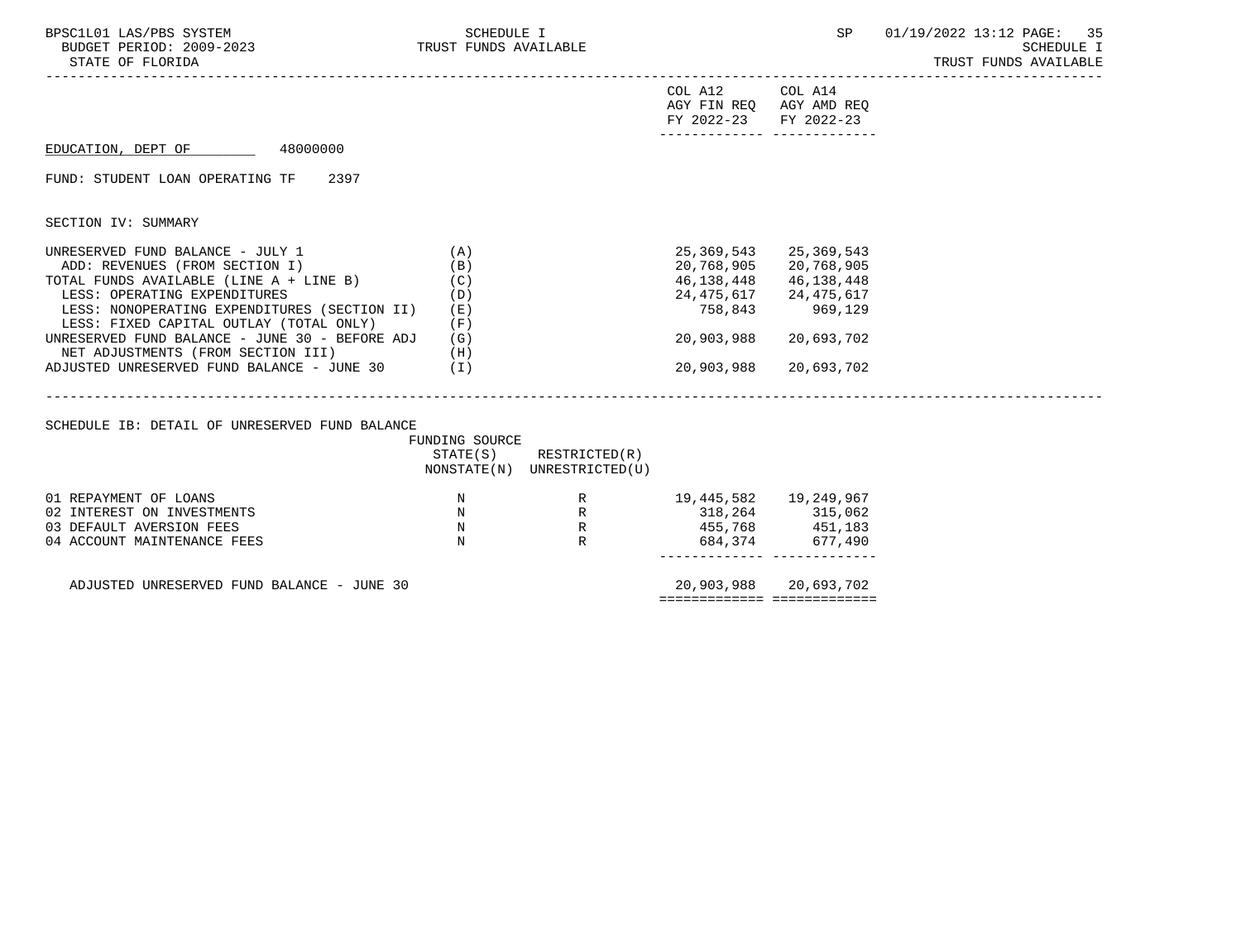| BPSC1L01 LAS/PBS SYSTEM<br>BUDGET PERIOD: 2009-2023<br>STATE OF FLORIDA                                                                       | SCHEDULE I<br>TRUST FUNDS AVAILABLE |                                              | SP                                                   | 01/19/2022 13:12 PAGE: 35<br><b>SCHEDULE I</b><br>TRUST FUNDS AVAILABLE |  |
|-----------------------------------------------------------------------------------------------------------------------------------------------|-------------------------------------|----------------------------------------------|------------------------------------------------------|-------------------------------------------------------------------------|--|
|                                                                                                                                               |                                     |                                              | COL A12<br>FY 2022-23                                | COL A14<br>AGY FIN REQ AGY AMD REQ<br>FY 2022-23                        |  |
| 48000000<br>EDUCATION, DEPT OF                                                                                                                |                                     |                                              |                                                      | ------------- -------------                                             |  |
| FUND: STUDENT LOAN OPERATING TF<br>2397                                                                                                       |                                     |                                              |                                                      |                                                                         |  |
| SECTION IV: SUMMARY                                                                                                                           |                                     |                                              |                                                      |                                                                         |  |
| UNRESERVED FUND BALANCE - JULY 1<br>ADD: REVENUES (FROM SECTION I)<br>TOTAL FUNDS AVAILABLE (LINE A + LINE B)<br>LESS: OPERATING EXPENDITURES | (A)<br>(B)<br>(C)<br>(D)            |                                              | 25,369,543<br>20,768,905<br>46,138,448<br>24,475,617 | 25,369,543<br>20,768,905<br>46,138,448<br>24,475,617                    |  |
| LESS: NONOPERATING EXPENDITURES (SECTION II)<br>LESS: FIXED CAPITAL OUTLAY (TOTAL ONLY)<br>UNRESERVED FUND BALANCE - JUNE 30 - BEFORE ADJ     | ( E )<br>(F)<br>(G)                 |                                              | 758,843<br>20,903,988                                | 969,129<br>20,693,702                                                   |  |
| NET ADJUSTMENTS (FROM SECTION III)<br>ADJUSTED UNRESERVED FUND BALANCE - JUNE 30 $(1)$                                                        | (H)                                 |                                              | 20,903,988                                           | 20,693,702                                                              |  |
| SCHEDULE IB: DETAIL OF UNRESERVED FUND BALANCE                                                                                                |                                     |                                              |                                                      |                                                                         |  |
|                                                                                                                                               | FUNDING SOURCE<br>STATE(S)          | RESTRICTED(R)<br>NONSTATE(N) UNRESTRICTED(U) |                                                      |                                                                         |  |
| 01 REPAYMENT OF LOANS                                                                                                                         | N                                   | R                                            |                                                      |                                                                         |  |
| 02 INTEREST ON INVESTMENTS<br>03 DEFAULT AVERSION FEES                                                                                        | $_{\rm N}$<br>$_{\rm N}$            | R<br>R                                       | 455,768 451,183                                      | 318,264 315,062                                                         |  |
| 04 ACCOUNT MAINTENANCE FEES                                                                                                                   | N                                   | R                                            |                                                      | 684,374 677,490                                                         |  |
| ADJUSTED UNRESERVED FUND BALANCE - JUNE 30                                                                                                    |                                     |                                              | 20,903,988                                           | 20,693,702                                                              |  |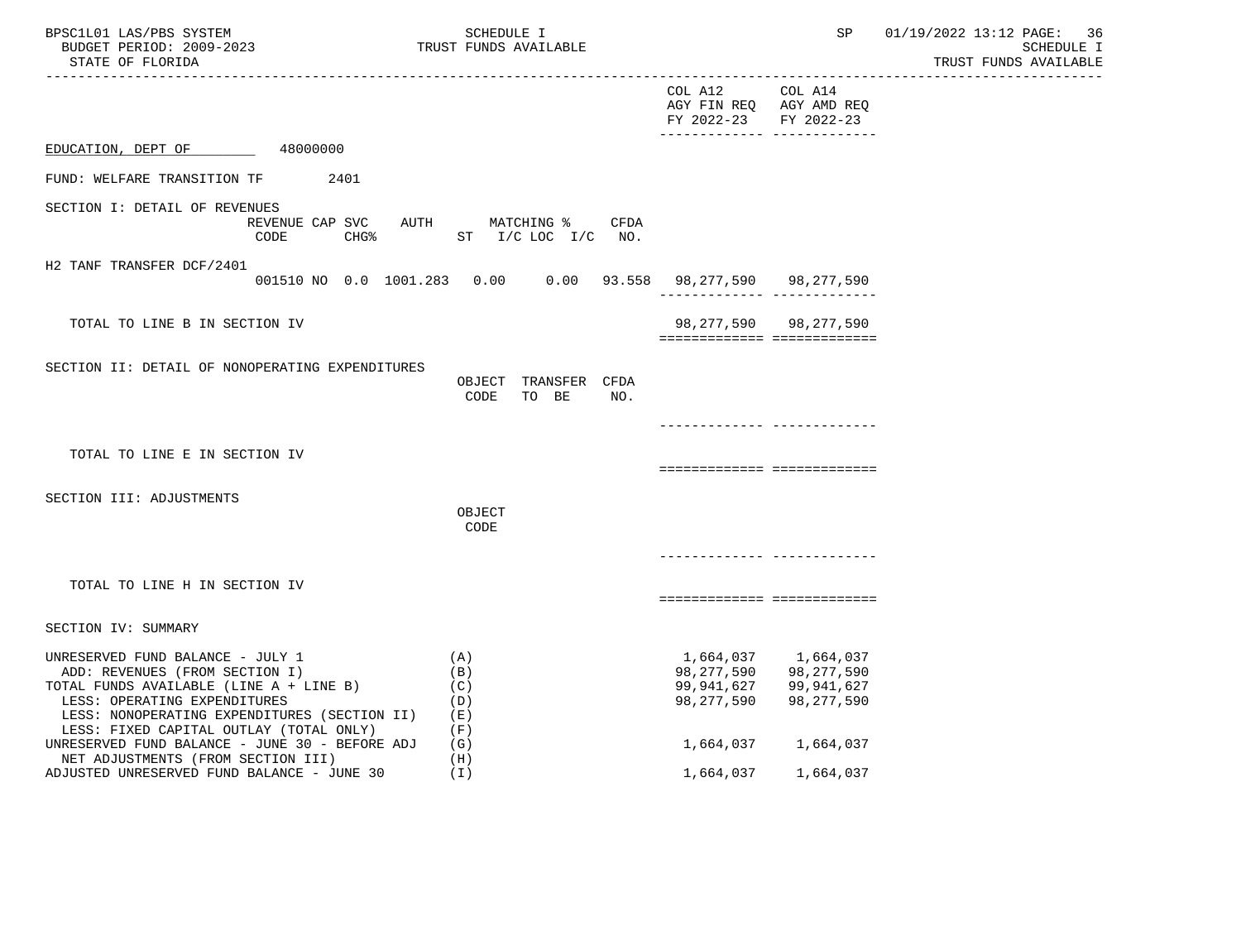| SCHEDULE I<br>TRUST FUNDS AVAILABLE          |            | SP                              | 01/19/2022 13:12 PAGE: 36<br>SCHEDULE I<br>TRUST FUNDS AVAILABLE                                                                                                                                                                                                                                                                                                                                                                                                                                         |
|----------------------------------------------|------------|---------------------------------|----------------------------------------------------------------------------------------------------------------------------------------------------------------------------------------------------------------------------------------------------------------------------------------------------------------------------------------------------------------------------------------------------------------------------------------------------------------------------------------------------------|
|                                              |            |                                 |                                                                                                                                                                                                                                                                                                                                                                                                                                                                                                          |
|                                              |            |                                 |                                                                                                                                                                                                                                                                                                                                                                                                                                                                                                          |
|                                              |            |                                 |                                                                                                                                                                                                                                                                                                                                                                                                                                                                                                          |
| AUTH MATCHING %                              |            |                                 |                                                                                                                                                                                                                                                                                                                                                                                                                                                                                                          |
|                                              |            |                                 |                                                                                                                                                                                                                                                                                                                                                                                                                                                                                                          |
|                                              |            |                                 |                                                                                                                                                                                                                                                                                                                                                                                                                                                                                                          |
| OBJECT TRANSFER CFDA<br>CODE<br>TO BE<br>NO. |            |                                 |                                                                                                                                                                                                                                                                                                                                                                                                                                                                                                          |
|                                              |            |                                 |                                                                                                                                                                                                                                                                                                                                                                                                                                                                                                          |
|                                              |            |                                 |                                                                                                                                                                                                                                                                                                                                                                                                                                                                                                          |
| OBJECT<br>CODE                               |            |                                 |                                                                                                                                                                                                                                                                                                                                                                                                                                                                                                          |
|                                              |            |                                 |                                                                                                                                                                                                                                                                                                                                                                                                                                                                                                          |
|                                              |            |                                 |                                                                                                                                                                                                                                                                                                                                                                                                                                                                                                          |
|                                              |            |                                 |                                                                                                                                                                                                                                                                                                                                                                                                                                                                                                          |
| (A)<br>(B)<br>(C)<br>(D)<br>(E)<br>(F)       | 98,277,590 | 99,941,627<br>98,277,590        |                                                                                                                                                                                                                                                                                                                                                                                                                                                                                                          |
| (H)                                          |            |                                 |                                                                                                                                                                                                                                                                                                                                                                                                                                                                                                          |
|                                              | (G)<br>(I) | CFDA<br>CHG% ST I/C LOC I/C NO. | ---------------<br>COL A12 COL A14<br>AGY FIN REQ AGY AMD REQ<br>FY 2022-23 FY 2022-23<br>_______________________________<br>001510 NO 0.0 1001.283 0.00 0.00 93.558 98,277,590 98,277,590<br>_________________________________<br>98, 277, 590 98, 277, 590<br>============================<br>----------- -----------<br>===========================<br>===========================<br>1,664,037 1,664,037<br>98, 277, 590 98, 277, 590<br>99,941,627<br>1,664,037 1,664,037<br>1,664,037<br>1,664,037 |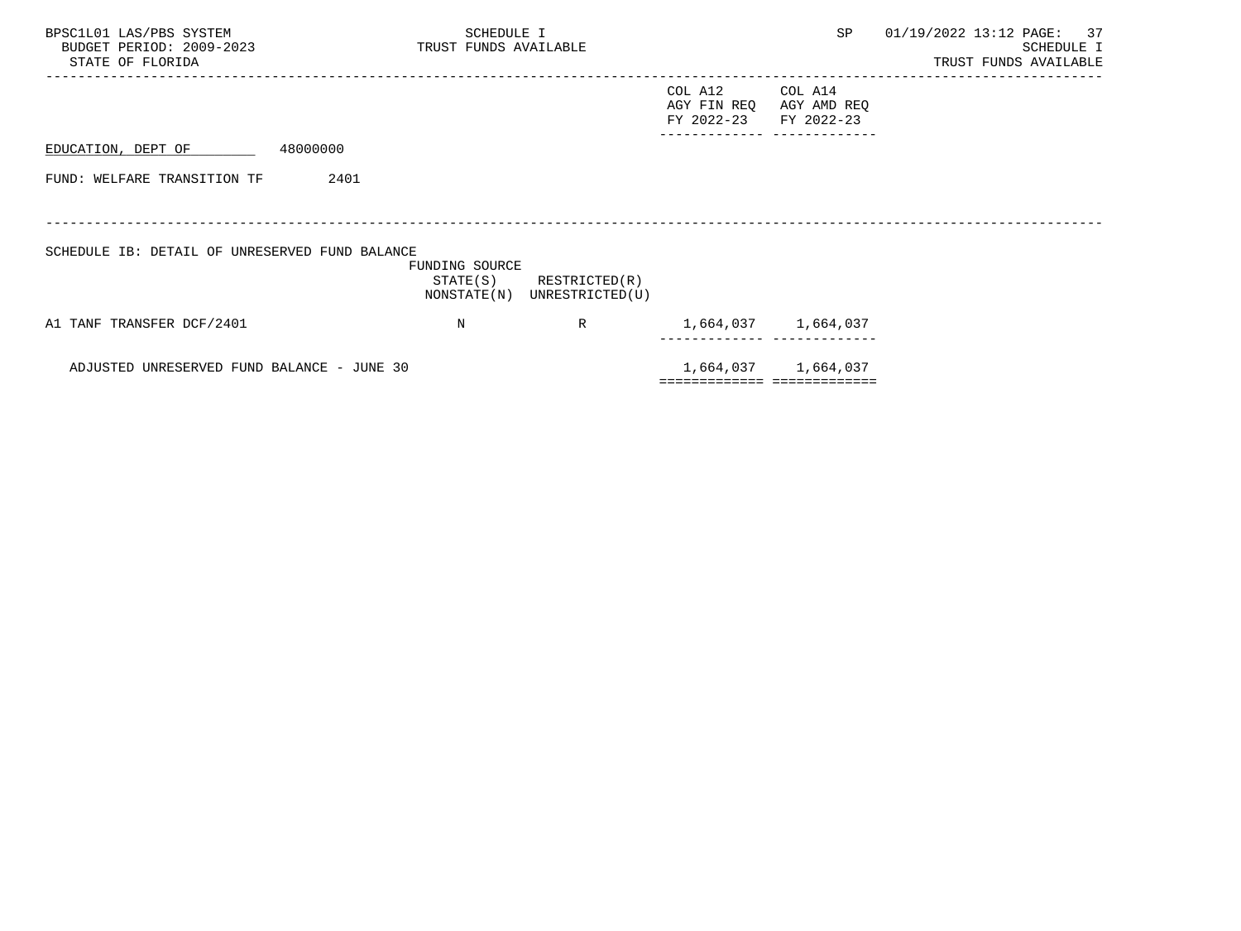| BPSC1L01 LAS/PBS SYSTEM<br>BUDGET PERIOD: 2009-2023<br>STATE OF FLORIDA | SCHEDULE I<br>TRUST FUNDS AVAILABLE |                                                            |                                      | SP                                                  | 01/19/2022 13:12 PAGE: 37<br>SCHEDULE I<br>TRUST FUNDS AVAILABLE |
|-------------------------------------------------------------------------|-------------------------------------|------------------------------------------------------------|--------------------------------------|-----------------------------------------------------|------------------------------------------------------------------|
|                                                                         |                                     |                                                            | COL A12<br>AGY FIN REQ<br>FY 2022-23 | COL A14<br>AGY AMD REQ<br>FY 2022-23                |                                                                  |
| 48000000<br>EDUCATION, DEPT OF                                          |                                     |                                                            |                                      |                                                     |                                                                  |
| 2401<br>FUND: WELFARE TRANSITION TF                                     |                                     |                                                            |                                      |                                                     |                                                                  |
| SCHEDULE IB: DETAIL OF UNRESERVED FUND BALANCE                          | FUNDING SOURCE                      | $STATE(S)$ RESTRICTED $(R)$<br>NONSTATE(N) UNRESTRICTED(U) |                                      |                                                     |                                                                  |
| A1 TANF TRANSFER DCF/2401                                               | N                                   | R                                                          |                                      | 1,664,037 1,664,037                                 |                                                                  |
| ADJUSTED UNRESERVED FUND BALANCE - JUNE 30                              |                                     |                                                            |                                      | 1,664,037 1,664,037<br>============================ |                                                                  |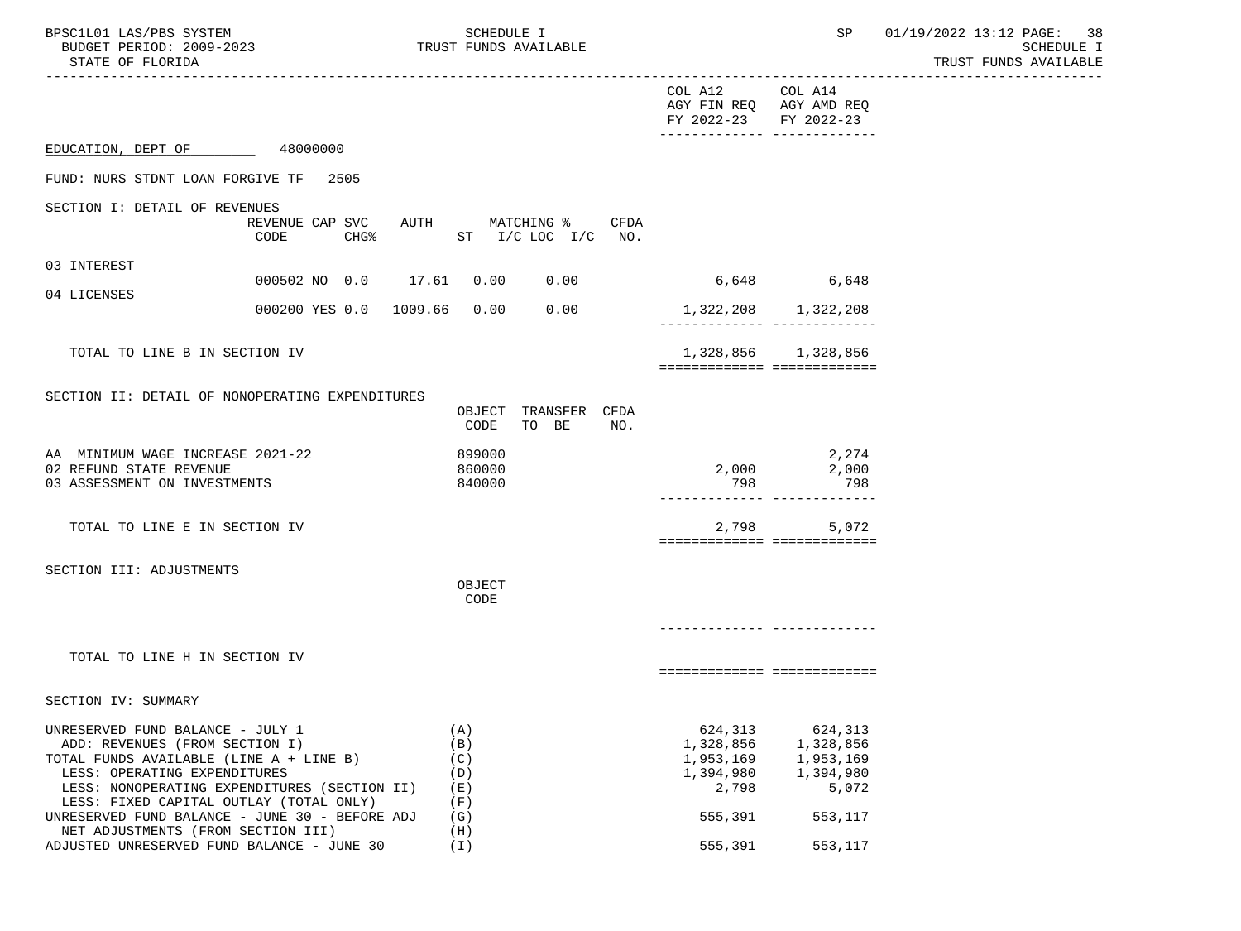| BPSC1L01 LAS/PBS SYSTEM<br>BUDGET PERIOD: 2009-2023<br>STATE OF FLORIDA<br>. _ _ _ _ _ _ _ _ _ _ _ _ _ _ _                                                                                                                                                                                 |                                   | SCHEDULE I<br>TRUST FUNDS AVAILABLE           |                                                                    | SP                                                                 | 01/19/2022 13:12 PAGE: 38<br>SCHEDULE I<br>TRUST FUNDS AVAILABLE<br>------------------- |
|--------------------------------------------------------------------------------------------------------------------------------------------------------------------------------------------------------------------------------------------------------------------------------------------|-----------------------------------|-----------------------------------------------|--------------------------------------------------------------------|--------------------------------------------------------------------|-----------------------------------------------------------------------------------------|
|                                                                                                                                                                                                                                                                                            |                                   |                                               | COL A12<br>FY 2022-23 FY 2022-23                                   | COL A14<br>AGY FIN REQ AGY AMD REQ                                 |                                                                                         |
| EDUCATION, DEPT OF 48000000                                                                                                                                                                                                                                                                |                                   |                                               |                                                                    |                                                                    |                                                                                         |
| FUND: NURS STDNT LOAN FORGIVE TF 2505                                                                                                                                                                                                                                                      |                                   |                                               |                                                                    |                                                                    |                                                                                         |
| SECTION I: DETAIL OF REVENUES                                                                                                                                                                                                                                                              | REVENUE CAP SVC<br>CODE<br>$CHG\$ | AUTH MATCHING %<br>CFDA<br>ST I/C LOC I/C NO. |                                                                    |                                                                    |                                                                                         |
| 03 INTEREST                                                                                                                                                                                                                                                                                | 000502 NO 0.0 17.61 0.00          | 0.00                                          | 6,648 6,648                                                        |                                                                    |                                                                                         |
| 04 LICENSES                                                                                                                                                                                                                                                                                | 000200 YES 0.0 1009.66 0.00       | 0.00                                          |                                                                    | 1,322,208 1,322,208                                                |                                                                                         |
|                                                                                                                                                                                                                                                                                            |                                   |                                               |                                                                    |                                                                    |                                                                                         |
| TOTAL TO LINE B IN SECTION IV                                                                                                                                                                                                                                                              |                                   |                                               |                                                                    | 1,328,856 1,328,856<br>============================                |                                                                                         |
| SECTION II: DETAIL OF NONOPERATING EXPENDITURES                                                                                                                                                                                                                                            |                                   | OBJECT TRANSFER CFDA<br>CODE<br>TO BE<br>NO.  |                                                                    |                                                                    |                                                                                         |
| AA MINIMUM WAGE INCREASE 2021-22<br>02 REFUND STATE REVENUE<br>03 ASSESSMENT ON INVESTMENTS                                                                                                                                                                                                |                                   | 899000<br>860000<br>840000                    | 2,000<br>798                                                       | 2,274<br>2,000<br>798<br>______________ ___________                |                                                                                         |
| TOTAL TO LINE E IN SECTION IV                                                                                                                                                                                                                                                              |                                   |                                               |                                                                    | 2,798<br>5,072<br>===========================                      |                                                                                         |
| SECTION III: ADJUSTMENTS                                                                                                                                                                                                                                                                   |                                   | OBJECT<br>CODE                                |                                                                    |                                                                    |                                                                                         |
|                                                                                                                                                                                                                                                                                            |                                   |                                               |                                                                    |                                                                    |                                                                                         |
| TOTAL TO LINE H IN SECTION IV                                                                                                                                                                                                                                                              |                                   |                                               |                                                                    | ===========================                                        |                                                                                         |
| SECTION IV: SUMMARY                                                                                                                                                                                                                                                                        |                                   |                                               |                                                                    |                                                                    |                                                                                         |
| UNRESERVED FUND BALANCE - JULY 1<br>ADD: REVENUES (FROM SECTION I)<br>TOTAL FUNDS AVAILABLE (LINE A + LINE B)<br>LESS: OPERATING EXPENDITURES<br>LESS: NONOPERATING EXPENDITURES (SECTION II)<br>LESS: FIXED CAPITAL OUTLAY (TOTAL ONLY)<br>UNRESERVED FUND BALANCE - JUNE 30 - BEFORE ADJ |                                   | (A)<br>(B)<br>(C)<br>(D)<br>(E)<br>(F)<br>(G) | 624,313<br>1,328,856<br>1,953,169<br>1,394,980<br>2,798<br>555,391 | 624,313<br>1,328,856<br>1,953,169<br>1,394,980<br>5,072<br>553,117 |                                                                                         |
| NET ADJUSTMENTS (FROM SECTION III)<br>ADJUSTED UNRESERVED FUND BALANCE - JUNE 30                                                                                                                                                                                                           |                                   | (H)<br>(I)                                    | 555,391                                                            | 553,117                                                            |                                                                                         |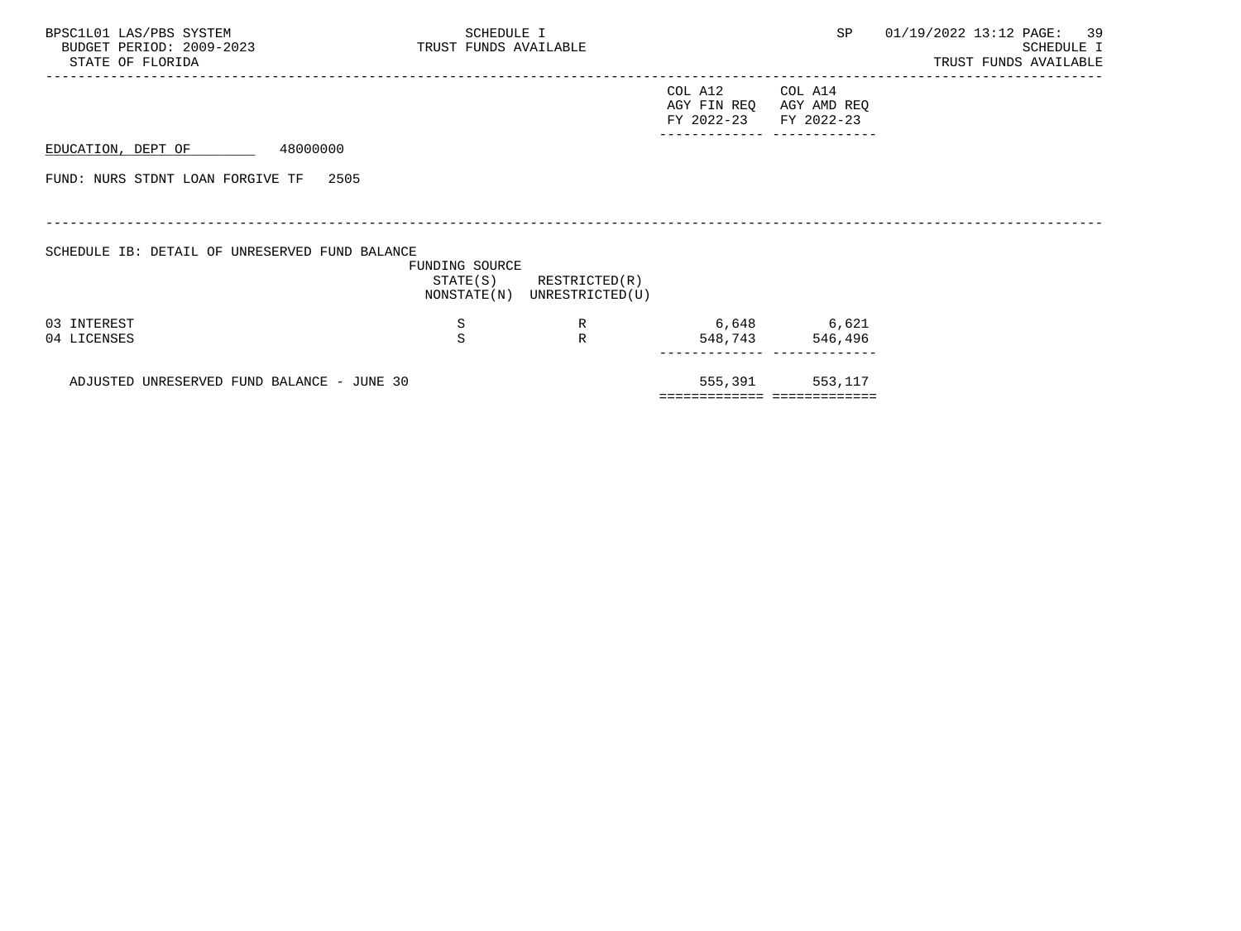| BPSC1L01 LAS/PBS SYSTEM<br>BUDGET PERIOD: 2009-2023<br>STATE OF FLORIDA | SCHEDULE I<br>TRUST FUNDS AVAILABLE |                                                            |                                                             | SP                         | 01/19/2022 13:12 PAGE: 39 | SCHEDULE I<br>TRUST FUNDS AVAILABLE |
|-------------------------------------------------------------------------|-------------------------------------|------------------------------------------------------------|-------------------------------------------------------------|----------------------------|---------------------------|-------------------------------------|
|                                                                         |                                     |                                                            | COL A12<br>AGY FIN REQ AGY AMD REQ<br>FY 2022-23 FY 2022-23 | COL A14<br>------ -------- |                           |                                     |
| 48000000<br>EDUCATION, DEPT OF                                          |                                     |                                                            |                                                             |                            |                           |                                     |
| FUND: NURS STDNT LOAN FORGIVE TF 2505                                   |                                     |                                                            |                                                             |                            |                           |                                     |
|                                                                         |                                     |                                                            |                                                             |                            |                           |                                     |
|                                                                         |                                     |                                                            |                                                             |                            |                           |                                     |
| SCHEDULE IB: DETAIL OF UNRESERVED FUND BALANCE                          | FUNDING SOURCE                      |                                                            |                                                             |                            |                           |                                     |
|                                                                         |                                     | $STATE(S)$ RESTRICTED $(R)$<br>NONSTATE(N) UNRESTRICTED(U) |                                                             |                            |                           |                                     |
| 03 INTEREST                                                             | S                                   | R                                                          | 6,648 6,621                                                 |                            |                           |                                     |
| 04 LICENSES                                                             | S                                   | $\mathbb{R}$                                               |                                                             | 548,743 546,496            |                           |                                     |
| ADJUSTED UNRESERVED FUND BALANCE - JUNE 30                              |                                     |                                                            |                                                             | 555,391 553,117            |                           |                                     |
|                                                                         |                                     |                                                            |                                                             | =========================  |                           |                                     |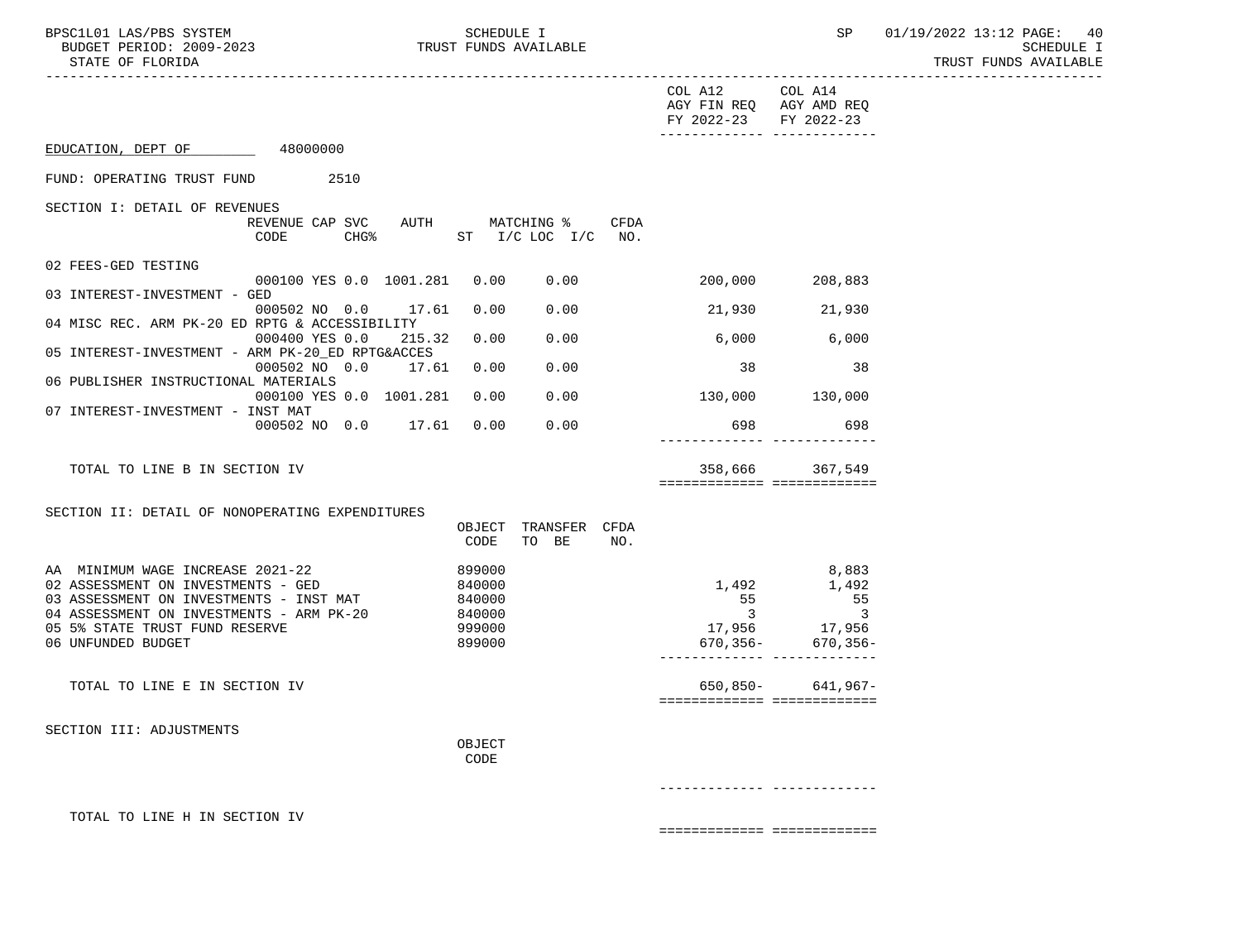----------------------------------------------------------------------------------------------------------------------------------- COL A12 COL A14 AGY FIN REQ AGY AMD REQ FY 2022-23 FY 2022-23 ------------- ------------- EDUCATION, DEPT OF 48000000 FUND: OPERATING TRUST FUND 2510 SECTION I: DETAIL OF REVENUES REVENUE CAP SVC AUTH MATCHING % CFDA CODE CHG<sup>&</sup> ST I/C LOC I/C NO. 02 FEES-GED TESTING 000100 YES 0.0 1001.281 0.00 0.00 200,000 208,883 03 INTEREST-INVESTMENT - GED 000502 NO 0.0 17.61 0.00 0.00 21,930 21,930 04 MISC REC. ARM PK-20 ED RPTG & ACCESSIBILITY 000400 YES 0.0 215.32 0.00 0.00 6,000 6,000 05 INTEREST-INVESTMENT - ARM PK-20\_ED RPTG&ACCES 000502 NO 0.0 17.61 0.00 0.00 38 38 06 PUBLISHER INSTRUCTIONAL MATERIALS 000100 YES 0.0 1001.281 0.00 0.00 130,000 130,000 07 INTEREST-INVESTMENT - INST MAT 000502 NO 0.0 17.61 0.00 0.00 698 698 ------------- ------------- TOTAL TO LINE B IN SECTION IV 358,666 367.549 ============= ============= SECTION II: DETAIL OF NONOPERATING EXPENDITURES OBJECT TRANSFER CFDA CODE TO BE NO. AA MINIMUM WAGE INCREASE 2021-22 899000<br>
02 ASSESSMENT ON INVESTMENTS - GED 840000 8,883 840000 8,883 840000 02 ASSESSMENT ON INVESTMENTS - GED 840000 1,492 1,492 1,492<br>03 ASSESSMENT ON INVESTMENTS - INST MAT 840000 1,492 55 55 55 03 ASSESSMENT ON INVESTMENTS - INST MAT 840000 55 55 04 ASSESSMENT ON INVESTMENTS - ARM PK-20 840000 3 3 05 5% STATE TRUST FUND RESERVE 999000 17,956 17,956 06 UNFUNDED BUDGET 899000 670,356- 670,356- ------------- ------------- TOTAL TO LINE E IN SECTION IV 650,850- 641,967- ============= ============= SECTION III: ADJUSTMENTS **OBJECT CODE** ------------- -------------

TOTAL TO LINE H IN SECTION IV

===================================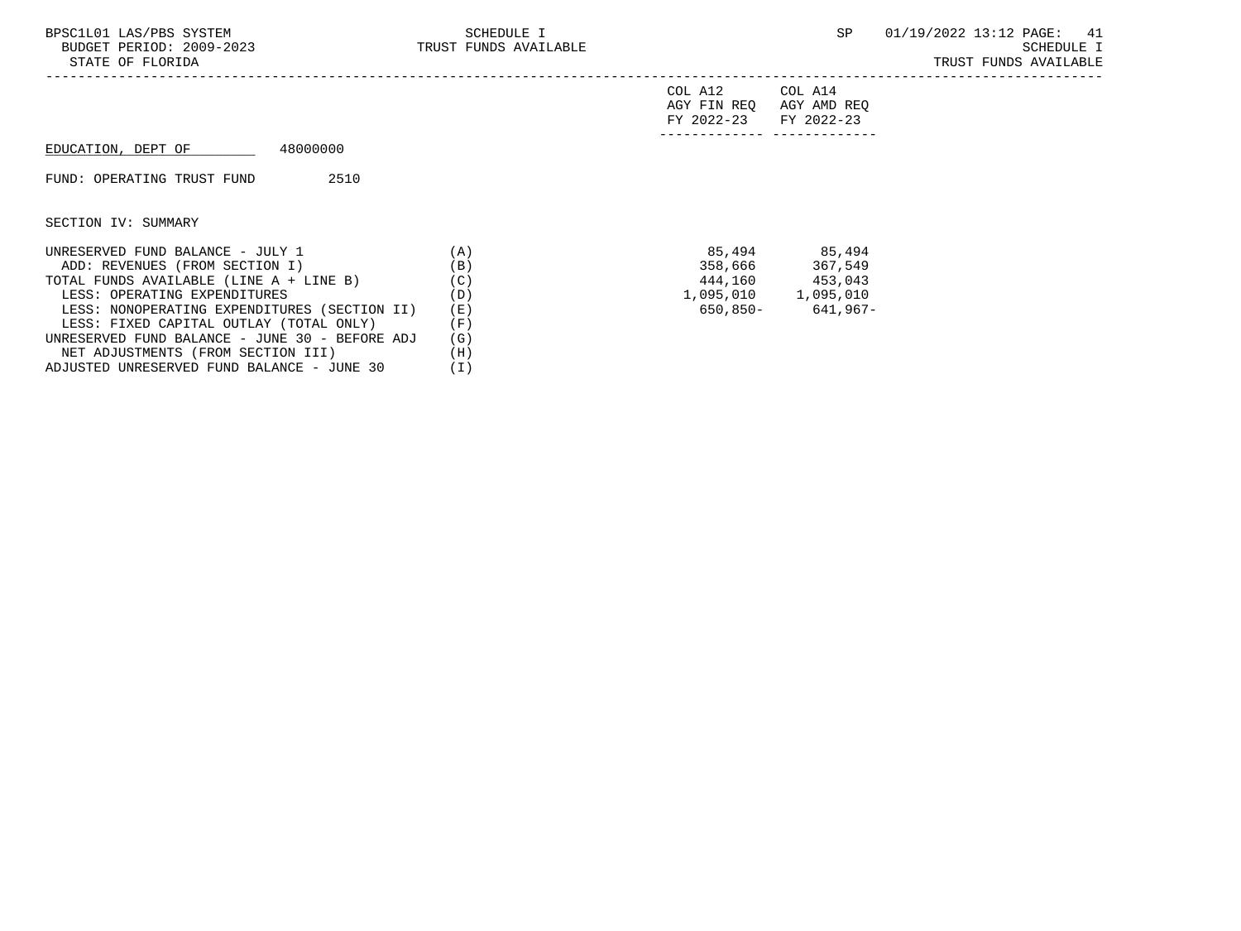| BPSC1L01 LAS/PBS SYSTEM<br>BUDGET PERIOD: 2009-2023 TRUST FUNDS AVAILABLE<br>STATE OF FLORIDA | SCHEDULE I |                                      | SP                                   | 01/19/2022 13:12 PAGE: 41<br>SCHEDULE I<br>TRUST FUNDS AVAILABLE |
|-----------------------------------------------------------------------------------------------|------------|--------------------------------------|--------------------------------------|------------------------------------------------------------------|
|                                                                                               |            | COL A12<br>AGY FIN REO<br>FY 2022-23 | COL A14<br>AGY AMD REQ<br>FY 2022-23 |                                                                  |
| 48000000<br>EDUCATION, DEPT OF                                                                |            |                                      |                                      |                                                                  |
| 2510<br>FUND: OPERATING TRUST FUND                                                            |            |                                      |                                      |                                                                  |
| SECTION IV: SUMMARY                                                                           |            |                                      |                                      |                                                                  |
| UNRESERVED FUND BALANCE - JULY 1<br>(A)                                                       |            |                                      | 85,494 85,494                        |                                                                  |
| ADD: REVENUES (FROM SECTION I)                                                                | (B)        |                                      | 358,666 367,549                      |                                                                  |
| TOTAL FUNDS AVAILABLE (LINE A + LINE B)                                                       | (C)        |                                      | 444,160 453,043                      |                                                                  |
| LESS: OPERATING EXPENDITURES                                                                  | (D)        |                                      | 1,095,010 1,095,010                  |                                                                  |
| LESS: NONOPERATING EXPENDITURES (SECTION II)                                                  | (E)        |                                      | 650,850- 641,967-                    |                                                                  |
| LESS: FIXED CAPITAL OUTLAY (TOTAL ONLY)                                                       | (F)        |                                      |                                      |                                                                  |
| UNRESERVED FUND BALANCE - JUNE 30 - BEFORE ADJ                                                | (G)        |                                      |                                      |                                                                  |

NET ADJUSTMENTS (FROM SECTION III) (H)<br>DJUSTED UNRESERVED FUND BALANCE - JUNE 30 (I)

ADJUSTED UNRESERVED FUND BALANCE - JUNE 30 (I)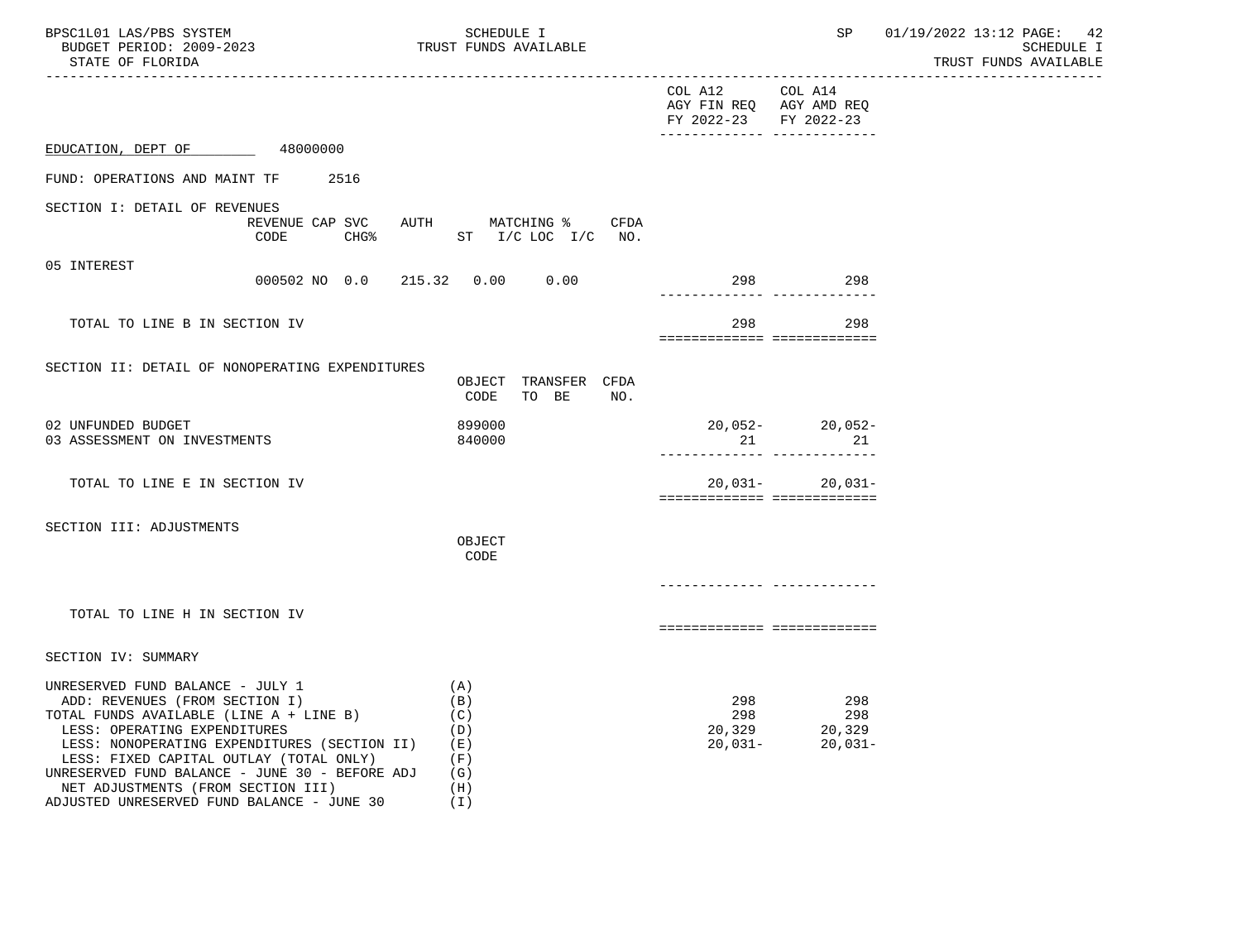| BPSC1L01 LAS/PBS SYSTEM<br>BUDGET PERIOD: 2009-2023<br>STATE OF FLORIDA                                                                                                                                                                                                                                                                                                        | ----------------------------------- | SCHEDULE I                                                  | TRUST FUNDS AVAILABLE                      |     |                                          | SP                                                       | 01/19/2022 13:12 PAGE: 42<br>SCHEDULE I<br>TRUST FUNDS AVAILABLE |
|--------------------------------------------------------------------------------------------------------------------------------------------------------------------------------------------------------------------------------------------------------------------------------------------------------------------------------------------------------------------------------|-------------------------------------|-------------------------------------------------------------|--------------------------------------------|-----|------------------------------------------|----------------------------------------------------------|------------------------------------------------------------------|
|                                                                                                                                                                                                                                                                                                                                                                                |                                     |                                                             |                                            |     | COL A12 COL A14<br>FY 2022-23 FY 2022-23 | AGY FIN REQ AGY AMD REQ<br>-------------- -------------- |                                                                  |
| EDUCATION, DEPT OF 48000000                                                                                                                                                                                                                                                                                                                                                    |                                     |                                                             |                                            |     |                                          |                                                          |                                                                  |
| FUND: OPERATIONS AND MAINT TF<br>2516                                                                                                                                                                                                                                                                                                                                          |                                     |                                                             |                                            |     |                                          |                                                          |                                                                  |
| SECTION I: DETAIL OF REVENUES<br>REVENUE CAP SVC<br>CODE                                                                                                                                                                                                                                                                                                                       | $CHG\$                              |                                                             | AUTH MATCHING % CFDA<br>ST I/C LOC I/C NO. |     |                                          |                                                          |                                                                  |
| 05 INTEREST                                                                                                                                                                                                                                                                                                                                                                    | 000502 NO 0.0 215.32 0.00 0.00      |                                                             |                                            |     | 298                                      | 298<br>______________ ____________                       |                                                                  |
| TOTAL TO LINE B IN SECTION IV                                                                                                                                                                                                                                                                                                                                                  |                                     |                                                             |                                            |     | 298                                      | 298<br>===========================                       |                                                                  |
| SECTION II: DETAIL OF NONOPERATING EXPENDITURES                                                                                                                                                                                                                                                                                                                                |                                     | CODE                                                        | OBJECT TRANSFER CFDA<br>TO BE              | NO. |                                          |                                                          |                                                                  |
| 02 UNFUNDED BUDGET<br>03 ASSESSMENT ON INVESTMENTS                                                                                                                                                                                                                                                                                                                             |                                     | 899000<br>840000                                            |                                            |     |                                          | $20,052 - 20,052 - 21$<br>21 21                          |                                                                  |
| TOTAL TO LINE E IN SECTION IV                                                                                                                                                                                                                                                                                                                                                  |                                     |                                                             |                                            |     |                                          | $20,031 - 20,031 -$<br>===========================       |                                                                  |
| SECTION III: ADJUSTMENTS                                                                                                                                                                                                                                                                                                                                                       |                                     | OBJECT<br>CODE                                              |                                            |     |                                          |                                                          |                                                                  |
|                                                                                                                                                                                                                                                                                                                                                                                |                                     |                                                             |                                            |     |                                          |                                                          |                                                                  |
| TOTAL TO LINE H IN SECTION IV                                                                                                                                                                                                                                                                                                                                                  |                                     |                                                             |                                            |     |                                          | ============================                             |                                                                  |
| SECTION IV: SUMMARY                                                                                                                                                                                                                                                                                                                                                            |                                     |                                                             |                                            |     |                                          |                                                          |                                                                  |
| UNRESERVED FUND BALANCE - JULY 1<br>ADD: REVENUES (FROM SECTION I)<br>TOTAL FUNDS AVAILABLE (LINE A + LINE B)<br>LESS: OPERATING EXPENDITURES<br>LESS: NONOPERATING EXPENDITURES (SECTION II)<br>LESS: FIXED CAPITAL OUTLAY (TOTAL ONLY)<br>UNRESERVED FUND BALANCE - JUNE 30 - BEFORE ADJ<br>NET ADJUSTMENTS (FROM SECTION III)<br>ADJUSTED UNRESERVED FUND BALANCE - JUNE 30 |                                     | (A)<br>(B)<br>(C)<br>(D)<br>(E)<br>(F)<br>(G)<br>(H)<br>(I) |                                            |     | 298<br>298<br>20,329<br>$20,031-$        | 298<br>298<br>20,329<br>$20,031-$                        |                                                                  |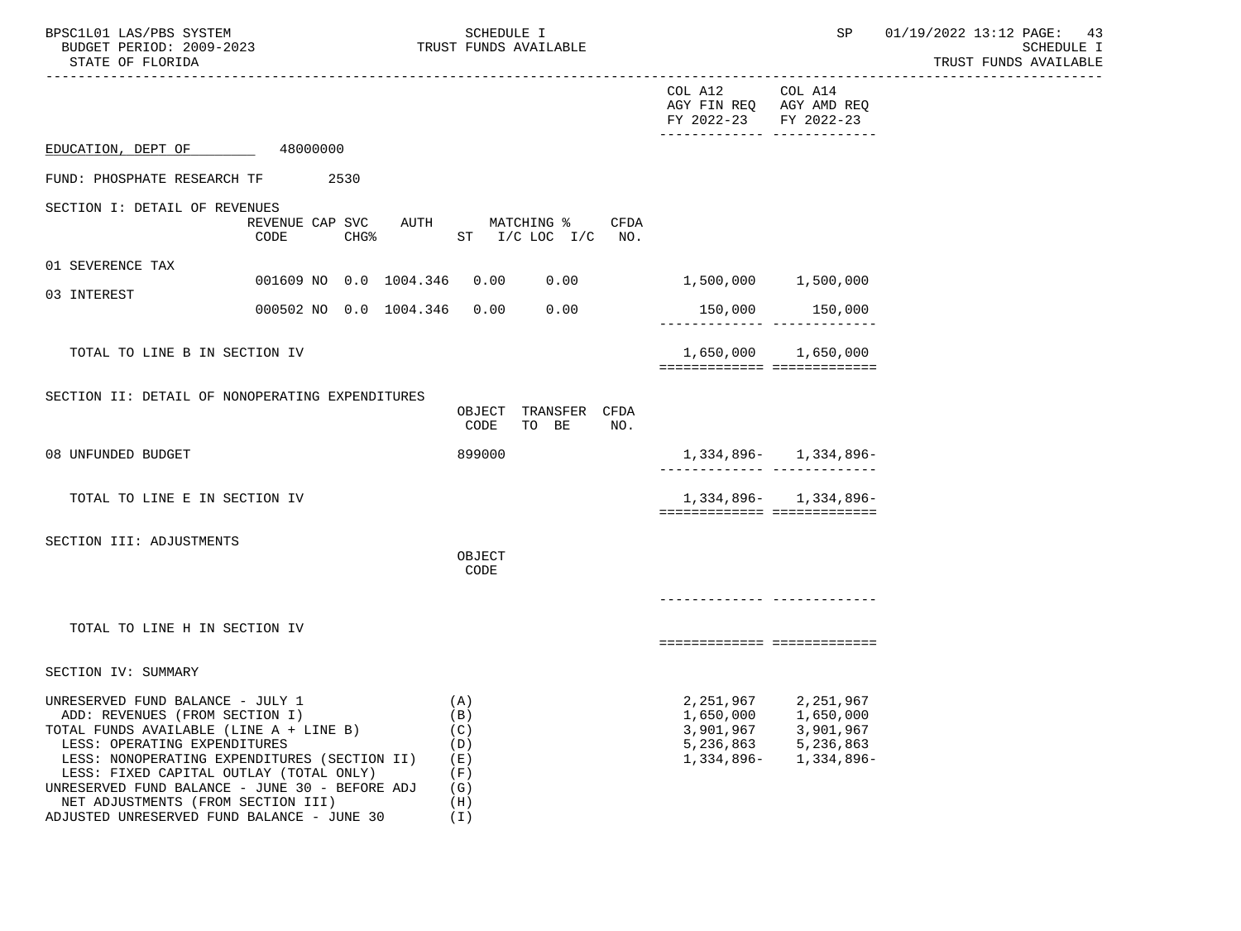| BPSC1L01 LAS/PBS SYSTEM<br>BUDGET PERIOD: 2009-2023<br>STATE OF FLORIDA                                                                                                                                                                                                                                                                                                        |                                                     | SCHEDULE I<br>TRUST FUNDS AVAILABLE                         |                                                                                 | SP                                                             | 01/19/2022 13:12 PAGE: 43<br>SCHEDULE I<br>TRUST FUNDS AVAILABLE |
|--------------------------------------------------------------------------------------------------------------------------------------------------------------------------------------------------------------------------------------------------------------------------------------------------------------------------------------------------------------------------------|-----------------------------------------------------|-------------------------------------------------------------|---------------------------------------------------------------------------------|----------------------------------------------------------------|------------------------------------------------------------------|
|                                                                                                                                                                                                                                                                                                                                                                                |                                                     |                                                             | COL A12<br>AGY FIN REQ AGY AMD REQ<br>FY 2022-23<br>------------- ------------- | COL A14<br>FY 2022-23                                          | --------------                                                   |
| EDUCATION, DEPT OF 48000000                                                                                                                                                                                                                                                                                                                                                    |                                                     |                                                             |                                                                                 |                                                                |                                                                  |
| FUND: PHOSPHATE RESEARCH TF                                                                                                                                                                                                                                                                                                                                                    | 2530                                                |                                                             |                                                                                 |                                                                |                                                                  |
| SECTION I: DETAIL OF REVENUES                                                                                                                                                                                                                                                                                                                                                  | REVENUE CAP SVC<br>AUTH<br>CHG <sup>8</sup><br>CODE | MATCHING %<br>CFDA<br>ST I/C LOC I/C<br>NO.                 |                                                                                 |                                                                |                                                                  |
| 01 SEVERENCE TAX                                                                                                                                                                                                                                                                                                                                                               | 001609 NO 0.0 1004.346                              | 0.00<br>0.00                                                | $1,500,000$ $1,500,000$                                                         |                                                                |                                                                  |
| 03 INTEREST                                                                                                                                                                                                                                                                                                                                                                    | 000502 NO 0.0 1004.346                              | 0.00<br>0.00                                                |                                                                                 | 150,000 150,000                                                |                                                                  |
|                                                                                                                                                                                                                                                                                                                                                                                |                                                     |                                                             |                                                                                 |                                                                |                                                                  |
| TOTAL TO LINE B IN SECTION IV                                                                                                                                                                                                                                                                                                                                                  |                                                     |                                                             | ===========================                                                     | 1,650,000 1,650,000                                            |                                                                  |
| SECTION II: DETAIL OF NONOPERATING EXPENDITURES                                                                                                                                                                                                                                                                                                                                |                                                     | TRANSFER CFDA<br>OBJECT<br>CODE<br>TO BE<br>NO.             |                                                                                 |                                                                |                                                                  |
| 08 UNFUNDED BUDGET                                                                                                                                                                                                                                                                                                                                                             |                                                     | 899000                                                      |                                                                                 | $1,334,896 - 1,334,896 -$                                      |                                                                  |
| TOTAL TO LINE E IN SECTION IV                                                                                                                                                                                                                                                                                                                                                  |                                                     |                                                             | ===========================                                                     | $1,334,896 - 1,334,896 -$                                      |                                                                  |
| SECTION III: ADJUSTMENTS                                                                                                                                                                                                                                                                                                                                                       |                                                     | OBJECT<br>CODE                                              |                                                                                 |                                                                |                                                                  |
|                                                                                                                                                                                                                                                                                                                                                                                |                                                     |                                                             |                                                                                 |                                                                |                                                                  |
| TOTAL TO LINE H IN SECTION IV                                                                                                                                                                                                                                                                                                                                                  |                                                     |                                                             | ===========================                                                     |                                                                |                                                                  |
| SECTION IV: SUMMARY                                                                                                                                                                                                                                                                                                                                                            |                                                     |                                                             |                                                                                 |                                                                |                                                                  |
| UNRESERVED FUND BALANCE - JULY 1<br>ADD: REVENUES (FROM SECTION I)<br>TOTAL FUNDS AVAILABLE (LINE A + LINE B)<br>LESS: OPERATING EXPENDITURES<br>LESS: NONOPERATING EXPENDITURES (SECTION II)<br>LESS: FIXED CAPITAL OUTLAY (TOTAL ONLY)<br>UNRESERVED FUND BALANCE - JUNE 30 - BEFORE ADJ<br>NET ADJUSTMENTS (FROM SECTION III)<br>ADJUSTED UNRESERVED FUND BALANCE - JUNE 30 |                                                     | (A)<br>(B)<br>(C)<br>(D)<br>(E)<br>(F)<br>(G)<br>(H)<br>(I) | 2,251,967<br>1,650,000<br>3,901,967<br>5,236,863<br>1,334,896-                  | 2,251,967<br>1,650,000<br>3,901,967<br>5,236,863<br>1,334,896- |                                                                  |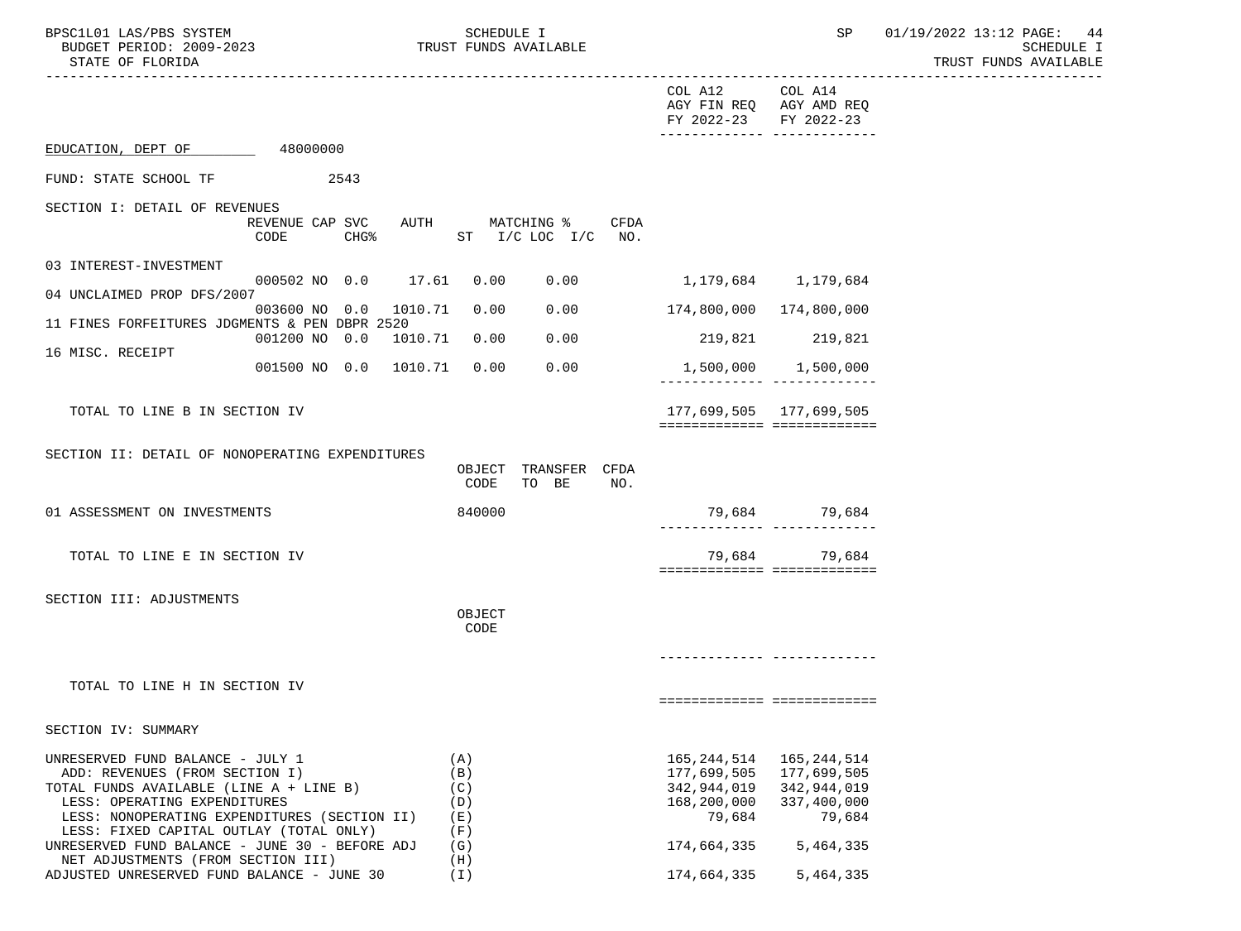| BPSC1L01 LAS/PBS SYSTEM<br>BUDGET PERIOD: 2009-2023<br>STATE OF FLORIDA                                                                                                                                                                                                                    |                            | SCHEDULE I                                    | TRUST FUNDS AVAILABLE                            |      |                                                                                   | SP                                                                              | 01/19/2022 13:12 PAGE: 44<br>SCHEDULE I<br>TRUST FUNDS AVAILABLE |
|--------------------------------------------------------------------------------------------------------------------------------------------------------------------------------------------------------------------------------------------------------------------------------------------|----------------------------|-----------------------------------------------|--------------------------------------------------|------|-----------------------------------------------------------------------------------|---------------------------------------------------------------------------------|------------------------------------------------------------------|
|                                                                                                                                                                                                                                                                                            |                            |                                               |                                                  |      | COL A12<br>FY 2022-23                                                             | COL A14<br>AGY FIN REO AGY AMD REO<br>FY 2022-23<br>______________ ____________ |                                                                  |
| EDUCATION, DEPT OF 48000000                                                                                                                                                                                                                                                                |                            |                                               |                                                  |      |                                                                                   |                                                                                 |                                                                  |
| FUND: STATE SCHOOL TF                                                                                                                                                                                                                                                                      | 2543                       |                                               |                                                  |      |                                                                                   |                                                                                 |                                                                  |
| SECTION I: DETAIL OF REVENUES<br>REVENUE CAP SVC<br>CODE                                                                                                                                                                                                                                   | CHG%                       |                                               | AUTH MATCHING %<br>$ST$ $I/C$ $LOC$ $I/C$ $NO$ . | CFDA |                                                                                   |                                                                                 |                                                                  |
| 03 INTEREST-INVESTMENT                                                                                                                                                                                                                                                                     |                            |                                               |                                                  |      |                                                                                   |                                                                                 |                                                                  |
| 04 UNCLAIMED PROP DFS/2007                                                                                                                                                                                                                                                                 | 000502 NO 0.0 17.61 0.00   |                                               | 0.00                                             |      | 1,179,684 1,179,684                                                               |                                                                                 |                                                                  |
| 003600 NO 0.0<br>11 FINES FORFEITURES JDGMENTS & PEN DBPR 2520                                                                                                                                                                                                                             | 1010.71                    | 0.00                                          | 0.00                                             |      | 174,800,000                                                                       | 174,800,000                                                                     |                                                                  |
|                                                                                                                                                                                                                                                                                            | 001200 NO 0.0 1010.71 0.00 |                                               | 0.00                                             |      |                                                                                   | 219,821 219,821                                                                 |                                                                  |
| 16 MISC. RECEIPT                                                                                                                                                                                                                                                                           | 001500 NO 0.0 1010.71 0.00 |                                               | 0.00                                             |      |                                                                                   | 1,500,000 1,500,000<br>--------- -------------                                  |                                                                  |
| TOTAL TO LINE B IN SECTION IV                                                                                                                                                                                                                                                              |                            |                                               |                                                  |      | 177.699.505 177.699.505<br>===========================                            |                                                                                 |                                                                  |
| SECTION II: DETAIL OF NONOPERATING EXPENDITURES                                                                                                                                                                                                                                            |                            | CODE                                          | OBJECT TRANSFER CFDA<br>TO BE                    | NO.  |                                                                                   |                                                                                 |                                                                  |
| 01 ASSESSMENT ON INVESTMENTS                                                                                                                                                                                                                                                               |                            | 840000                                        |                                                  |      |                                                                                   | 79,684 79,684<br>_______________________________                                |                                                                  |
| TOTAL TO LINE E IN SECTION IV                                                                                                                                                                                                                                                              |                            |                                               |                                                  |      |                                                                                   | 79,684 79,684<br>===========================                                    |                                                                  |
| SECTION III: ADJUSTMENTS                                                                                                                                                                                                                                                                   |                            | OBJECT<br>CODE                                |                                                  |      |                                                                                   |                                                                                 |                                                                  |
| TOTAL TO LINE H IN SECTION IV                                                                                                                                                                                                                                                              |                            |                                               |                                                  |      | -------------- -----------                                                        |                                                                                 |                                                                  |
|                                                                                                                                                                                                                                                                                            |                            |                                               |                                                  |      |                                                                                   | ===========================                                                     |                                                                  |
| SECTION IV: SUMMARY                                                                                                                                                                                                                                                                        |                            |                                               |                                                  |      |                                                                                   |                                                                                 |                                                                  |
| UNRESERVED FUND BALANCE - JULY 1<br>ADD: REVENUES (FROM SECTION I)<br>TOTAL FUNDS AVAILABLE (LINE A + LINE B)<br>LESS: OPERATING EXPENDITURES<br>LESS: NONOPERATING EXPENDITURES (SECTION II)<br>LESS: FIXED CAPITAL OUTLAY (TOTAL ONLY)<br>UNRESERVED FUND BALANCE - JUNE 30 - BEFORE ADJ |                            | (A)<br>(B)<br>(C)<br>(D)<br>(E)<br>(F)<br>(G) |                                                  |      | 165,244,514<br>177,699,505<br>342,944,019<br>168,200,000<br>79,684<br>174,664,335 | 165,244,514<br>177,699,505<br>342,944,019<br>337,400,000<br>79,684<br>5,464,335 |                                                                  |
| NET ADJUSTMENTS (FROM SECTION III)<br>ADJUSTED UNRESERVED FUND BALANCE - JUNE 30                                                                                                                                                                                                           |                            | (H)<br>(I)                                    |                                                  |      | 174,664,335                                                                       | 5,464,335                                                                       |                                                                  |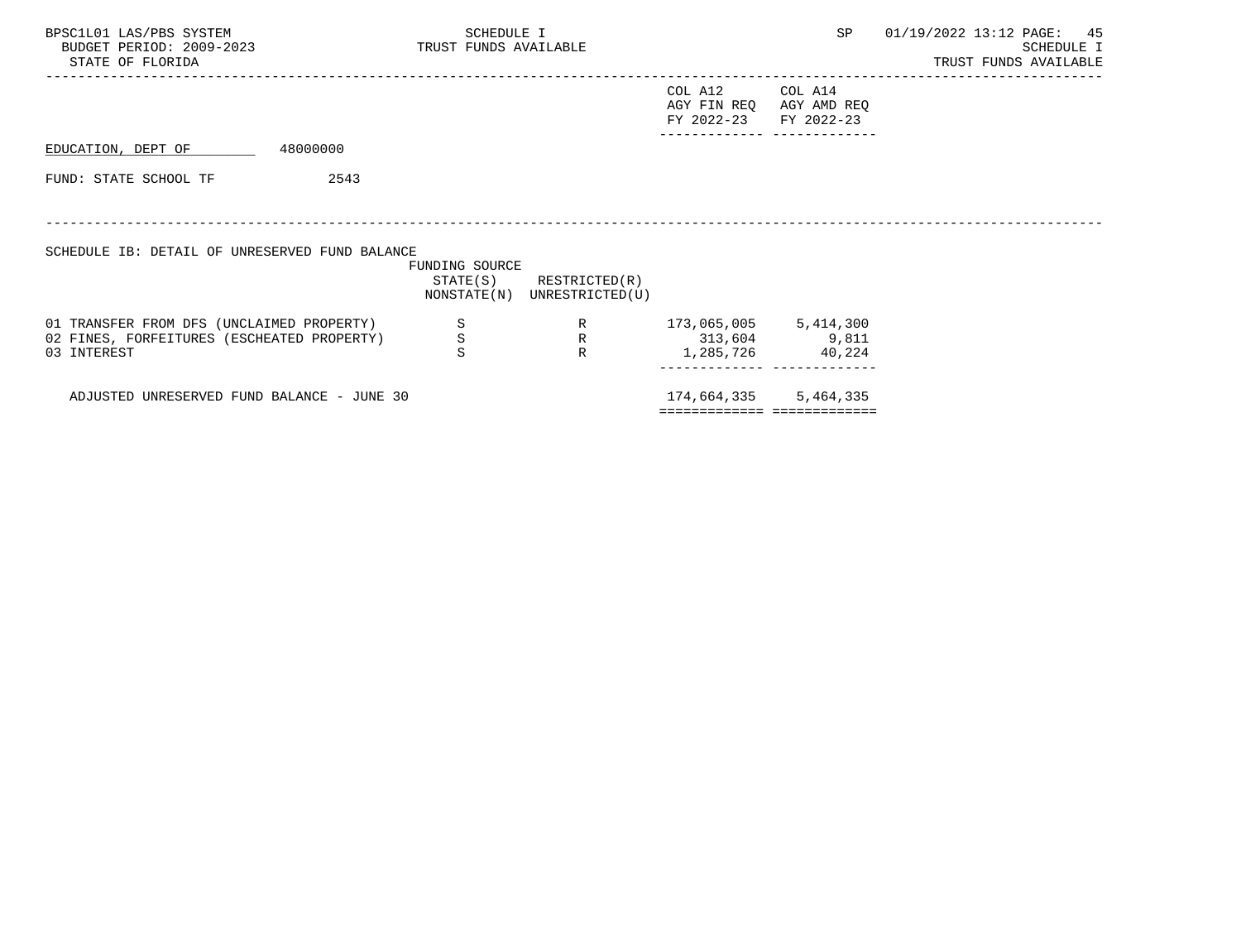| BPSC1L01 LAS/PBS SYSTEM<br>BUDGET PERIOD: 2009-2023 TRUST FUNDS AVAILABLE<br>STATE OF FLORIDA                                                                                                                     |          | SCHEDULE I     |                                                            |                       | SP                                               | 01/19/2022 13:12 PAGE: 45 | SCHEDULE I<br>TRUST FUNDS AVAILABLE |
|-------------------------------------------------------------------------------------------------------------------------------------------------------------------------------------------------------------------|----------|----------------|------------------------------------------------------------|-----------------------|--------------------------------------------------|---------------------------|-------------------------------------|
|                                                                                                                                                                                                                   |          |                |                                                            | COL A12<br>FY 2022-23 | COL A14<br>AGY FIN REQ AGY AMD REQ<br>FY 2022-23 |                           |                                     |
| EDUCATION, DEPT OF                                                                                                                                                                                                | 48000000 |                |                                                            |                       |                                                  |                           |                                     |
| FUND: STATE SCHOOL TF                                                                                                                                                                                             | 2543     |                |                                                            |                       |                                                  |                           |                                     |
| SCHEDULE IB: DETAIL OF UNRESERVED FUND BALANCE                                                                                                                                                                    |          | FUNDING SOURCE | $STATE(S)$ RESTRICTED $(R)$<br>NONSTATE(N) UNRESTRICTED(U) |                       |                                                  |                           |                                     |
| 01 TRANSFER FROM DFS (UNCLAIMED PROPERTY) S<br>02 FINES, FORFEITURES (ESCHEATED PROPERTY) S<br>S<br>202 FINES, FORFEITURES (ESCHEATED PROPERTY) S<br>202 FINES, FORFEITURES (ESCHEATED PROPERTY) S<br>03 INTEREST |          | $\frac{S}{S}$  | $\mathbb{R}$                                               |                       | 1,285,726 40,224                                 |                           |                                     |
| ADJUSTED UNRESERVED FUND BALANCE - JUNE 30                                                                                                                                                                        |          |                |                                                            | 174,664,335 5,464,335 | ============================                     |                           |                                     |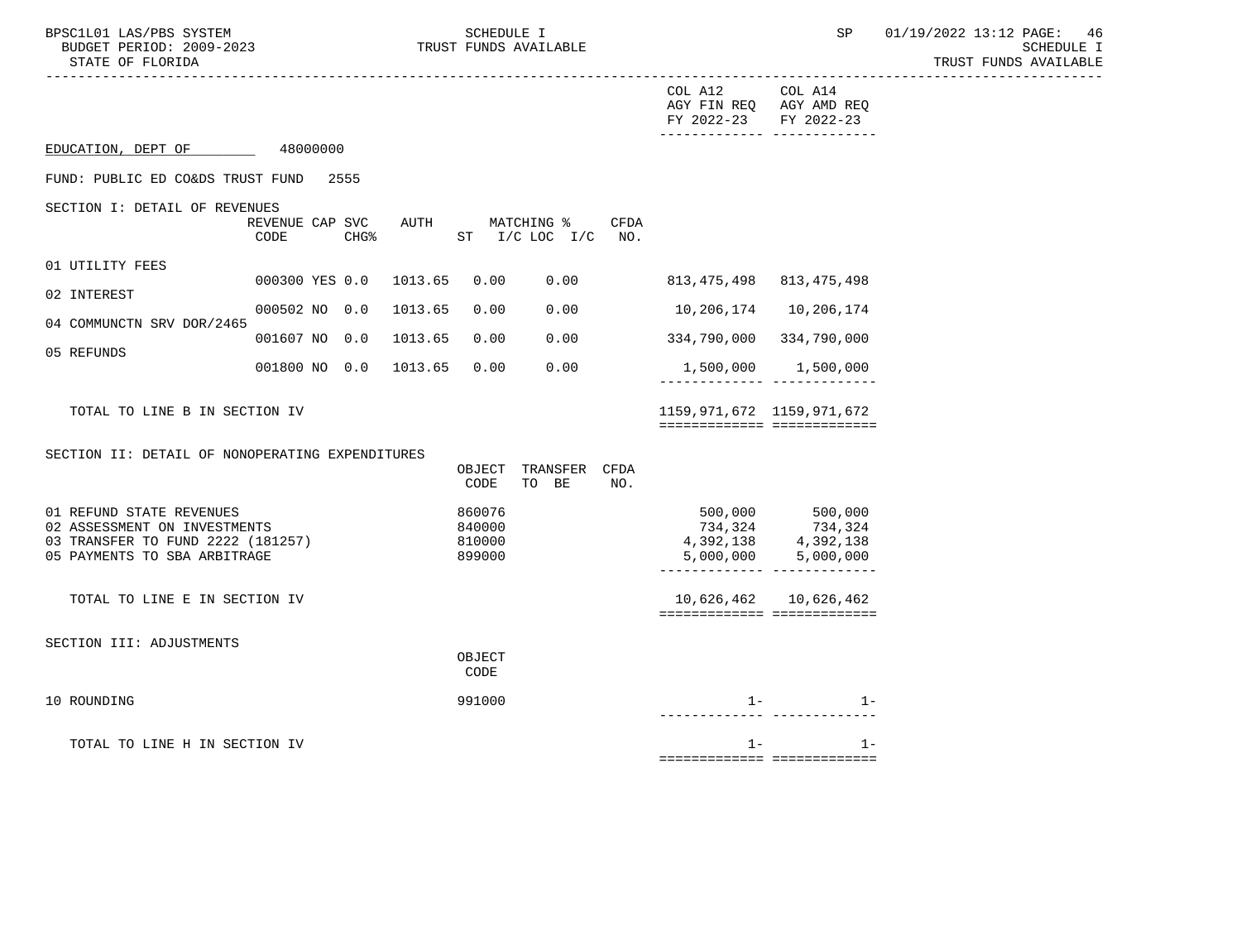| BPSC1L01 LAS/PBS SYSTEM<br>BUDGET PERIOD: 2009-2023<br>STATE OF FLORIDA                                                       |                                               |         | SCHEDULE I                           | TRUST FUNDS AVAILABLE                     |      |                                          | SP                                                                                                                    | 01/19/2022 13:12 PAGE: 46<br><b>SCHEDULE I</b><br>TRUST FUNDS AVAILABLE |
|-------------------------------------------------------------------------------------------------------------------------------|-----------------------------------------------|---------|--------------------------------------|-------------------------------------------|------|------------------------------------------|-----------------------------------------------------------------------------------------------------------------------|-------------------------------------------------------------------------|
|                                                                                                                               |                                               |         |                                      |                                           |      | COL A12 COL A14<br>FY 2022-23 FY 2022-23 | AGY FIN REQ AGY AMD REQ                                                                                               |                                                                         |
| EDUCATION, DEPT OF 48000000                                                                                                   |                                               |         |                                      |                                           |      |                                          |                                                                                                                       |                                                                         |
| FUND: PUBLIC ED CO&DS TRUST FUND                                                                                              | 2555                                          |         |                                      |                                           |      |                                          |                                                                                                                       |                                                                         |
| SECTION I: DETAIL OF REVENUES                                                                                                 | REVENUE CAP SVC<br>CODE<br>$CHG$ $\,^{\circ}$ |         |                                      | AUTH MATCHING %<br>ST $I/C$ LOC $I/C$ NO. | CFDA |                                          |                                                                                                                       |                                                                         |
| 01 UTILITY FEES                                                                                                               |                                               |         |                                      |                                           |      |                                          |                                                                                                                       |                                                                         |
| 02 INTEREST                                                                                                                   | 000300 YES 0.0                                | 1013.65 | 0.00                                 | 0.00                                      |      |                                          | 813, 475, 498 813, 475, 498                                                                                           |                                                                         |
| 04 COMMUNCTN SRV DOR/2465                                                                                                     | 000502 NO 0.0                                 | 1013.65 | 0.00                                 | 0.00                                      |      | 10,206,174                               | 10,206,174                                                                                                            |                                                                         |
| 05 REFUNDS                                                                                                                    | 001607 NO 0.0                                 | 1013.65 | 0.00                                 | 0.00                                      |      |                                          | 334,790,000 334,790,000                                                                                               |                                                                         |
|                                                                                                                               | 001800 NO 0.0                                 | 1013.65 | 0.00                                 | 0.00                                      |      |                                          | 1,500,000 1,500,000<br>________________________________                                                               |                                                                         |
| TOTAL TO LINE B IN SECTION IV                                                                                                 |                                               |         |                                      |                                           |      | 1159, 971, 672 1159, 971, 672            | ============================                                                                                          |                                                                         |
| SECTION II: DETAIL OF NONOPERATING EXPENDITURES                                                                               |                                               |         | OBJECT<br>CODE                       | TRANSFER CFDA<br>TO BE                    | NO.  |                                          |                                                                                                                       |                                                                         |
| 01 REFUND STATE REVENUES<br>02 ASSESSMENT ON INVESTMENTS<br>03 TRANSFER TO FUND 2222 (181257)<br>05 PAYMENTS TO SBA ARBITRAGE |                                               |         | 860076<br>840000<br>810000<br>899000 |                                           |      |                                          | 500,000                500,000<br>734,324               734,324<br>4, 392, 138 4, 392, 138<br>$5,000,000$ $5,000,000$ |                                                                         |
| TOTAL TO LINE E IN SECTION IV                                                                                                 |                                               |         |                                      |                                           |      |                                          | 10,626,462 10,626,462<br>============================                                                                 |                                                                         |
| SECTION III: ADJUSTMENTS                                                                                                      |                                               |         | OBJECT<br>CODE                       |                                           |      |                                          |                                                                                                                       |                                                                         |
| 10 ROUNDING                                                                                                                   |                                               |         | 991000                               |                                           |      | $1 -$                                    | $1 -$                                                                                                                 |                                                                         |
| TOTAL TO LINE H IN SECTION IV                                                                                                 |                                               |         |                                      |                                           |      | $1 -$                                    | $1 -$<br>===========================                                                                                  |                                                                         |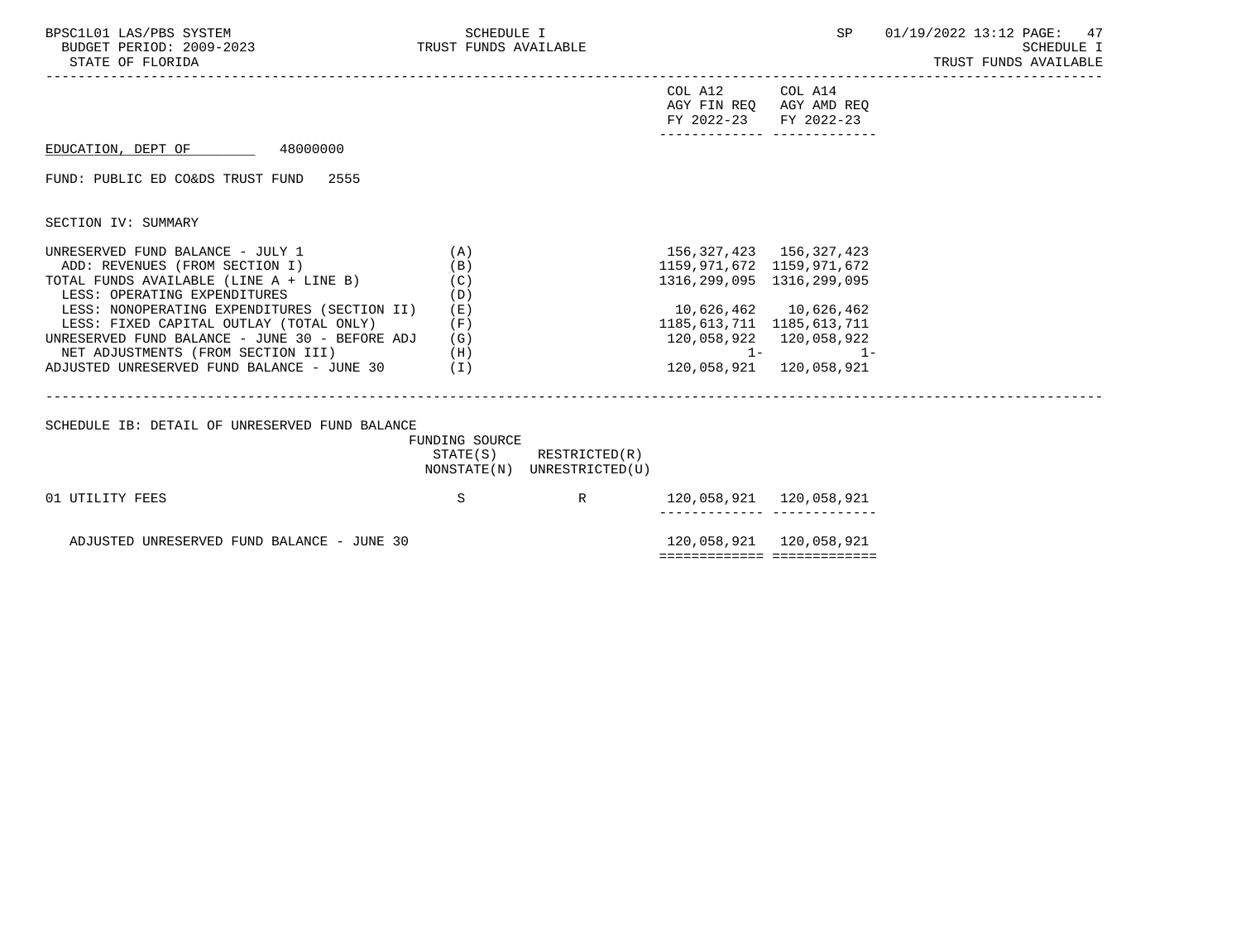| BPSC1L01 LAS/PBS SYSTEM<br>BUDGET PERIOD: 2009-2023 TRUST FUNDS AVAILABLE<br>STATE OF FLORIDA                                                                                                                                                                                                                                                                                                 | <b>SCHEDULE I</b>                        |                                                            |                                                                                                                             | SP                                                                                            | 01/19/2022 13:12 PAGE: 47<br>SCHEDULE I<br>TRUST FUNDS AVAILABLE |
|-----------------------------------------------------------------------------------------------------------------------------------------------------------------------------------------------------------------------------------------------------------------------------------------------------------------------------------------------------------------------------------------------|------------------------------------------|------------------------------------------------------------|-----------------------------------------------------------------------------------------------------------------------------|-----------------------------------------------------------------------------------------------|------------------------------------------------------------------|
|                                                                                                                                                                                                                                                                                                                                                                                               |                                          |                                                            | COL A12 COL A14<br>FY 2022-23 FY 2022-23                                                                                    | AGY FIN REQ AGY AMD REQ                                                                       |                                                                  |
| EDUCATION, DEPT OF 48000000                                                                                                                                                                                                                                                                                                                                                                   |                                          |                                                            |                                                                                                                             | _________________________________                                                             |                                                                  |
| FUND: PUBLIC ED CO&DS TRUST FUND 2555                                                                                                                                                                                                                                                                                                                                                         |                                          |                                                            |                                                                                                                             |                                                                                               |                                                                  |
| SECTION IV: SUMMARY                                                                                                                                                                                                                                                                                                                                                                           |                                          |                                                            |                                                                                                                             |                                                                                               |                                                                  |
| UNRESERVED FUND BALANCE - JULY 1<br>ADD: REVENUES (FROM SECTION I)<br>TOTAL FUNDS AVAILABLE (LINE $A + LINE B$ ) (C)<br>LESS: OPERATING EXPENDITURES<br>LESS: NONOPERATING EXPENDITURES (SECTION II)<br>LESS: FIXED CAPITAL OUTLAY (TOTAL ONLY)<br>UNRESERVED FUND BALANCE - JUNE 30 - BEFORE ADJ<br>NET ADJUSTMENTS (FROM SECTION III) (H)<br>ADJUSTED UNRESERVED FUND BALANCE - JUNE 30 (I) | (A)<br>(B)<br>(D)<br>( E )<br>(F)<br>(G) |                                                            | 1159, 971, 672 1159, 971, 672<br>1316, 299, 095 1316, 299, 095<br>10,626,462    10,626,462<br>1185, 613, 711 1185, 613, 711 | 156, 327, 423 156, 327, 423<br>120,058,922 120,058,922<br>$1 1 1-$<br>120,058,921 120,058,921 |                                                                  |
| SCHEDULE IB: DETAIL OF UNRESERVED FUND BALANCE                                                                                                                                                                                                                                                                                                                                                | FUNDING SOURCE                           | $STATE(S)$ RESTRICTED $(R)$<br>NONSTATE(N) UNRESTRICTED(U) |                                                                                                                             |                                                                                               |                                                                  |
| 01 UTILITY FEES                                                                                                                                                                                                                                                                                                                                                                               | S                                        | R                                                          |                                                                                                                             | 120,058,921 120,058,921<br>------------- --------------                                       |                                                                  |
| ADJUSTED UNRESERVED FUND BALANCE - JUNE 30                                                                                                                                                                                                                                                                                                                                                    |                                          |                                                            |                                                                                                                             | 120,058,921 120,058,921<br>=============================                                      |                                                                  |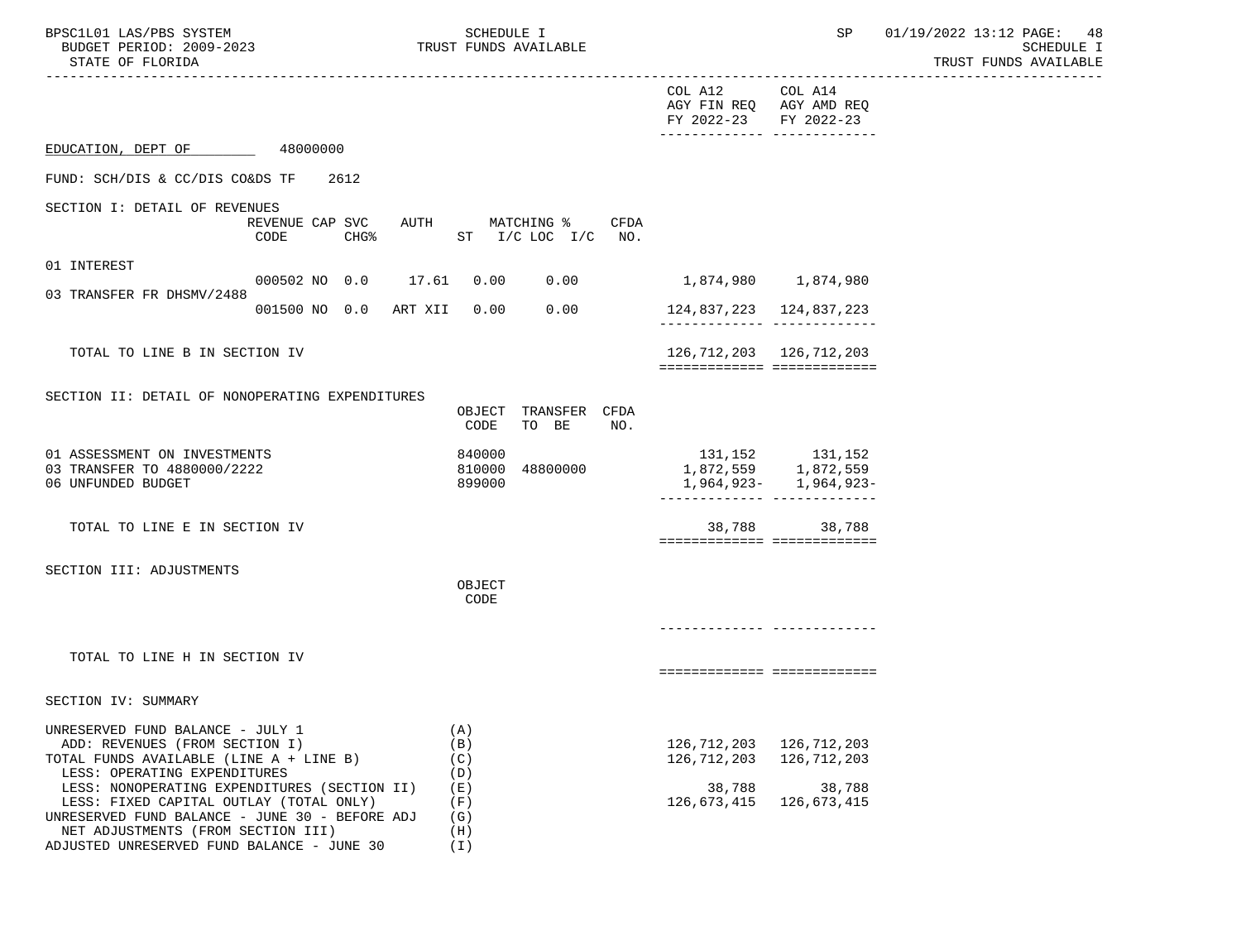| BPSC1L01 LAS/PBS SYSTEM<br>BUDGET PERIOD: 2009-2023<br>STATE OF FLORIDA                                                                                                                                                                                                                                                                                                        | SCHEDULE I<br>TRUST FUNDS AVAILABLE                         |                                                     | SP                                                                             | 01/19/2022 13:12 PAGE: 48<br>SCHEDULE I<br>TRUST FUNDS AVAILABLE |
|--------------------------------------------------------------------------------------------------------------------------------------------------------------------------------------------------------------------------------------------------------------------------------------------------------------------------------------------------------------------------------|-------------------------------------------------------------|-----------------------------------------------------|--------------------------------------------------------------------------------|------------------------------------------------------------------|
|                                                                                                                                                                                                                                                                                                                                                                                |                                                             | COL A12<br>FY 2022-23 FY 2022-23                    | COL A14<br>AGY FIN REQ AGY AMD REQ<br>-------------- --------------            |                                                                  |
| EDUCATION, DEPT OF 48000000                                                                                                                                                                                                                                                                                                                                                    |                                                             |                                                     |                                                                                |                                                                  |
| FUND: SCH/DIS & CC/DIS CO&DS TF<br>2612                                                                                                                                                                                                                                                                                                                                        |                                                             |                                                     |                                                                                |                                                                  |
| SECTION I: DETAIL OF REVENUES<br>REVENUE CAP SVC<br>CODE<br>CHG <sup>8</sup>                                                                                                                                                                                                                                                                                                   | AUTH MATCHING %<br>CFDA<br>ST $I/C$ LOC $I/C$ NO.           |                                                     |                                                                                |                                                                  |
| 01 INTEREST                                                                                                                                                                                                                                                                                                                                                                    |                                                             |                                                     |                                                                                |                                                                  |
| 000502 NO 0.0 17.61 0.00<br>03 TRANSFER FR DHSMV/2488                                                                                                                                                                                                                                                                                                                          | 0.00                                                        | 1,874,980 1,874,980                                 |                                                                                |                                                                  |
| 001500 NO 0.0 ART XII 0.00                                                                                                                                                                                                                                                                                                                                                     | 0.00                                                        | 124,837,223 124,837,223                             | ________________________________                                               |                                                                  |
| TOTAL TO LINE B IN SECTION IV                                                                                                                                                                                                                                                                                                                                                  |                                                             |                                                     | 126, 712, 203 126, 712, 203<br>============================                    |                                                                  |
| SECTION II: DETAIL OF NONOPERATING EXPENDITURES                                                                                                                                                                                                                                                                                                                                | OBJECT TRANSFER CFDA<br>CODE<br>TO BE<br>NO.                |                                                     |                                                                                |                                                                  |
| 01 ASSESSMENT ON INVESTMENTS<br>03 TRANSFER TO 4880000/2222<br>06 UNFUNDED BUDGET                                                                                                                                                                                                                                                                                              | 840000<br>810000 48800000<br>899000                         | 1,872,559 1,872,559                                 | 131, 152 131, 152<br>1,964,923- 1,964,923-<br>________________________________ |                                                                  |
| TOTAL TO LINE E IN SECTION IV                                                                                                                                                                                                                                                                                                                                                  |                                                             |                                                     | 38,788 38,788<br>============================                                  |                                                                  |
| SECTION III: ADJUSTMENTS                                                                                                                                                                                                                                                                                                                                                       | OBJECT<br>CODE                                              |                                                     |                                                                                |                                                                  |
| TOTAL TO LINE H IN SECTION IV                                                                                                                                                                                                                                                                                                                                                  |                                                             |                                                     |                                                                                |                                                                  |
|                                                                                                                                                                                                                                                                                                                                                                                |                                                             |                                                     | ===========================                                                    |                                                                  |
| SECTION IV: SUMMARY                                                                                                                                                                                                                                                                                                                                                            |                                                             |                                                     |                                                                                |                                                                  |
| UNRESERVED FUND BALANCE - JULY 1<br>ADD: REVENUES (FROM SECTION I)<br>TOTAL FUNDS AVAILABLE (LINE A + LINE B)<br>LESS: OPERATING EXPENDITURES<br>LESS: NONOPERATING EXPENDITURES (SECTION II)<br>LESS: FIXED CAPITAL OUTLAY (TOTAL ONLY)<br>UNRESERVED FUND BALANCE - JUNE 30 - BEFORE ADJ<br>NET ADJUSTMENTS (FROM SECTION III)<br>ADJUSTED UNRESERVED FUND BALANCE - JUNE 30 | (A)<br>(B)<br>(C)<br>(D)<br>(E)<br>(F)<br>(G)<br>(H)<br>(I) | 126,712,203<br>126,712,203<br>38,788<br>126,673,415 | 126,712,203<br>126,712,203<br>38,788<br>126,673,415                            |                                                                  |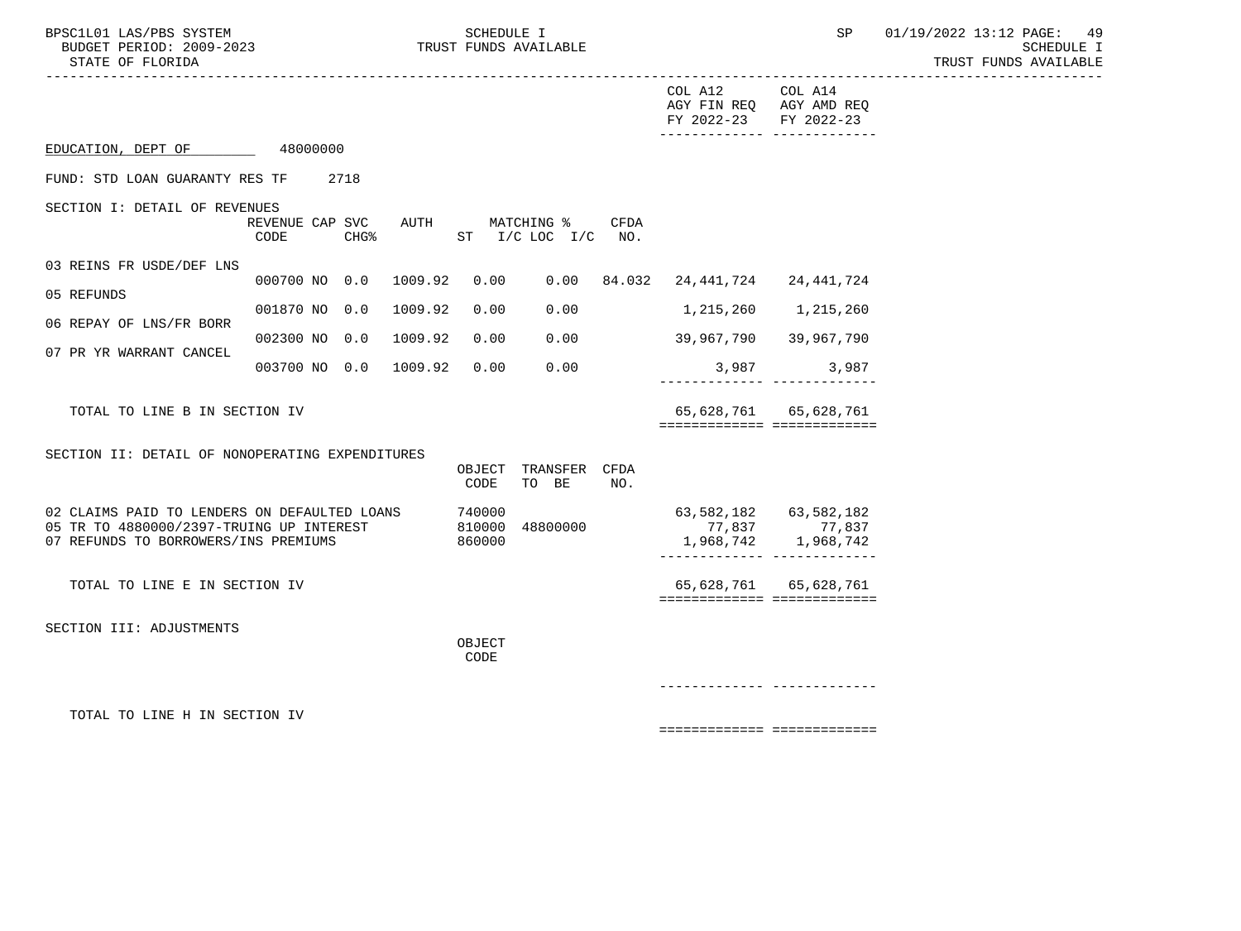| BPSC1L01 LAS/PBS SYSTEM<br>BUDGET PERIOD: 2009-2023<br>STATE OF FLORIDA          | --------------               |                  |         | SCHEDULE I       | TRUST FUNDS AVAILABLE            |      | -------------------------------------- | $\operatorname{SP}$                                   | 01/19/2022 13:12 PAGE:<br>-49<br>SCHEDULE I<br>TRUST FUNDS AVAILABLE |
|----------------------------------------------------------------------------------|------------------------------|------------------|---------|------------------|----------------------------------|------|----------------------------------------|-------------------------------------------------------|----------------------------------------------------------------------|
|                                                                                  |                              |                  |         |                  |                                  |      | COL A12<br>FY 2022-23 FY 2022-23       | COL A14<br>AGY FIN REQ AGY AMD REQ                    |                                                                      |
| EDUCATION, DEPT OF 48000000                                                      |                              |                  |         |                  |                                  |      |                                        |                                                       |                                                                      |
| FUND: STD LOAN GUARANTY RES TF                                                   |                              | 2718             |         |                  |                                  |      |                                        |                                                       |                                                                      |
| SECTION I: DETAIL OF REVENUES                                                    |                              |                  |         |                  |                                  |      |                                        |                                                       |                                                                      |
|                                                                                  | REVENUE CAP SVC AUTH<br>CODE | CHG <sup>8</sup> |         |                  | MATCHING %<br>ST I/C LOC I/C NO. | CFDA |                                        |                                                       |                                                                      |
| 03 REINS FR USDE/DEF LNS                                                         | 000700 NO 0.0                |                  | 1009.92 | 0.00             |                                  |      | $0.00$ 84.032 24,441,724 24,441,724    |                                                       |                                                                      |
| 05 REFUNDS                                                                       |                              |                  |         |                  |                                  |      |                                        |                                                       |                                                                      |
| 06 REPAY OF LNS/FR BORR                                                          | 001870 NO 0.0                |                  | 1009.92 | 0.00             | 0.00                             |      | 1,215,260 1,215,260                    |                                                       |                                                                      |
| 07 PR YR WARRANT CANCEL                                                          | 002300 NO 0.0                |                  | 1009.92 | 0.00             | 0.00                             |      | 39,967,790   39,967,790                |                                                       |                                                                      |
|                                                                                  | 003700 NO 0.0 1009.92        |                  |         | 0.00             | 0.00                             |      |                                        | 3,987 3,987                                           |                                                                      |
| TOTAL TO LINE B IN SECTION IV                                                    |                              |                  |         |                  |                                  |      |                                        | 65,628,761 65,628,761<br>============================ |                                                                      |
| SECTION II: DETAIL OF NONOPERATING EXPENDITURES                                  |                              |                  |         |                  |                                  |      |                                        |                                                       |                                                                      |
|                                                                                  |                              |                  |         | CODE             | OBJECT TRANSFER CFDA<br>TO BE    | NO.  |                                        |                                                       |                                                                      |
| 02 CLAIMS PAID TO LENDERS ON DEFAULTED LOANS                                     |                              |                  |         | 740000           |                                  |      | 63, 582, 182 63, 582, 182              |                                                       |                                                                      |
| 05 TR TO 4880000/2397-TRUING UP INTEREST<br>07 REFUNDS TO BORROWERS/INS PREMIUMS |                              |                  |         | 810000<br>860000 | 48800000                         |      | 77,837                                 | 77,837<br>1,968,742 1,968,742                         |                                                                      |
| TOTAL TO LINE E IN SECTION IV                                                    |                              |                  |         |                  |                                  |      |                                        | 65,628,761 65,628,761<br>============================ |                                                                      |
|                                                                                  |                              |                  |         |                  |                                  |      |                                        |                                                       |                                                                      |
| SECTION III: ADJUSTMENTS                                                         |                              |                  |         | OBJECT<br>CODE   |                                  |      |                                        |                                                       |                                                                      |
|                                                                                  |                              |                  |         |                  |                                  |      |                                        | ______________ ______________                         |                                                                      |
| TOTAL TO LINE H IN SECTION IV                                                    |                              |                  |         |                  |                                  |      |                                        |                                                       |                                                                      |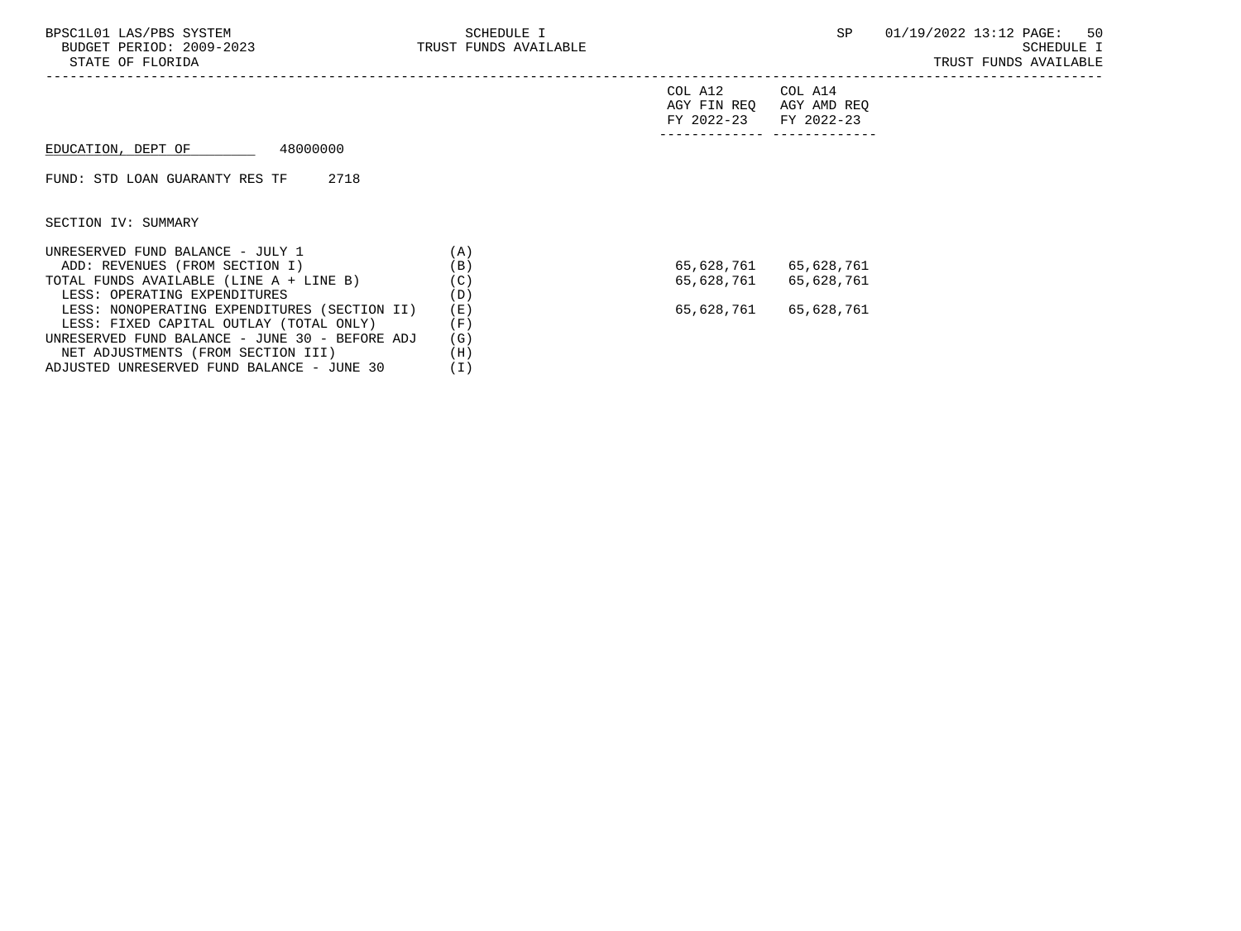|                                                |      | COL A12<br>AGY FIN REQ<br>FY 2022-23 | COL A14<br>AGY AMD REQ<br>FY 2022-23 |
|------------------------------------------------|------|--------------------------------------|--------------------------------------|
| 48000000<br>EDUCATION, DEPT OF                 |      |                                      |                                      |
| 2718<br>FUND: STD LOAN GUARANTY RES TF         |      |                                      |                                      |
| SECTION IV: SUMMARY                            |      |                                      |                                      |
| UNRESERVED FUND BALANCE - JULY 1               | (A)  |                                      |                                      |
| ADD: REVENUES (FROM SECTION I)                 | (B)  | 65,628,761                           | 65,628,761                           |
| TOTAL FUNDS AVAILABLE (LINE A + LINE B)        | (C)  | 65,628,761                           | 65,628,761                           |
| LESS: OPERATING EXPENDITURES                   | (D)  |                                      |                                      |
| LESS: NONOPERATING EXPENDITURES (SECTION II)   | (E)  | 65,628,761                           | 65,628,761                           |
| LESS: FIXED CAPITAL OUTLAY (TOTAL ONLY)        | (F)  |                                      |                                      |
| UNRESERVED FUND BALANCE - JUNE 30 - BEFORE ADJ | (G)  |                                      |                                      |
| NET ADTUCTMENTS (FROM CECTION TII)             | (II) |                                      |                                      |

 NET ADJUSTMENTS (FROM SECTION III) (H) ADJUSTED UNRESERVED FUND BALANCE - JUNE 30 (I)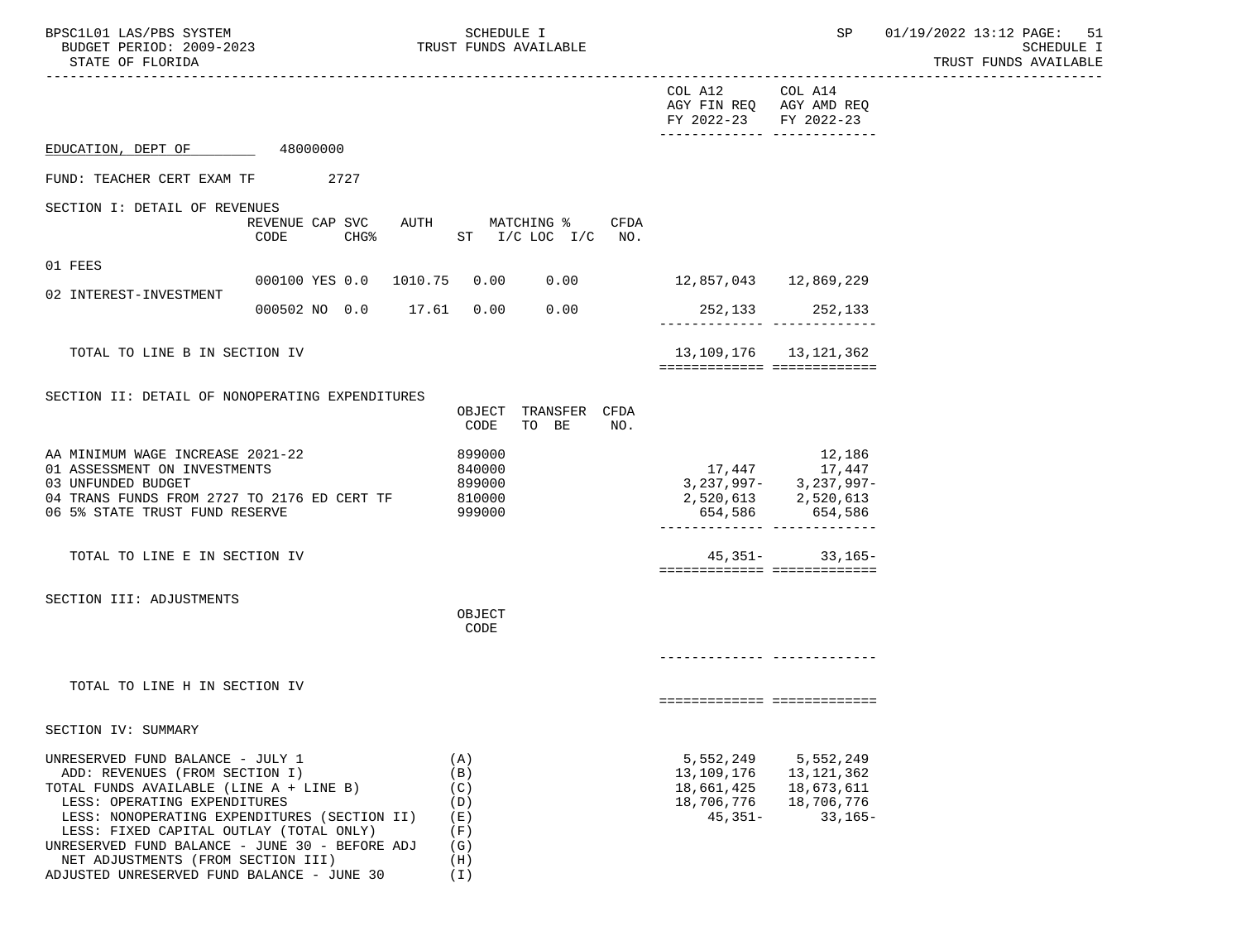| BPSC1L01 LAS/PBS SYSTEM<br>BUDGET PERIOD: 2009-2023 TRUST FUNDS AVAILABLE<br>STATE OF FLORIDA                                                                                                                                                                                                                                                                                  |                          | SCHEDULE I                                                                  |                                                                   | SP and the set of the set of the set of the set of the set of the set of the set of the set of the set of the set of the set of the set of the set of the set of the set of the set of the set of the set of the set of the se | 01/19/2022 13:12 PAGE: 51<br>SCHEDULE I<br>TRUST FUNDS AVAILABLE |
|--------------------------------------------------------------------------------------------------------------------------------------------------------------------------------------------------------------------------------------------------------------------------------------------------------------------------------------------------------------------------------|--------------------------|-----------------------------------------------------------------------------|-------------------------------------------------------------------|--------------------------------------------------------------------------------------------------------------------------------------------------------------------------------------------------------------------------------|------------------------------------------------------------------|
|                                                                                                                                                                                                                                                                                                                                                                                |                          |                                                                             | COL A12<br>AGY FIN REQ AGY AMD REQ<br>FY 2022-23 FY 2022-23       | COL A14                                                                                                                                                                                                                        |                                                                  |
| EDUCATION, DEPT OF 48000000                                                                                                                                                                                                                                                                                                                                                    |                          |                                                                             |                                                                   |                                                                                                                                                                                                                                |                                                                  |
| FUND: TEACHER CERT EXAM TF                                                                                                                                                                                                                                                                                                                                                     | 2727                     |                                                                             |                                                                   |                                                                                                                                                                                                                                |                                                                  |
| SECTION I: DETAIL OF REVENUES                                                                                                                                                                                                                                                                                                                                                  | CODE                     | REVENUE CAP SVC AUTH MATCHING % CFDA<br>CHG <sup>*</sup> ST I/C LOC I/C NO. |                                                                   |                                                                                                                                                                                                                                |                                                                  |
| 01 FEES                                                                                                                                                                                                                                                                                                                                                                        |                          |                                                                             |                                                                   |                                                                                                                                                                                                                                |                                                                  |
| 02 INTEREST-INVESTMENT                                                                                                                                                                                                                                                                                                                                                         |                          | 000100 YES 0.0  1010.75  0.00  0.00  12,857,043  12,869,229                 |                                                                   |                                                                                                                                                                                                                                |                                                                  |
|                                                                                                                                                                                                                                                                                                                                                                                | 000502 NO 0.0 17.61 0.00 | 0.00                                                                        | -------------- -------------                                      | 252,133 252,133                                                                                                                                                                                                                |                                                                  |
| TOTAL TO LINE B IN SECTION IV                                                                                                                                                                                                                                                                                                                                                  |                          |                                                                             | ============================                                      | 13, 109, 176 13, 121, 362                                                                                                                                                                                                      |                                                                  |
| SECTION II: DETAIL OF NONOPERATING EXPENDITURES                                                                                                                                                                                                                                                                                                                                |                          | OBJECT TRANSFER CFDA<br>TO BE<br>CODE<br>NO.                                |                                                                   |                                                                                                                                                                                                                                |                                                                  |
| AA MINIMUM WAGE INCREASE 2021-22<br>01 ASSESSMENT ON INVESTMENTS<br>03 UNFUNDED BUDGET<br>04 TRANS FUNDS FROM 2727 TO 2176 ED CERT TF<br>06 5% STATE TRUST FUND RESERVE                                                                                                                                                                                                        |                          | 899000<br>840000<br>899000<br>810000<br>999000                              |                                                                   | 12,186<br>$17,447$ $17,447$<br>$3, 237, 997 - 3, 237, 997 -$<br>2,520,613 2,520,613<br>654,586 654,586                                                                                                                         |                                                                  |
| TOTAL TO LINE E IN SECTION IV                                                                                                                                                                                                                                                                                                                                                  |                          |                                                                             | ===========================                                       | $45,351 - 33,165 -$                                                                                                                                                                                                            |                                                                  |
| SECTION III: ADJUSTMENTS                                                                                                                                                                                                                                                                                                                                                       |                          | OBJECT<br>CODE                                                              |                                                                   |                                                                                                                                                                                                                                |                                                                  |
| TOTAL TO LINE H IN SECTION IV                                                                                                                                                                                                                                                                                                                                                  |                          |                                                                             | __________________________________<br>=========================== |                                                                                                                                                                                                                                |                                                                  |
| SECTION IV: SUMMARY                                                                                                                                                                                                                                                                                                                                                            |                          |                                                                             |                                                                   |                                                                                                                                                                                                                                |                                                                  |
| UNRESERVED FUND BALANCE - JULY 1<br>ADD: REVENUES (FROM SECTION I)<br>TOTAL FUNDS AVAILABLE (LINE A + LINE B)<br>LESS: OPERATING EXPENDITURES<br>LESS: NONOPERATING EXPENDITURES (SECTION II)<br>LESS: FIXED CAPITAL OUTLAY (TOTAL ONLY)<br>UNRESERVED FUND BALANCE - JUNE 30 - BEFORE ADJ<br>NET ADJUSTMENTS (FROM SECTION III)<br>ADJUSTED UNRESERVED FUND BALANCE - JUNE 30 |                          | (A)<br>(B)<br>(C)<br>(D)<br>(E)<br>(F)<br>(G)<br>(H)<br>(I)                 | 5,552,249<br>13,109,176<br>18,661,425<br>18,706,776<br>$45,351-$  | 5,552,249<br>13,121,362<br>18,673,611<br>18,706,776<br>$33,165-$                                                                                                                                                               |                                                                  |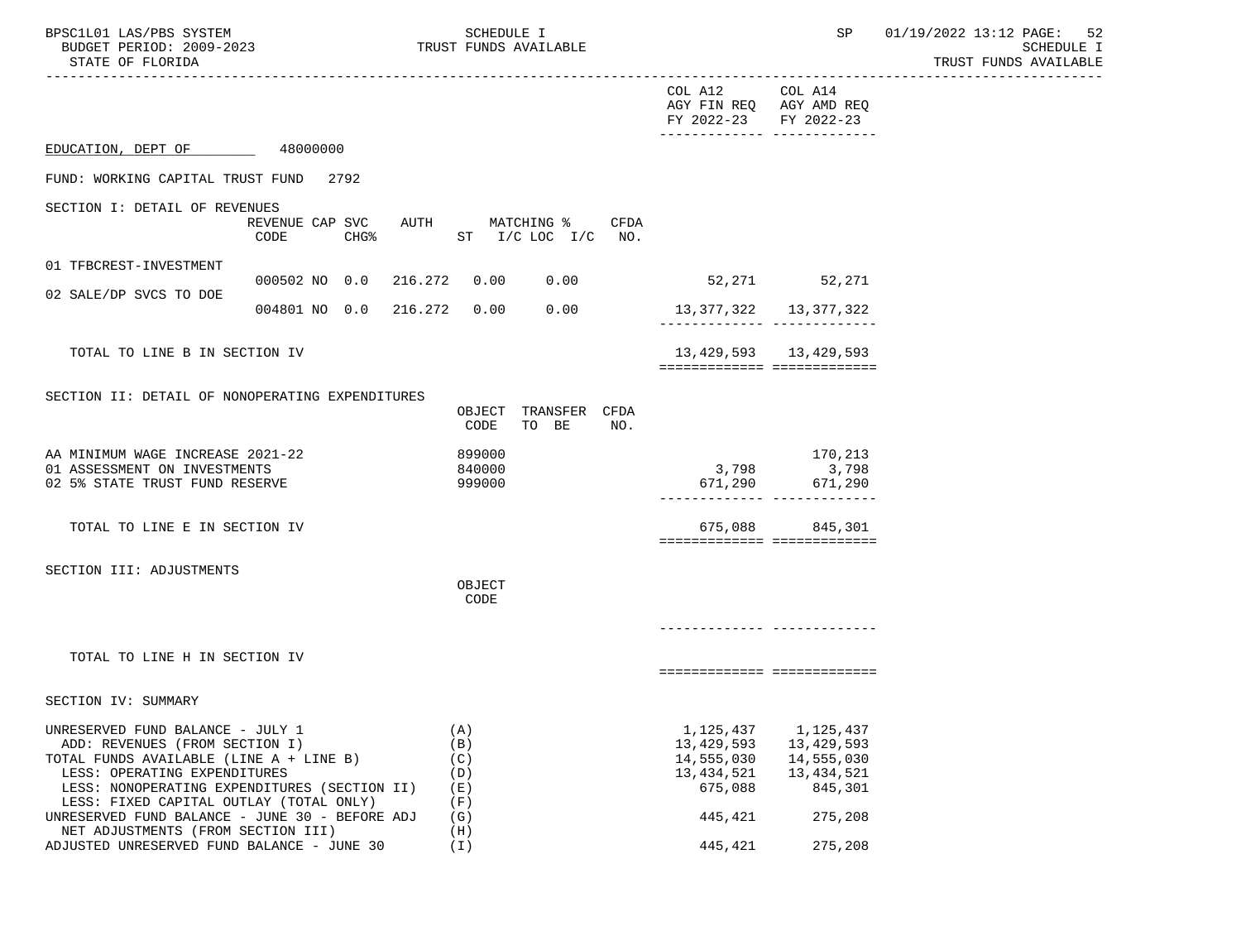| BPSC1L01 LAS/PBS SYSTEM<br>BUDGET PERIOD: 2009-2023<br>STATE OF FLORIDA                                                                                                                                                                                                                    |                                             | SCHEDULE I<br>TRUST FUNDS AVAILABLE           |                                                                                              | SP                                                                          | 01/19/2022 13:12 PAGE: 52<br>SCHEDULE I<br>TRUST FUNDS AVAILABLE |
|--------------------------------------------------------------------------------------------------------------------------------------------------------------------------------------------------------------------------------------------------------------------------------------------|---------------------------------------------|-----------------------------------------------|----------------------------------------------------------------------------------------------|-----------------------------------------------------------------------------|------------------------------------------------------------------|
|                                                                                                                                                                                                                                                                                            |                                             |                                               | COL A12<br>AGY FIN REQ AGY AMD REQ<br>FY 2022-23 FY 2022-23<br>-------------- -------------- | COL A14                                                                     |                                                                  |
| EDUCATION, DEPT OF 48000000                                                                                                                                                                                                                                                                |                                             |                                               |                                                                                              |                                                                             |                                                                  |
| FUND: WORKING CAPITAL TRUST FUND 2792                                                                                                                                                                                                                                                      |                                             |                                               |                                                                                              |                                                                             |                                                                  |
| SECTION I: DETAIL OF REVENUES                                                                                                                                                                                                                                                              |                                             | AUTH MATCHING %<br>CFDA                       |                                                                                              |                                                                             |                                                                  |
|                                                                                                                                                                                                                                                                                            | REVENUE CAP SVC<br>CODE<br>CHG <sup>8</sup> | ST I/C LOC I/C NO.                            |                                                                                              |                                                                             |                                                                  |
| 01 TFBCREST-INVESTMENT                                                                                                                                                                                                                                                                     |                                             |                                               |                                                                                              |                                                                             |                                                                  |
| 02 SALE/DP SVCS TO DOE                                                                                                                                                                                                                                                                     | 000502 NO 0.0 216.272 0.00 0.00             |                                               | 52,271 52,271                                                                                |                                                                             |                                                                  |
|                                                                                                                                                                                                                                                                                            | 004801 NO 0.0 216.272 0.00                  | 0.00                                          | 13,377,322 13,377,322<br>_______________________________                                     |                                                                             |                                                                  |
| TOTAL TO LINE B IN SECTION IV                                                                                                                                                                                                                                                              |                                             |                                               | 13, 429, 593 13, 429, 593<br>===========================                                     |                                                                             |                                                                  |
| SECTION II: DETAIL OF NONOPERATING EXPENDITURES                                                                                                                                                                                                                                            |                                             | OBJECT TRANSFER CFDA<br>CODE<br>TO BE<br>NO.  |                                                                                              |                                                                             |                                                                  |
| AA MINIMUM WAGE INCREASE 2021-22<br>01 ASSESSMENT ON INVESTMENTS<br>02 5% STATE TRUST FUND RESERVE                                                                                                                                                                                         |                                             | 899000<br>840000<br>999000                    | _________________________________                                                            | 170,213<br>3,798 3,798<br>671,290 671,290                                   |                                                                  |
| TOTAL TO LINE E IN SECTION IV                                                                                                                                                                                                                                                              |                                             |                                               | ===========================                                                                  | 675,088 845,301                                                             |                                                                  |
| SECTION III: ADJUSTMENTS                                                                                                                                                                                                                                                                   |                                             | OBJECT<br>CODE                                |                                                                                              |                                                                             |                                                                  |
| TOTAL TO LINE H IN SECTION IV                                                                                                                                                                                                                                                              |                                             |                                               | ============================                                                                 |                                                                             |                                                                  |
| SECTION IV: SUMMARY                                                                                                                                                                                                                                                                        |                                             |                                               |                                                                                              |                                                                             |                                                                  |
| UNRESERVED FUND BALANCE - JULY 1<br>ADD: REVENUES (FROM SECTION I)<br>TOTAL FUNDS AVAILABLE (LINE A + LINE B)<br>LESS: OPERATING EXPENDITURES<br>LESS: NONOPERATING EXPENDITURES (SECTION II)<br>LESS: FIXED CAPITAL OUTLAY (TOTAL ONLY)<br>UNRESERVED FUND BALANCE - JUNE 30 - BEFORE ADJ |                                             | (A)<br>(B)<br>(C)<br>(D)<br>(E)<br>(F)<br>(G) | 1,125,437<br>13,429,593<br>14,555,030<br>13, 434, 521<br>675,088<br>445,421                  | 1,125,437<br>13,429,593<br>14,555,030<br>13, 434, 521<br>845,301<br>275,208 |                                                                  |
| NET ADJUSTMENTS (FROM SECTION III)<br>ADJUSTED UNRESERVED FUND BALANCE - JUNE 30                                                                                                                                                                                                           |                                             | (H)<br>(I)                                    | 445,421                                                                                      | 275,208                                                                     |                                                                  |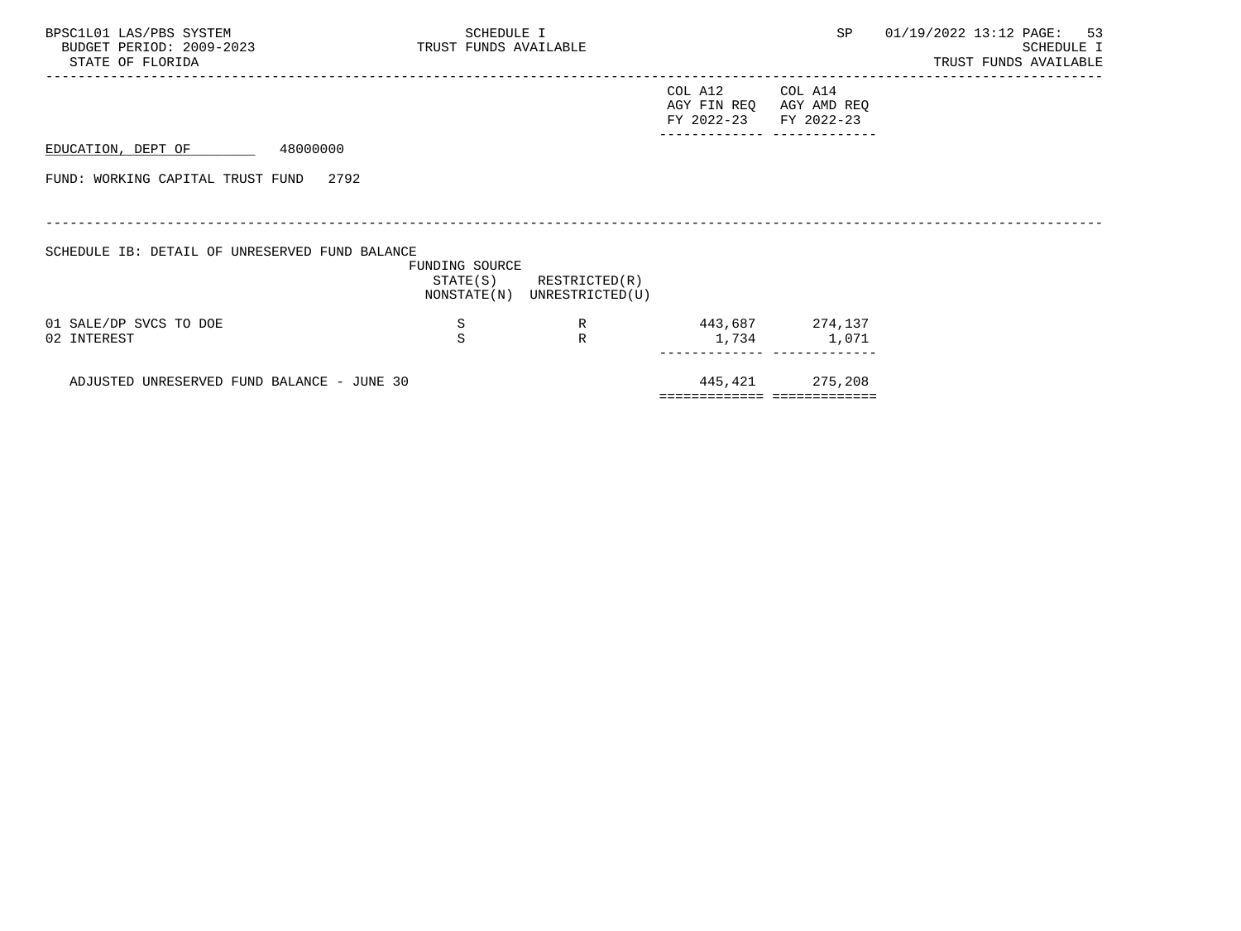| BPSC1L01 LAS/PBS SYSTEM<br>BUDGET PERIOD: 2009-2023<br>STATE OF FLORIDA | SCHEDULE I<br>TRUST FUNDS AVAILABLE |                                                            |                                                                                                   | SP              | 01/19/2022 13:12 PAGE: 53<br>SCHEDULE I<br>TRUST FUNDS AVAILABLE |
|-------------------------------------------------------------------------|-------------------------------------|------------------------------------------------------------|---------------------------------------------------------------------------------------------------|-----------------|------------------------------------------------------------------|
|                                                                         |                                     |                                                            | COL A12<br>AGY FIN REQ AGY AMD REQ<br>FY 2022-23 FY 2022-23<br>__________________________________ | COL A14         |                                                                  |
| 48000000<br>EDUCATION, DEPT OF                                          |                                     |                                                            |                                                                                                   |                 |                                                                  |
| FUND: WORKING CAPITAL TRUST FUND 2792                                   |                                     |                                                            |                                                                                                   |                 |                                                                  |
|                                                                         |                                     |                                                            |                                                                                                   |                 |                                                                  |
| SCHEDULE IB: DETAIL OF UNRESERVED FUND BALANCE                          |                                     |                                                            |                                                                                                   |                 |                                                                  |
|                                                                         | FUNDING SOURCE                      | $STATE(S)$ RESTRICTED $(R)$<br>NONSTATE(N) UNRESTRICTED(U) |                                                                                                   |                 |                                                                  |
| 01 SALE/DP SVCS TO DOE<br>02 INTEREST                                   | S<br>S                              | R<br>$\mathbb{R}$                                          | 443,687 274,137                                                                                   | 1,734 1,071     |                                                                  |
| ADJUSTED UNRESERVED FUND BALANCE - JUNE 30                              |                                     |                                                            |                                                                                                   | 445,421 275,208 |                                                                  |